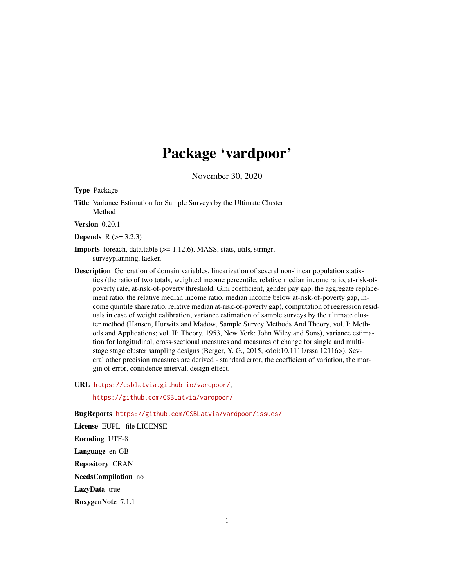# Package 'vardpoor'

November 30, 2020

Type Package

Title Variance Estimation for Sample Surveys by the Ultimate Cluster Method

Version 0.20.1

**Depends**  $R$  ( $> = 3.2.3$ )

- Imports foreach, data.table (>= 1.12.6), MASS, stats, utils, stringr, surveyplanning, laeken
- Description Generation of domain variables, linearization of several non-linear population statistics (the ratio of two totals, weighted income percentile, relative median income ratio, at-risk-ofpoverty rate, at-risk-of-poverty threshold, Gini coefficient, gender pay gap, the aggregate replacement ratio, the relative median income ratio, median income below at-risk-of-poverty gap, income quintile share ratio, relative median at-risk-of-poverty gap), computation of regression residuals in case of weight calibration, variance estimation of sample surveys by the ultimate cluster method (Hansen, Hurwitz and Madow, Sample Survey Methods And Theory, vol. I: Methods and Applications; vol. II: Theory. 1953, New York: John Wiley and Sons), variance estimation for longitudinal, cross-sectional measures and measures of change for single and multistage stage cluster sampling designs (Berger, Y. G., 2015, <doi:10.1111/rssa.12116>). Several other precision measures are derived - standard error, the coefficient of variation, the margin of error, confidence interval, design effect.

URL <https://csblatvia.github.io/vardpoor/>, <https://github.com/CSBLatvia/vardpoor/>

BugReports <https://github.com/CSBLatvia/vardpoor/issues/>

License EUPL | file LICENSE Encoding UTF-8 Language en-GB Repository CRAN NeedsCompilation no LazyData true RoxygenNote 7.1.1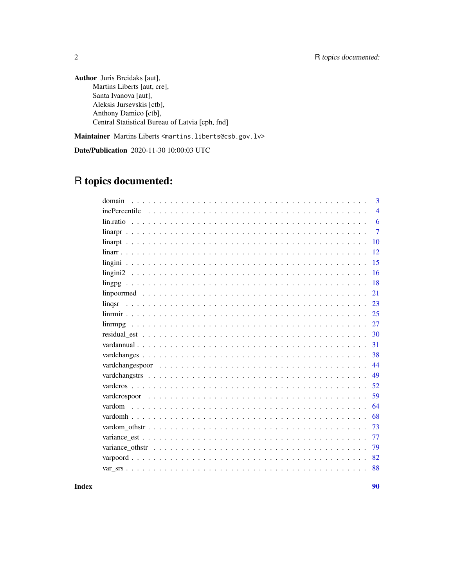Author Juris Breidaks [aut], Martins Liberts [aut, cre], Santa Ivanova [aut], Aleksis Jursevskis [ctb], Anthony Damico [ctb], Central Statistical Bureau of Latvia [cph, fnd]

Maintainer Martins Liberts <martins.liberts@csb.gov.lv>

Date/Publication 2020-11-30 10:00:03 UTC

# R topics documented:

| domain        | 3              |
|---------------|----------------|
| incPercentile | $\overline{4}$ |
|               | 6              |
|               | $\overline{7}$ |
| 10            |                |
| 12            |                |
| 15            |                |
| 16            |                |
| 18            |                |
| 21            |                |
| 23<br>lingsr  |                |
| 25            |                |
| 27<br>linrmpg |                |
| 30            |                |
| 31            |                |
| 38            |                |
| 44            |                |
| 49            |                |
| 52            |                |
| 59            |                |
| 64<br>vardom  |                |
| 68            |                |
| 73            |                |
| 77            |                |
| 79            |                |
| 82            |                |
| 88            |                |

**Index [90](#page-89-0)**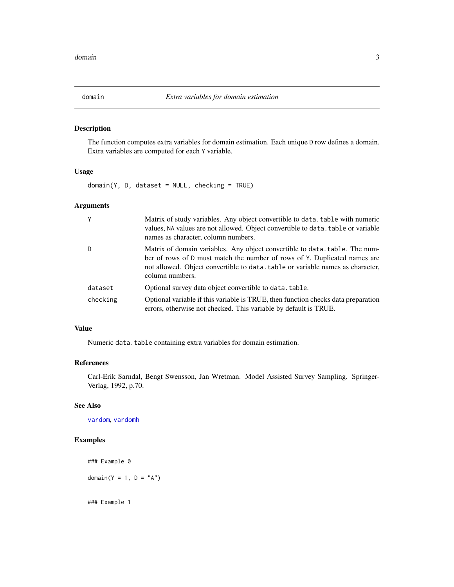<span id="page-2-1"></span><span id="page-2-0"></span>

### **Description**

The function computes extra variables for domain estimation. Each unique D row defines a domain. Extra variables are computed for each Y variable.

### Usage

domain(Y, D, dataset = NULL, checking = TRUE)

### Arguments

| Y        | Matrix of study variables. Any object convertible to data, table with numeric<br>values, NA values are not allowed. Object convertible to data. table or variable<br>names as character, column numbers.                                                      |
|----------|---------------------------------------------------------------------------------------------------------------------------------------------------------------------------------------------------------------------------------------------------------------|
| D        | Matrix of domain variables. Any object convertible to data, table. The num-<br>ber of rows of D must match the number of rows of Y. Duplicated names are<br>not allowed. Object convertible to data, table or variable names as character,<br>column numbers. |
| dataset  | Optional survey data object convertible to data. table.                                                                                                                                                                                                       |
| checking | Optional variable if this variable is TRUE, then function checks data preparation<br>errors, otherwise not checked. This variable by default is TRUE.                                                                                                         |

#### Value

Numeric data.table containing extra variables for domain estimation.

### References

Carl-Erik Sarndal, Bengt Swensson, Jan Wretman. Model Assisted Survey Sampling. Springer-Verlag, 1992, p.70.

#### See Also

[vardom](#page-63-1), [vardomh](#page-67-1)

### Examples

```
### Example 0
domain(Y = 1, D = "A")
```
### Example 1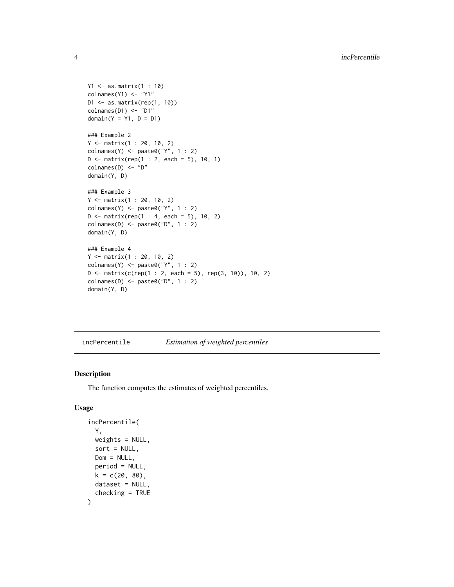```
Y1 <- as.matrix(1 : 10)
colnames(Y1) <- "Y1"
D1 \leq as.matrix(rep(1, 10))
colnames(D1) <- "D1"
domain(Y = Y1, D = D1)### Example 2
Y <- matrix(1 : 20, 10, 2)
\text{colnames}(Y) \leq \text{past} \cdot \theta("Y", 1 : 2)D \le - matrix(rep(1 : 2, each = 5), 10, 1)
colnames(D) <- "D"
domain(Y, D)
### Example 3
Y <- matrix(1 : 20, 10, 2)
\text{colnames}(Y) \leftarrow \text{paste0("Y", 1 : 2)}D \le - matrix(rep(1 : 4, each = 5), 10, 2)
\text{colnames}(D) \leq \text{paste0("D", 1 : 2)}domain(Y, D)
### Example 4
Y <- matrix(1 : 20, 10, 2)
\text{colnames}(Y) \leq \text{past} \cdot \theta("Y", 1 : 2)D \le - matrix(c(rep(1 : 2, each = 5), rep(3, 10)), 10, 2)
\text{colnames}(D) \leq \text{paste0("D", 1 : 2)}domain(Y, D)
```
<span id="page-3-1"></span>incPercentile *Estimation of weighted percentiles*

#### Description

The function computes the estimates of weighted percentiles.

### Usage

```
incPercentile(
 Y,
 weights = NULL,
 sort = NULL,
 Dom = NULL,period = NULL,
 k = c(20, 80),
 dataset = NULL,
  checking = TRUE
)
```
<span id="page-3-0"></span>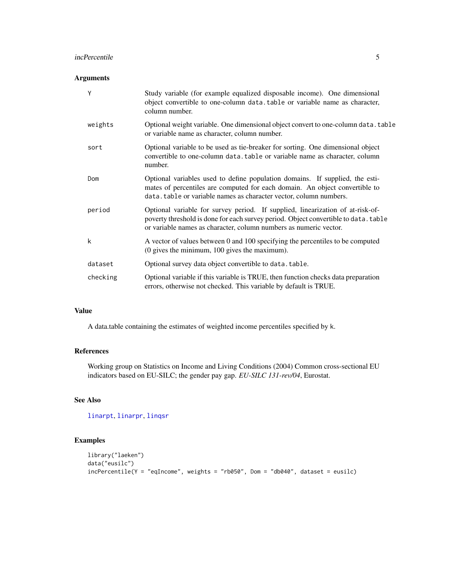#### incPercentile 5

### Arguments

| Y        | Study variable (for example equalized disposable income). One dimensional<br>object convertible to one-column data.table or variable name as character,<br>column number.                                                                  |
|----------|--------------------------------------------------------------------------------------------------------------------------------------------------------------------------------------------------------------------------------------------|
| weights  | Optional weight variable. One dimensional object convert to one-column data. table<br>or variable name as character, column number.                                                                                                        |
| sort     | Optional variable to be used as tie-breaker for sorting. One dimensional object<br>convertible to one-column data.table or variable name as character, column<br>number.                                                                   |
| Dom      | Optional variables used to define population domains. If supplied, the esti-<br>mates of percentiles are computed for each domain. An object convertible to<br>data.table or variable names as character vector, column numbers.           |
| period   | Optional variable for survey period. If supplied, linearization of at-risk-of-<br>poverty threshold is done for each survey period. Object convertible to data. table<br>or variable names as character, column numbers as numeric vector. |
| k        | A vector of values between 0 and 100 specifying the percentiles to be computed<br>(0 gives the minimum, 100 gives the maximum).                                                                                                            |
| dataset  | Optional survey data object convertible to data.table.                                                                                                                                                                                     |
| checking | Optional variable if this variable is TRUE, then function checks data preparation<br>errors, otherwise not checked. This variable by default is TRUE.                                                                                      |

### Value

A data.table containing the estimates of weighted income percentiles specified by k.

### References

Working group on Statistics on Income and Living Conditions (2004) Common cross-sectional EU indicators based on EU-SILC; the gender pay gap. *EU-SILC 131-rev/04*, Eurostat.

### See Also

[linarpt](#page-9-1), [linarpr](#page-6-1), [linqsr](#page-22-1)

### Examples

```
library("laeken")
data("eusilc")
incPercentile(Y = "eq Income", weights = "rb050", Dom = "db040", dataset = eusile)
```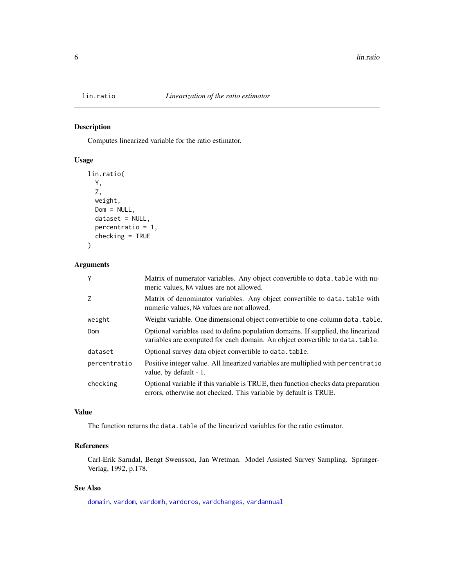### Description

Computes linearized variable for the ratio estimator.

### Usage

```
lin.ratio(
  Y,
  Z,
  weight,
  Dom = NULL,
  dataset = NULL,
  percentratio = 1,
  checking = TRUE
\mathcal{L}
```
### Arguments

| Y            | Matrix of numerator variables. Any object convertible to data, table with nu-<br>meric values, NA values are not allowed.                                          |
|--------------|--------------------------------------------------------------------------------------------------------------------------------------------------------------------|
| Z            | Matrix of denominator variables. Any object convertible to data.table with<br>numeric values, NA values are not allowed.                                           |
| weight       | Weight variable. One dimensional object convertible to one-column data, table.                                                                                     |
| Dom          | Optional variables used to define population domains. If supplied, the linearized<br>variables are computed for each domain. An object convertible to data, table. |
| dataset      | Optional survey data object convertible to data. table.                                                                                                            |
| percentratio | Positive integer value. All linearized variables are multiplied with percentratio<br>value, by default - 1.                                                        |
| checking     | Optional variable if this variable is TRUE, then function checks data preparation<br>errors, otherwise not checked. This variable by default is TRUE.              |

### Value

The function returns the data.table of the linearized variables for the ratio estimator.

### References

Carl-Erik Sarndal, Bengt Swensson, Jan Wretman. Model Assisted Survey Sampling. Springer-Verlag, 1992, p.178.

### See Also

[domain](#page-2-1), [vardom](#page-63-1), [vardomh](#page-67-1), [vardcros](#page-51-1), [vardchanges](#page-37-1), [vardannual](#page-30-1)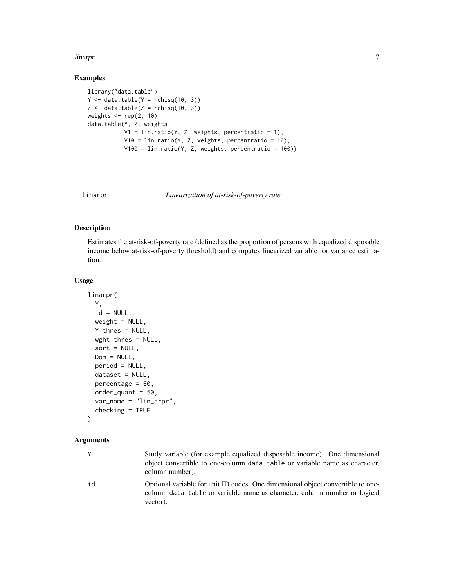#### <span id="page-6-0"></span>linarpr 7 and 2008 and 2008 and 2008 and 2008 and 2008 and 2008 and 2008 and 2008 and 2008 and 2008 and 2008 a

### Examples

```
library("data.table")
Y \leftarrow data.title(Y = <math>rchisq(10, 3)</math>)Z \leftarrow data.table(Z =rchisq(10, 3))
weights \leq rep(2, 10)
data.table(Y, Z, weights,
            V1 = \text{lin.ratio}(Y, Z, weights, percentage = 1),
            V10 = \text{lin.ratio}(Y, Z, weights, percentage = 10),V100 = lin.ratio(Y, Z, weights, percentratio = 100))
```
<span id="page-6-1"></span>linarpr *Linearization of at-risk-of-poverty rate*

### Description

Estimates the at-risk-of-poverty rate (defined as the proportion of persons with equalized disposable income below at-risk-of-poverty threshold) and computes linearized variable for variance estimation.

### Usage

```
linarpr(
 Y,
  id = NULL,weight = NULL,
 Y_thres = NULL,
 wght_thres = NULL,
  sort = NULL,Dom = NULL,
 period = NULL,
 dataset = NULL,
 percentage = 60,
 order_quant = 50,
 var_name = "lin_arpr",
  checking = TRUE
```
### )

### Arguments

|    | Study variable (for example equalized disposable income). One dimensional<br>object convertible to one-column data, table or variable name as character,<br>column number). |
|----|-----------------------------------------------------------------------------------------------------------------------------------------------------------------------------|
| id | Optional variable for unit ID codes. One dimensional object convertible to one-<br>column data, table or variable name as character, column number or logical<br>vector).   |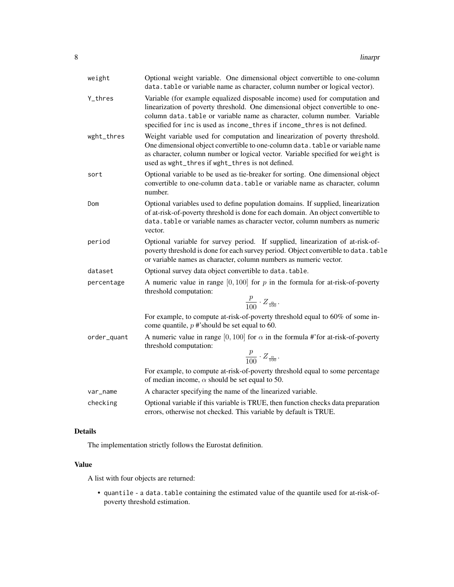| weight      | Optional weight variable. One dimensional object convertible to one-column<br>data.table or variable name as character, column number or logical vector).                                                                                                                                                              |
|-------------|------------------------------------------------------------------------------------------------------------------------------------------------------------------------------------------------------------------------------------------------------------------------------------------------------------------------|
| Y_thres     | Variable (for example equalized disposable income) used for computation and<br>linearization of poverty threshold. One dimensional object convertible to one-<br>column data.table or variable name as character, column number. Variable<br>specified for inc is used as income_thres if income_thres is not defined. |
| wght_thres  | Weight variable used for computation and linearization of poverty threshold.<br>One dimensional object convertible to one-column data. table or variable name<br>as character, column number or logical vector. Variable specified for weight is<br>used as wght_thres if wght_thres is not defined.                   |
| sort        | Optional variable to be used as tie-breaker for sorting. One dimensional object<br>convertible to one-column data. table or variable name as character, column<br>number.                                                                                                                                              |
| Dom         | Optional variables used to define population domains. If supplied, linearization<br>of at-risk-of-poverty threshold is done for each domain. An object convertible to<br>data.table or variable names as character vector, column numbers as numeric<br>vector.                                                        |
| period      | Optional variable for survey period. If supplied, linearization of at-risk-of-<br>poverty threshold is done for each survey period. Object convertible to data. table<br>or variable names as character, column numbers as numeric vector.                                                                             |
| dataset     | Optional survey data object convertible to data.table.                                                                                                                                                                                                                                                                 |
| percentage  | A numeric value in range $[0, 100]$ for p in the formula for at-risk-of-poverty<br>threshold computation:                                                                                                                                                                                                              |
|             | $\frac{p}{100} \cdot Z_{\frac{\alpha}{100}}.$                                                                                                                                                                                                                                                                          |
|             | For example, to compute at-risk-of-poverty threshold equal to 60% of some in-<br>come quantile, $p \#$ 'should be set equal to 60.                                                                                                                                                                                     |
| order_quant | A numeric value in range [0, 100] for $\alpha$ in the formula #'for at-risk-of-poverty<br>threshold computation:<br>$\frac{p}{100} \cdot Z_{\frac{\alpha}{100}}.$                                                                                                                                                      |
|             | For example, to compute at-risk-of-poverty threshold equal to some percentage<br>of median income, $\alpha$ should be set equal to 50.                                                                                                                                                                                 |
| var_name    | A character specifying the name of the linearized variable.                                                                                                                                                                                                                                                            |
| checking    | Optional variable if this variable is TRUE, then function checks data preparation<br>errors, otherwise not checked. This variable by default is TRUE.                                                                                                                                                                  |
|             |                                                                                                                                                                                                                                                                                                                        |

### Details

The implementation strictly follows the Eurostat definition.

### Value

A list with four objects are returned:

• quantile - a data.table containing the estimated value of the quantile used for at-risk-ofpoverty threshold estimation.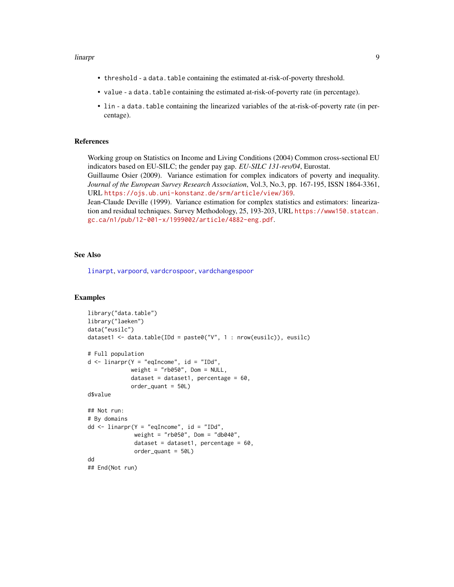#### linarpr **9**

- threshold a data.table containing the estimated at-risk-of-poverty threshold.
- value a data.table containing the estimated at-risk-of-poverty rate (in percentage).
- lin a data.table containing the linearized variables of the at-risk-of-poverty rate (in percentage).

#### References

Working group on Statistics on Income and Living Conditions (2004) Common cross-sectional EU indicators based on EU-SILC; the gender pay gap. *EU-SILC 131-rev/04*, Eurostat.

Guillaume Osier (2009). Variance estimation for complex indicators of poverty and inequality. *Journal of the European Survey Research Association*, Vol.3, No.3, pp. 167-195, ISSN 1864-3361, URL <https://ojs.ub.uni-konstanz.de/srm/article/view/369>.

Jean-Claude Deville (1999). Variance estimation for complex statistics and estimators: linearization and residual techniques. Survey Methodology, 25, 193-203, URL [https://www150.statcan.](https://www150.statcan.gc.ca/n1/pub/12-001-x/1999002/article/4882-eng.pdf) [gc.ca/n1/pub/12-001-x/1999002/article/4882-eng.pdf](https://www150.statcan.gc.ca/n1/pub/12-001-x/1999002/article/4882-eng.pdf).

### See Also

[linarpt](#page-9-1), [varpoord](#page-81-1), [vardcrospoor](#page-58-1), [vardchangespoor](#page-43-1)

#### Examples

```
library("data.table")
library("laeken")
data("eusilc")
dataset1 <- data.table(IDd = paste0("V", 1 : nrow(eusilc)), eusilc)
# Full population
d \le -\text{linearpr}(Y = \text{"equance", id} = \text{"IDd",}weight = "rb050", Dom = NULL,
             dataset = dataset1, percentage = 60,
             order_quant = 50L)
d$value
## Not run:
# By domains
dd <- linarpr(Y = "eqIncome", id = "IDd",
              weight = "rb050", Dom = "db040",
              dataset = dataset1, percentage = 60,
              order_quant = 50L)
dd
## End(Not run)
```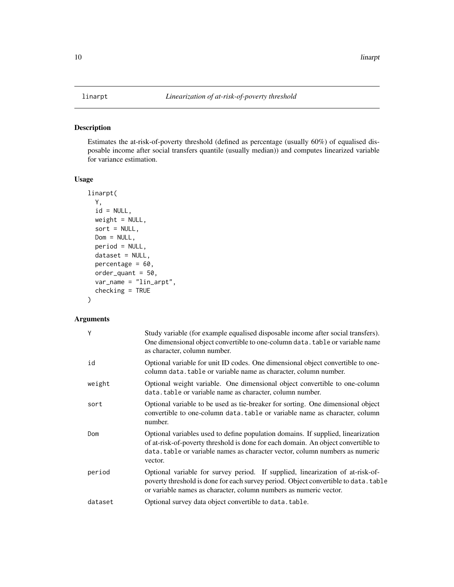### <span id="page-9-1"></span><span id="page-9-0"></span>Description

Estimates the at-risk-of-poverty threshold (defined as percentage (usually 60%) of equalised disposable income after social transfers quantile (usually median)) and computes linearized variable for variance estimation.

### Usage

```
linarpt(
 Y,
  id = NULL,weight = NULL,
 sort = NULL,Dom = NULL,period = NULL,
 dataset = NULL,
 percentage = 60,
 order_quant = 50,
 var_name = "lin_arpt",
  checking = TRUE
)
```
### Arguments

| Y       | Study variable (for example equalised disposable income after social transfers).<br>One dimensional object convertible to one-column data. table or variable name<br>as character, column number.                                                               |
|---------|-----------------------------------------------------------------------------------------------------------------------------------------------------------------------------------------------------------------------------------------------------------------|
| id      | Optional variable for unit ID codes. One dimensional object convertible to one-<br>column data. table or variable name as character, column number.                                                                                                             |
| weight  | Optional weight variable. One dimensional object convertible to one-column<br>data. table or variable name as character, column number.                                                                                                                         |
| sort    | Optional variable to be used as tie-breaker for sorting. One dimensional object<br>convertible to one-column data. table or variable name as character, column<br>number.                                                                                       |
| Dom     | Optional variables used to define population domains. If supplied, linearization<br>of at-risk-of-poverty threshold is done for each domain. An object convertible to<br>data.table or variable names as character vector, column numbers as numeric<br>vector. |
| period  | Optional variable for survey period. If supplied, linearization of at-risk-of-<br>poverty threshold is done for each survey period. Object convertible to data. table<br>or variable names as character, column numbers as numeric vector.                      |
| dataset | Optional survey data object convertible to data. table.                                                                                                                                                                                                         |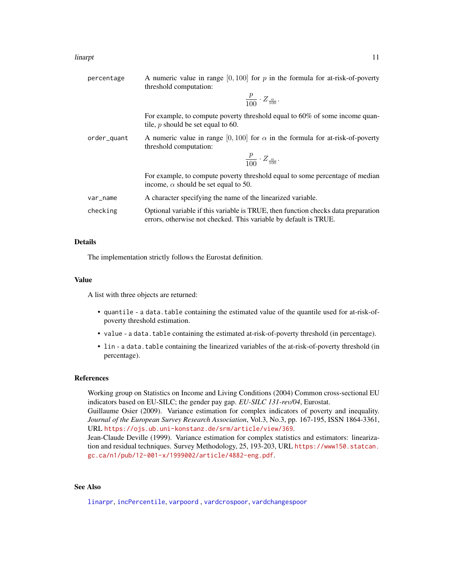| percentage  | A numeric value in range $[0, 100]$ for p in the formula for at-risk-of-poverty<br>threshold computation:                                             |
|-------------|-------------------------------------------------------------------------------------------------------------------------------------------------------|
|             | $\frac{p}{100} \cdot Z_{\frac{\alpha}{100}}$ .                                                                                                        |
|             | For example, to compute poverty threshold equal to 60% of some income quan-<br>tile, $p$ should be set equal to 60.                                   |
| order_quant | A numeric value in range [0, 100] for $\alpha$ in the formula for at-risk-of-poverty<br>threshold computation:                                        |
|             | $\frac{p}{100} \cdot Z_{\frac{\alpha}{100}}$ .                                                                                                        |
|             | For example, to compute poverty threshold equal to some percentage of median<br>income, $\alpha$ should be set equal to 50.                           |
| var_name    | A character specifying the name of the linearized variable.                                                                                           |
| checking    | Optional variable if this variable is TRUE, then function checks data preparation<br>errors, otherwise not checked. This variable by default is TRUE. |

### Details

The implementation strictly follows the Eurostat definition.

#### Value

A list with three objects are returned:

- quantile a data.table containing the estimated value of the quantile used for at-risk-ofpoverty threshold estimation.
- value a data.table containing the estimated at-risk-of-poverty threshold (in percentage).
- lin a data.table containing the linearized variables of the at-risk-of-poverty threshold (in percentage).

### References

Working group on Statistics on Income and Living Conditions (2004) Common cross-sectional EU indicators based on EU-SILC; the gender pay gap. *EU-SILC 131-rev/04*, Eurostat.

Guillaume Osier (2009). Variance estimation for complex indicators of poverty and inequality. *Journal of the European Survey Research Association*, Vol.3, No.3, pp. 167-195, ISSN 1864-3361, URL <https://ojs.ub.uni-konstanz.de/srm/article/view/369>.

Jean-Claude Deville (1999). Variance estimation for complex statistics and estimators: linearization and residual techniques. Survey Methodology, 25, 193-203, URL [https://www150.statcan.](https://www150.statcan.gc.ca/n1/pub/12-001-x/1999002/article/4882-eng.pdf) [gc.ca/n1/pub/12-001-x/1999002/article/4882-eng.pdf](https://www150.statcan.gc.ca/n1/pub/12-001-x/1999002/article/4882-eng.pdf).

### See Also

[linarpr](#page-6-1), [incPercentile](#page-3-1), [varpoord](#page-81-1) , [vardcrospoor](#page-58-1), [vardchangespoor](#page-43-1)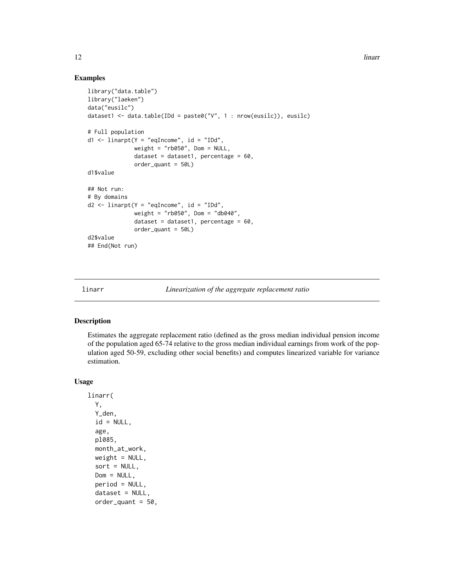### Examples

```
library("data.table")
library("laeken")
data("eusilc")
dataset1 <- data.table(IDd = paste0("V", 1 : nrow(eusilc)), eusilc)
# Full population
d1 <- linarpt(Y = "eqIncome", id = "IDd",weight = "rb050", Dom = NULL,
              dataset = dataset1, percentage = 60,
              order_quant = 50L)
d1$value
## Not run:
# By domains
d2 \le -\text{linearpt}(Y = \text{"equance", id} = \text{"IDd",}weight = "rb050", Dom = "db040",dataset = dataset1, percentage = 60,
              order_quant = 50L)
d2$value
## End(Not run)
```
linarr *Linearization of the aggregate replacement ratio*

#### Description

Estimates the aggregate replacement ratio (defined as the gross median individual pension income of the population aged 65-74 relative to the gross median individual earnings from work of the population aged 50-59, excluding other social benefits) and computes linearized variable for variance estimation.

#### Usage

```
linarr(
  Y,
  Y_den,
  id = NULL,age,
  pl085,
  month_at_work,
  weight = NULL,sort = NULL,Dom = NULL,period = NULL,
  dataset = NULL,order\_quant = 50,
```
<span id="page-11-0"></span>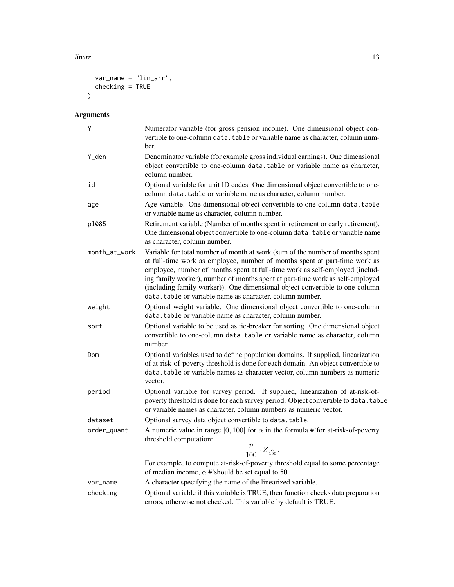linarr 13

```
var_name = "lin_arr",
   checking = TRUE
\mathcal{L}
```
## Arguments

| Y             | Numerator variable (for gross pension income). One dimensional object con-<br>vertible to one-column data. table or variable name as character, column num-<br>ber.                                                                                                                                                                                                                                                                                                      |
|---------------|--------------------------------------------------------------------------------------------------------------------------------------------------------------------------------------------------------------------------------------------------------------------------------------------------------------------------------------------------------------------------------------------------------------------------------------------------------------------------|
| Y_den         | Denominator variable (for example gross individual earnings). One dimensional<br>object convertible to one-column data, table or variable name as character,<br>column number.                                                                                                                                                                                                                                                                                           |
| id            | Optional variable for unit ID codes. One dimensional object convertible to one-<br>column data. table or variable name as character, column number.                                                                                                                                                                                                                                                                                                                      |
| age           | Age variable. One dimensional object convertible to one-column data.table<br>or variable name as character, column number.                                                                                                                                                                                                                                                                                                                                               |
| p1085         | Retirement variable (Number of months spent in retirement or early retirement).<br>One dimensional object convertible to one-column data. table or variable name<br>as character, column number.                                                                                                                                                                                                                                                                         |
| month_at_work | Variable for total number of month at work (sum of the number of months spent<br>at full-time work as employee, number of months spent at part-time work as<br>employee, number of months spent at full-time work as self-employed (includ-<br>ing family worker), number of months spent at part-time work as self-employed<br>(including family worker)). One dimensional object convertible to one-column<br>data.table or variable name as character, column number. |
| weight        | Optional weight variable. One dimensional object convertible to one-column<br>data. table or variable name as character, column number.                                                                                                                                                                                                                                                                                                                                  |
| sort          | Optional variable to be used as tie-breaker for sorting. One dimensional object<br>convertible to one-column data. table or variable name as character, column<br>number.                                                                                                                                                                                                                                                                                                |
| Dom           | Optional variables used to define population domains. If supplied, linearization<br>of at-risk-of-poverty threshold is done for each domain. An object convertible to<br>data. table or variable names as character vector, column numbers as numeric<br>vector.                                                                                                                                                                                                         |
| period        | Optional variable for survey period. If supplied, linearization of at-risk-of-<br>poverty threshold is done for each survey period. Object convertible to data. table<br>or variable names as character, column numbers as numeric vector.                                                                                                                                                                                                                               |
| dataset       | Optional survey data object convertible to data.table.                                                                                                                                                                                                                                                                                                                                                                                                                   |
| order_quant   | A numeric value in range [0, 100] for $\alpha$ in the formula #'for at-risk-of-poverty<br>threshold computation:<br>$\frac{p}{100}\cdot Z_{\frac{\alpha}{100}}.$                                                                                                                                                                                                                                                                                                         |
|               | For example, to compute at-risk-of-poverty threshold equal to some percentage<br>of median income, $\alpha$ #'should be set equal to 50.                                                                                                                                                                                                                                                                                                                                 |
| var_name      | A character specifying the name of the linearized variable.                                                                                                                                                                                                                                                                                                                                                                                                              |
| checking      | Optional variable if this variable is TRUE, then function checks data preparation<br>errors, otherwise not checked. This variable by default is TRUE.                                                                                                                                                                                                                                                                                                                    |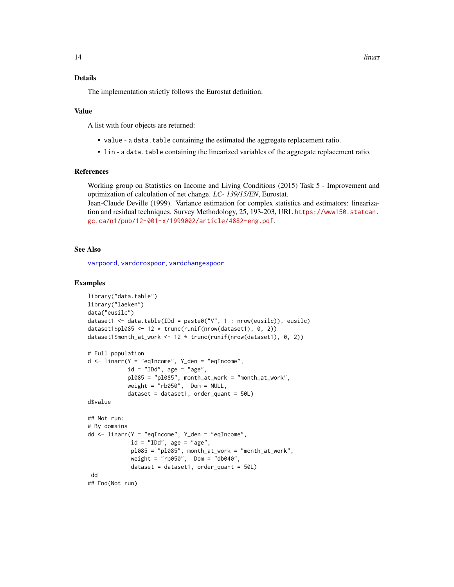#### Details

The implementation strictly follows the Eurostat definition.

#### Value

A list with four objects are returned:

- value a data.table containing the estimated the aggregate replacement ratio.
- lin a data.table containing the linearized variables of the aggregate replacement ratio.

#### References

Working group on Statistics on Income and Living Conditions (2015) Task 5 - Improvement and optimization of calculation of net change. *LC- 139/15/EN*, Eurostat.

Jean-Claude Deville (1999). Variance estimation for complex statistics and estimators: linearization and residual techniques. Survey Methodology, 25, 193-203, URL [https://www150.statcan.](https://www150.statcan.gc.ca/n1/pub/12-001-x/1999002/article/4882-eng.pdf) [gc.ca/n1/pub/12-001-x/1999002/article/4882-eng.pdf](https://www150.statcan.gc.ca/n1/pub/12-001-x/1999002/article/4882-eng.pdf).

### See Also

[varpoord](#page-81-1), [vardcrospoor](#page-58-1), [vardchangespoor](#page-43-1)

#### Examples

```
library("data.table")
library("laeken")
data("eusilc")
dataset1 <- data.table(IDd = paste0("V", 1 : nrow(eusilc)), eusilc)
dataset1$pl085 <- 12 * trunc(runif(nrow(dataset1), 0, 2))
dataset1$month_at_work <- 12 * trunc(runif(nrow(dataset1), 0, 2))
# Full population
d <- linarr(Y = "eqIncome", Y_den = "eqIncome",
            id = "IDd", age = "age",p1085 = "p1085", month_at_work = "month_at_work",weight = "rb050", Dom = NULL,
            dataset = dataset1, order_quant = 50L)
d$value
## Not run:
# By domains
dd <- linarr(Y = "eqIncome", Y_den = "eqIncome",
             id = "IDd", age = "age",pl085 = "pl085", month_at_work = "month_at_work",
             weight = "rb050", Dom = "db040",
             dataset = dataset1, order_quant = 50L)dd
## End(Not run)
```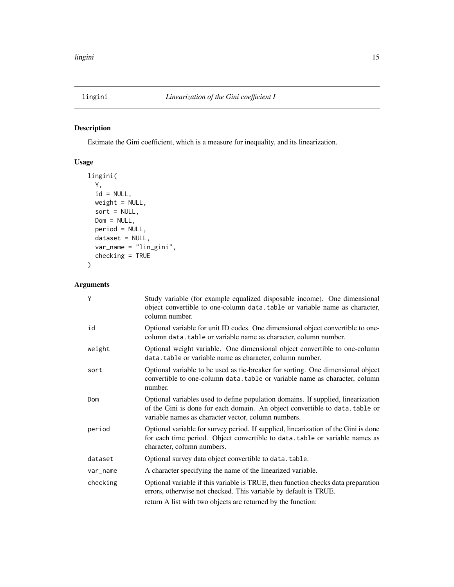### <span id="page-14-1"></span><span id="page-14-0"></span>Description

Estimate the Gini coefficient, which is a measure for inequality, and its linearization.

### Usage

```
lingini(
 Y,
  id = NULL,weight = NULL,sort = NULL,
 Dom = NULL,
 period = NULL,
 dataset = NULL,
 var_name = "lin_gini",
 checking = TRUE
\mathcal{L}
```
### Arguments

| Y        | Study variable (for example equalized disposable income). One dimensional<br>object convertible to one-column data.table or variable name as character,<br>column number.                                               |
|----------|-------------------------------------------------------------------------------------------------------------------------------------------------------------------------------------------------------------------------|
| id       | Optional variable for unit ID codes. One dimensional object convertible to one-<br>column data.table or variable name as character, column number.                                                                      |
| weight   | Optional weight variable. One dimensional object convertible to one-column<br>data.table or variable name as character, column number.                                                                                  |
| sort     | Optional variable to be used as tie-breaker for sorting. One dimensional object<br>convertible to one-column data.table or variable name as character, column<br>number.                                                |
| Dom      | Optional variables used to define population domains. If supplied, linearization<br>of the Gini is done for each domain. An object convertible to data. table or<br>variable names as character vector, column numbers. |
| period   | Optional variable for survey period. If supplied, linearization of the Gini is done<br>for each time period. Object convertible to data. table or variable names as<br>character, column numbers.                       |
| dataset  | Optional survey data object convertible to data.table.                                                                                                                                                                  |
| var_name | A character specifying the name of the linearized variable.                                                                                                                                                             |
| checking | Optional variable if this variable is TRUE, then function checks data preparation<br>errors, otherwise not checked. This variable by default is TRUE.<br>return A list with two objects are returned by the function:   |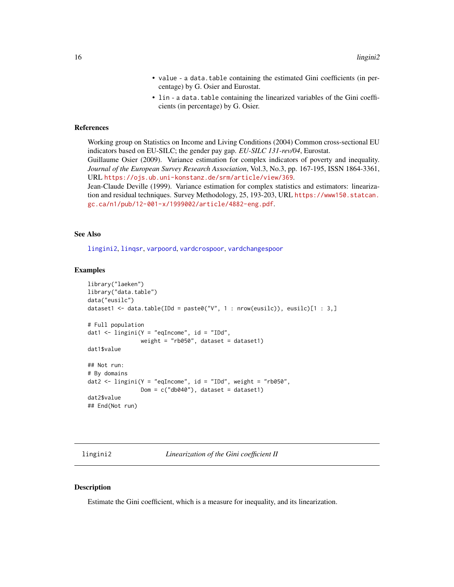- value a data.table containing the estimated Gini coefficients (in percentage) by G. Osier and Eurostat.
- lin a data.table containing the linearized variables of the Gini coefficients (in percentage) by G. Osier.

#### <span id="page-15-0"></span>References

Working group on Statistics on Income and Living Conditions (2004) Common cross-sectional EU indicators based on EU-SILC; the gender pay gap. *EU-SILC 131-rev/04*, Eurostat.

Guillaume Osier (2009). Variance estimation for complex indicators of poverty and inequality. *Journal of the European Survey Research Association*, Vol.3, No.3, pp. 167-195, ISSN 1864-3361, URL <https://ojs.ub.uni-konstanz.de/srm/article/view/369>.

Jean-Claude Deville (1999). Variance estimation for complex statistics and estimators: linearization and residual techniques. Survey Methodology, 25, 193-203, URL [https://www150.statcan.](https://www150.statcan.gc.ca/n1/pub/12-001-x/1999002/article/4882-eng.pdf) [gc.ca/n1/pub/12-001-x/1999002/article/4882-eng.pdf](https://www150.statcan.gc.ca/n1/pub/12-001-x/1999002/article/4882-eng.pdf).

#### See Also

[lingini2](#page-15-1), [linqsr](#page-22-1), [varpoord](#page-81-1), [vardcrospoor](#page-58-1), [vardchangespoor](#page-43-1)

#### Examples

```
library("laeken")
library("data.table")
data("eusilc")
dataset1 <- data.table(IDd = paste0("V", 1 : nrow(eusilc)), eusilc)[1 : 3,]
# Full population
dat1 \le lingini(Y = "eqIncome", id = "IDd",
                weight = "rb050", dataset = dataset1)dat1$value
## Not run:
# By domains
dat2 \leftarrow lingini(Y = "eqIncome", id = "IDd", weight = "rb050",
                Dom = c("db040"), dataset = dataset1)
dat2$value
## End(Not run)
```
<span id="page-15-1"></span>lingini2 *Linearization of the Gini coefficient II*

#### Description

Estimate the Gini coefficient, which is a measure for inequality, and its linearization.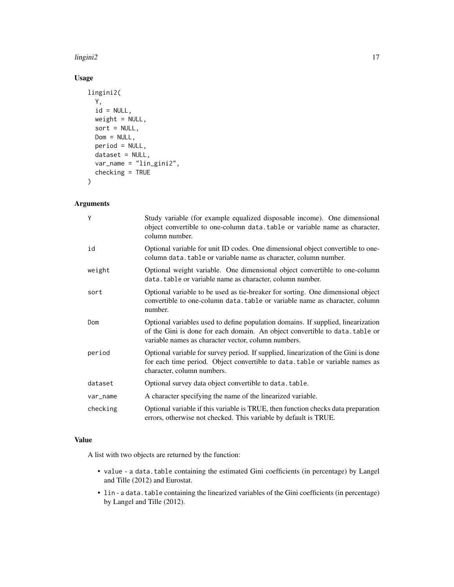### lingini2 **17**

### Usage

```
lingini2(
  Y,
 id = NULL,weight = NULL,sort = NULL,Dom = NULL,
 period = NULL,
 dataset = NULL,
 var_name = "lin_gini2",
  checking = TRUE
\mathcal{L}
```
### Arguments

| Y        | Study variable (for example equalized disposable income). One dimensional<br>object convertible to one-column data. table or variable name as character,<br>column number.                                              |
|----------|-------------------------------------------------------------------------------------------------------------------------------------------------------------------------------------------------------------------------|
| id       | Optional variable for unit ID codes. One dimensional object convertible to one-<br>column data. table or variable name as character, column number.                                                                     |
| weight   | Optional weight variable. One dimensional object convertible to one-column<br>data. table or variable name as character, column number.                                                                                 |
| sort     | Optional variable to be used as tie-breaker for sorting. One dimensional object<br>convertible to one-column data, table or variable name as character, column<br>number.                                               |
| Dom      | Optional variables used to define population domains. If supplied, linearization<br>of the Gini is done for each domain. An object convertible to data. table or<br>variable names as character vector, column numbers. |
| period   | Optional variable for survey period. If supplied, linearization of the Gini is done<br>for each time period. Object convertible to data. table or variable names as<br>character, column numbers.                       |
| dataset  | Optional survey data object convertible to data. table.                                                                                                                                                                 |
| var_name | A character specifying the name of the linearized variable.                                                                                                                                                             |
| checking | Optional variable if this variable is TRUE, then function checks data preparation<br>errors, otherwise not checked. This variable by default is TRUE.                                                                   |

### Value

A list with two objects are returned by the function:

- value a data.table containing the estimated Gini coefficients (in percentage) by Langel and Tille (2012) and Eurostat.
- lin a data.table containing the linearized variables of the Gini coefficients (in percentage) by Langel and Tille (2012).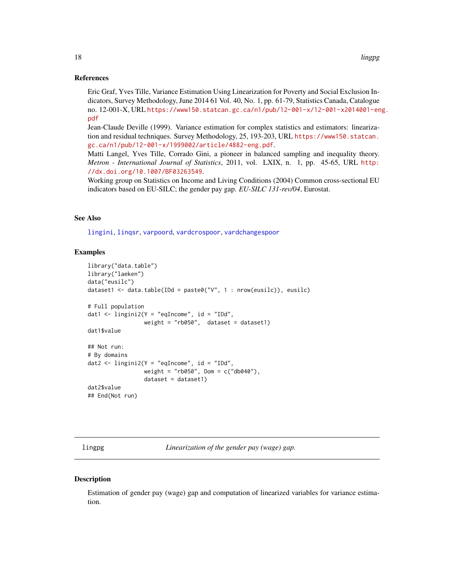#### <span id="page-17-0"></span>References

Eric Graf, Yves Tille, Variance Estimation Using Linearization for Poverty and Social Exclusion Indicators, Survey Methodology, June 2014 61 Vol. 40, No. 1, pp. 61-79, Statistics Canada, Catalogue no. 12-001-X, URL [https://www150.statcan.gc.ca/n1/pub/12-001-x/12-001-x2014001-en](https://www150.statcan.gc.ca/n1/pub/12-001-x/12-001-x2014001-eng.pdf)g. [pdf](https://www150.statcan.gc.ca/n1/pub/12-001-x/12-001-x2014001-eng.pdf)

Jean-Claude Deville (1999). Variance estimation for complex statistics and estimators: linearization and residual techniques. Survey Methodology, 25, 193-203, URL [https://www150.statcan.](https://www150.statcan.gc.ca/n1/pub/12-001-x/1999002/article/4882-eng.pdf) [gc.ca/n1/pub/12-001-x/1999002/article/4882-eng.pdf](https://www150.statcan.gc.ca/n1/pub/12-001-x/1999002/article/4882-eng.pdf).

Matti Langel, Yves Tille, Corrado Gini, a pioneer in balanced sampling and inequality theory. *Metron - International Journal of Statistics*, 2011, vol. LXIX, n. 1, pp. 45-65, URL [http:](http://dx.doi.org/10.1007/BF03263549) [//dx.doi.org/10.1007/BF03263549](http://dx.doi.org/10.1007/BF03263549).

Working group on Statistics on Income and Living Conditions (2004) Common cross-sectional EU indicators based on EU-SILC; the gender pay gap. *EU-SILC 131-rev/04*, Eurostat.

#### See Also

[lingini](#page-14-1), [linqsr](#page-22-1), [varpoord](#page-81-1), [vardcrospoor](#page-58-1), [vardchangespoor](#page-43-1)

#### Examples

```
library("data.table")
library("laeken")
data("eusilc")
dataset1 <- data.table(IDd = paste0("V", 1 : nrow(eusilc)), eusilc)
# Full population
dat1 <- lingini2(Y = "eqIncome", id = "IDd",weight = "rb050", dataset = dataset1)
dat1$value
## Not run:
# By domains
dat2 <- lingini2(Y = "eqIncome", id = "IDd",weight = "rb050", Dom = c("db040"),
                 dataset = dataset1)
dat2$value
## End(Not run)
```
<span id="page-17-1"></span>lingpg *Linearization of the gender pay (wage) gap.*

#### **Description**

Estimation of gender pay (wage) gap and computation of linearized variables for variance estimation.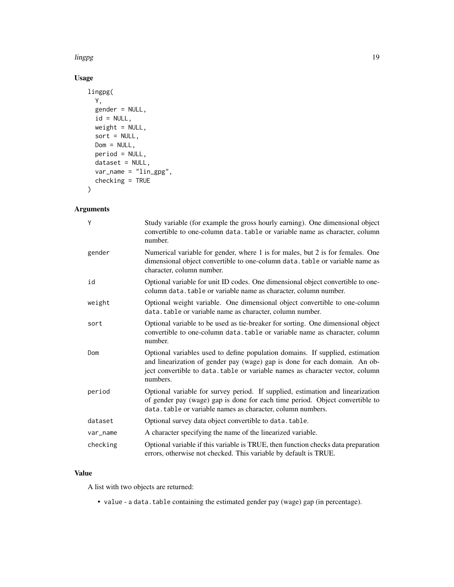lingpg the contract of the contract of the contract of the contract of the contract of the contract of the contract of the contract of the contract of the contract of the contract of the contract of the contract of the con

### Usage

```
lingpg(
 Y,
 gender = NULL,
 id = NULL,weight = NULL,sort = NULL,Dom = NULL,
 period = NULL,
 dataset = NULL,
 var_name = "lin_gpg",
 checking = TRUE
)
```
### Arguments

| Y        | Study variable (for example the gross hourly earning). One dimensional object<br>convertible to one-column data. table or variable name as character, column<br>number.                                                                                 |
|----------|---------------------------------------------------------------------------------------------------------------------------------------------------------------------------------------------------------------------------------------------------------|
| gender   | Numerical variable for gender, where 1 is for males, but 2 is for females. One<br>dimensional object convertible to one-column data. table or variable name as<br>character, column number.                                                             |
| id       | Optional variable for unit ID codes. One dimensional object convertible to one-<br>column data.table or variable name as character, column number.                                                                                                      |
| weight   | Optional weight variable. One dimensional object convertible to one-column<br>data.table or variable name as character, column number.                                                                                                                  |
| sort     | Optional variable to be used as tie-breaker for sorting. One dimensional object<br>convertible to one-column data. table or variable name as character, column<br>number.                                                                               |
| Dom      | Optional variables used to define population domains. If supplied, estimation<br>and linearization of gender pay (wage) gap is done for each domain. An ob-<br>ject convertible to data.table or variable names as character vector, column<br>numbers. |
| period   | Optional variable for survey period. If supplied, estimation and linearization<br>of gender pay (wage) gap is done for each time period. Object convertible to<br>data.table or variable names as character, column numbers.                            |
| dataset  | Optional survey data object convertible to data.table.                                                                                                                                                                                                  |
| var_name | A character specifying the name of the linearized variable.                                                                                                                                                                                             |
| checking | Optional variable if this variable is TRUE, then function checks data preparation<br>errors, otherwise not checked. This variable by default is TRUE.                                                                                                   |

### Value

A list with two objects are returned:

• value - a data.table containing the estimated gender pay (wage) gap (in percentage).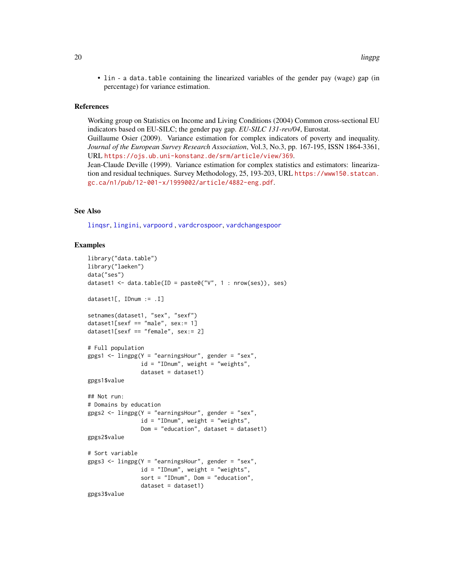• lin - a data.table containing the linearized variables of the gender pay (wage) gap (in percentage) for variance estimation.

#### References

Working group on Statistics on Income and Living Conditions (2004) Common cross-sectional EU indicators based on EU-SILC; the gender pay gap. *EU-SILC 131-rev/04*, Eurostat.

Guillaume Osier (2009). Variance estimation for complex indicators of poverty and inequality. *Journal of the European Survey Research Association*, Vol.3, No.3, pp. 167-195, ISSN 1864-3361, URL <https://ojs.ub.uni-konstanz.de/srm/article/view/369>.

Jean-Claude Deville (1999). Variance estimation for complex statistics and estimators: linearization and residual techniques. Survey Methodology, 25, 193-203, URL [https://www150.statcan.](https://www150.statcan.gc.ca/n1/pub/12-001-x/1999002/article/4882-eng.pdf) [gc.ca/n1/pub/12-001-x/1999002/article/4882-eng.pdf](https://www150.statcan.gc.ca/n1/pub/12-001-x/1999002/article/4882-eng.pdf).

### See Also

[linqsr](#page-22-1), [lingini](#page-14-1), [varpoord](#page-81-1) , [vardcrospoor](#page-58-1), [vardchangespoor](#page-43-1)

#### Examples

```
library("data.table")
library("laeken")
data("ses")
dataset1 <- data.table(ID = paste0("V", 1 : nrow(ses)), ses)
dataset1[, IDnum := .I]
setnames(dataset1, "sex", "sexf")
dataset1[sexf == "male", sex:= 1]
dataset1[sexf == "female", sex:= 2]
# Full population
gpgs1 \leq -\text{lingpg}(Y = \text{"earningsHour", gender = \text{"sex",}id = "IDnum", weight = "weights",
                dataset = dataset1)gpgs1$value
## Not run:
# Domains by education
gpgs2 <- lingpg(Y = "earningsHour", gender = "sex",id = "IDnum", weight = "weights",Dom = "education", dataset = dataset1)
gpgs2$value
# Sort variable
gpgs3 \leq 1ingpg(Y = "earningsHour", gender = "sex",id = "IDnum", weight = "weights",
                sort = "IDnum", Dom = "education",
                dataset = dataset1)
gpgs3$value
```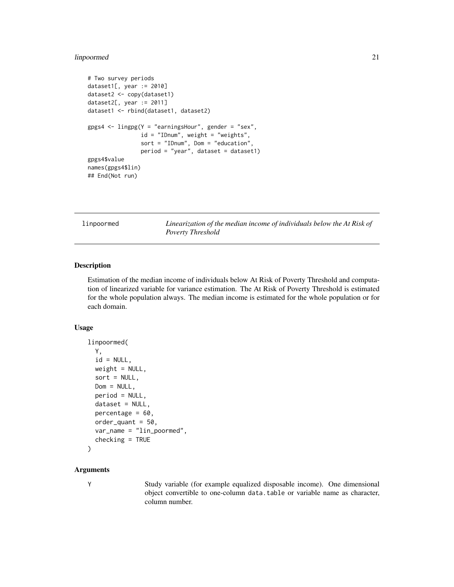### <span id="page-20-0"></span>linpoormed 21

```
# Two survey periods
dataset1[, year := 2010]
dataset2 <- copy(dataset1)
dataset2[, year := 2011]
dataset1 <- rbind(dataset1, dataset2)
gpgs4 \leq 1ingpg(Y = "earningsHour", gender = "sex",
                id = "IDnum", weight = "weights",
                sort = "IDnum", Dom = "education",
                period = "year", dataset = dataset1)
gpgs4$value
names(gpgs4$lin)
## End(Not run)
```
<span id="page-20-1"></span>linpoormed *Linearization of the median income of individuals below the At Risk of Poverty Threshold*

### **Description**

Estimation of the median income of individuals below At Risk of Poverty Threshold and computation of linearized variable for variance estimation. The At Risk of Poverty Threshold is estimated for the whole population always. The median income is estimated for the whole population or for each domain.

#### Usage

```
linpoormed(
  Y,
  id = NULL,weight = NULL,sort = NULL,Dom = NULL,
  period = NULL,
  dataset = NULL,
 percentage = 60.
  order_quant = 50,
  var_name = "lin_poormed",
  checking = TRUE
\mathcal{L}
```
#### Arguments

Y Study variable (for example equalized disposable income). One dimensional object convertible to one-column data.table or variable name as character, column number.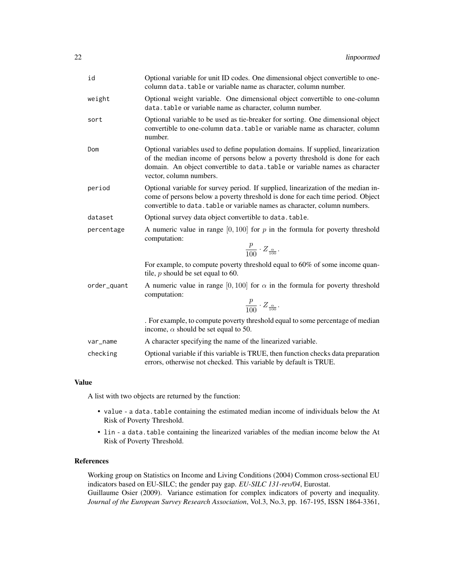| id           | Optional variable for unit ID codes. One dimensional object convertible to one-<br>column data.table or variable name as character, column number.                                                                                                                       |
|--------------|--------------------------------------------------------------------------------------------------------------------------------------------------------------------------------------------------------------------------------------------------------------------------|
| weight       | Optional weight variable. One dimensional object convertible to one-column<br>data.table or variable name as character, column number.                                                                                                                                   |
| sort         | Optional variable to be used as tie-breaker for sorting. One dimensional object<br>convertible to one-column data. table or variable name as character, column<br>number.                                                                                                |
| Dom          | Optional variables used to define population domains. If supplied, linearization<br>of the median income of persons below a poverty threshold is done for each<br>domain. An object convertible to data. table or variable names as character<br>vector, column numbers. |
| period       | Optional variable for survey period. If supplied, linearization of the median in-<br>come of persons below a poverty threshold is done for each time period. Object<br>convertible to data. table or variable names as character, column numbers.                        |
| dataset      | Optional survey data object convertible to data.table.                                                                                                                                                                                                                   |
| percentage   | A numeric value in range $[0, 100]$ for p in the formula for poverty threshold<br>computation:<br>$\frac{p}{100} \cdot Z_{\frac{\alpha}{100}}.$                                                                                                                          |
|              | For example, to compute poverty threshold equal to 60% of some income quan-<br>tile, $p$ should be set equal to 60.                                                                                                                                                      |
| order_quant  | A numeric value in range [0,100] for $\alpha$ in the formula for poverty threshold<br>computation:<br>$\frac{p}{100} \cdot Z_{\frac{\alpha}{100}}.$                                                                                                                      |
|              | . For example, to compute poverty threshold equal to some percentage of median<br>income, $\alpha$ should be set equal to 50.                                                                                                                                            |
| var_name     | A character specifying the name of the linearized variable.                                                                                                                                                                                                              |
| checking     | Optional variable if this variable is TRUE, then function checks data preparation<br>errors, otherwise not checked. This variable by default is TRUE.                                                                                                                    |
| $\mathbf{a}$ |                                                                                                                                                                                                                                                                          |

### Value

A list with two objects are returned by the function:

- value a data.table containing the estimated median income of individuals below the At Risk of Poverty Threshold.
- lin a data.table containing the linearized variables of the median income below the At Risk of Poverty Threshold.

### References

Working group on Statistics on Income and Living Conditions (2004) Common cross-sectional EU indicators based on EU-SILC; the gender pay gap. *EU-SILC 131-rev/04*, Eurostat. Guillaume Osier (2009). Variance estimation for complex indicators of poverty and inequality. *Journal of the European Survey Research Association*, Vol.3, No.3, pp. 167-195, ISSN 1864-3361,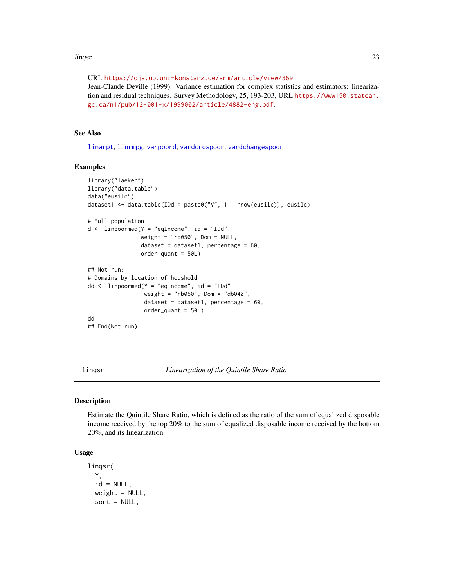#### <span id="page-22-0"></span>linqsr 23

URL <https://ojs.ub.uni-konstanz.de/srm/article/view/369>. Jean-Claude Deville (1999). Variance estimation for complex statistics and estimators: linearization and residual techniques. Survey Methodology, 25, 193-203, URL [https://www150.statcan.](https://www150.statcan.gc.ca/n1/pub/12-001-x/1999002/article/4882-eng.pdf) [gc.ca/n1/pub/12-001-x/1999002/article/4882-eng.pdf](https://www150.statcan.gc.ca/n1/pub/12-001-x/1999002/article/4882-eng.pdf).

#### See Also

[linarpt](#page-9-1), [linrmpg](#page-26-1), [varpoord](#page-81-1), [vardcrospoor](#page-58-1), [vardchangespoor](#page-43-1)

### Examples

```
library("laeken")
library("data.table")
data("eusilc")
dataset1 <- data.table(IDd = paste0("V", 1 : nrow(eusilc)), eusilc)
# Full population
d \le -1inpoormed(Y = "eqIncome", id = "IDd",
                weight = "rb050", Dom = NULL,
                dataset = dataset1, percentage = 60,
                order_quant = 50L)
## Not run:
# Domains by location of houshold
dd <- linpoormed(Y = "eqIncome", id = "IDd",
                 weight = "rb050", Dom = "db040",
                 dataset = dataset1, percentage = 60,
                 order_quant = 50L)
dd
## End(Not run)
```
<span id="page-22-1"></span>linqsr *Linearization of the Quintile Share Ratio*

#### Description

Estimate the Quintile Share Ratio, which is defined as the ratio of the sum of equalized disposable income received by the top 20% to the sum of equalized disposable income received by the bottom 20%, and its linearization.

### Usage

```
linqsr(
 Y,
 id = NULL,weight = NULL,sort = NULL,
```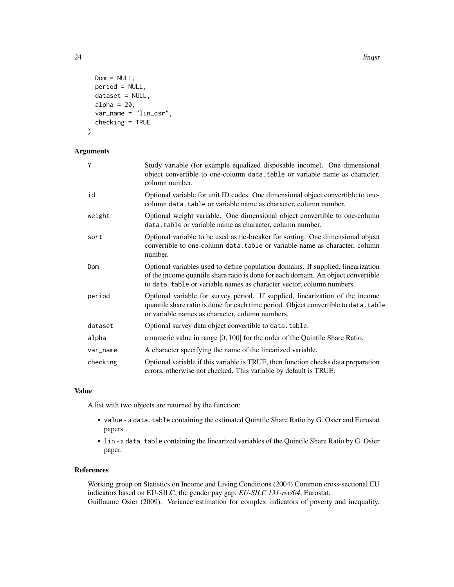24 lingsr

```
Dom = NULL,
period = NULL,
dataset = NULL,
alpha = 20,
var_name = "lin_qsr",
checking = TRUE
```
)

### Arguments

| Y        | Study variable (for example equalized disposable income). One dimensional<br>object convertible to one-column data.table or variable name as character,<br>column number.                                                                      |
|----------|------------------------------------------------------------------------------------------------------------------------------------------------------------------------------------------------------------------------------------------------|
| id       | Optional variable for unit ID codes. One dimensional object convertible to one-<br>column data. table or variable name as character, column number.                                                                                            |
| weight   | Optional weight variable. One dimensional object convertible to one-column<br>data.table or variable name as character, column number.                                                                                                         |
| sort     | Optional variable to be used as tie-breaker for sorting. One dimensional object<br>convertible to one-column data, table or variable name as character, column<br>number.                                                                      |
| Dom      | Optional variables used to define population domains. If supplied, linearization<br>of the income quantile share ratio is done for each domain. An object convertible<br>to data. table or variable names as character vector, column numbers. |
| period   | Optional variable for survey period. If supplied, linearization of the income<br>quantile share ratio is done for each time period. Object convertible to data. table<br>or variable names as character, column numbers.                       |
| dataset  | Optional survey data object convertible to data.table.                                                                                                                                                                                         |
| alpha    | a numeric value in range $[0, 100]$ for the order of the Quintile Share Ratio.                                                                                                                                                                 |
| var_name | A character specifying the name of the linearized variable.                                                                                                                                                                                    |
| checking | Optional variable if this variable is TRUE, then function checks data preparation<br>errors, otherwise not checked. This variable by default is TRUE.                                                                                          |

### Value

A list with two objects are returned by the function:

- value a data. table containing the estimated Quintile Share Ratio by G. Osier and Eurostat papers.
- lin a data.table containing the linearized variables of the Quintile Share Ratio by G. Osier paper.

### References

Working group on Statistics on Income and Living Conditions (2004) Common cross-sectional EU indicators based on EU-SILC; the gender pay gap. *EU-SILC 131-rev/04*, Eurostat. Guillaume Osier (2009). Variance estimation for complex indicators of poverty and inequality.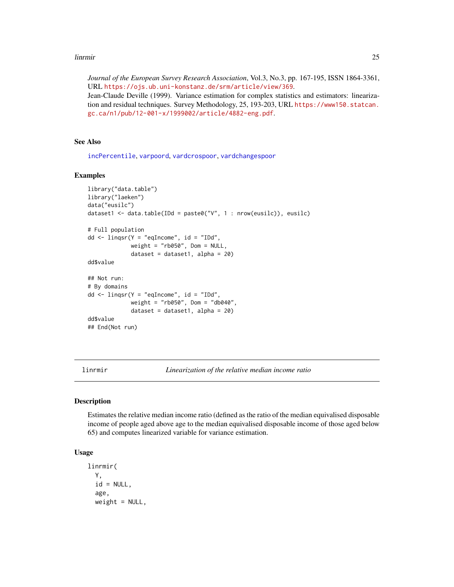#### <span id="page-24-0"></span>linrmir 25

*Journal of the European Survey Research Association*, Vol.3, No.3, pp. 167-195, ISSN 1864-3361, URL <https://ojs.ub.uni-konstanz.de/srm/article/view/369>. Jean-Claude Deville (1999). Variance estimation for complex statistics and estimators: linearization and residual techniques. Survey Methodology, 25, 193-203, URL [https://www150.statcan.](https://www150.statcan.gc.ca/n1/pub/12-001-x/1999002/article/4882-eng.pdf) [gc.ca/n1/pub/12-001-x/1999002/article/4882-eng.pdf](https://www150.statcan.gc.ca/n1/pub/12-001-x/1999002/article/4882-eng.pdf).

### See Also

[incPercentile](#page-3-1), [varpoord](#page-81-1), [vardcrospoor](#page-58-1), [vardchangespoor](#page-43-1)

#### Examples

```
library("data.table")
library("laeken")
data("eusilc")
dataset1 <- data.table(IDd = paste0("V", 1 : nrow(eusilc)), eusilc)
# Full population
dd \le -\text{linger}(Y = \text{"equHome", id} = \text{"IDd",}weight = "rb050", Dom = NULL,
              dataset = dataset1, alpha = 20)
dd$value
## Not run:
# By domains
dd <- linqsr(Y = "eqIncome", id = "IDd",
              weight = "rb050", Dom = "db040",
              dataset = dataset1, alpha = 20)
dd$value
## End(Not run)
```
linrmir *Linearization of the relative median income ratio*

#### Description

Estimates the relative median income ratio (defined as the ratio of the median equivalised disposable income of people aged above age to the median equivalised disposable income of those aged below 65) and computes linearized variable for variance estimation.

### Usage

```
linrmir(
  Y,
  id = NULL,age,
 weight = NULL,
```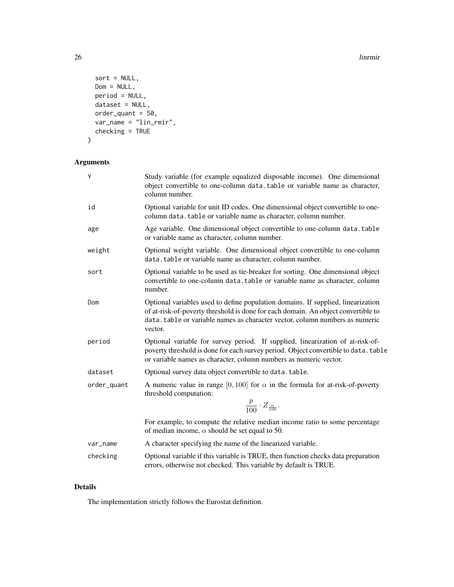26 linrmir

```
sort = NULL,Dom = NULL,
 period = NULL,
 dataset = NULL,
 order_quant = 50,
 var_name = "lin_rmir",
 checking = TRUE
)
```
### Arguments

| Υ           | Study variable (for example equalized disposable income). One dimensional<br>object convertible to one-column data.table or variable name as character,<br>column number.                                                                                       |
|-------------|-----------------------------------------------------------------------------------------------------------------------------------------------------------------------------------------------------------------------------------------------------------------|
| id          | Optional variable for unit ID codes. One dimensional object convertible to one-<br>column data.table or variable name as character, column number.                                                                                                              |
| age         | Age variable. One dimensional object convertible to one-column data.table<br>or variable name as character, column number.                                                                                                                                      |
| weight      | Optional weight variable. One dimensional object convertible to one-column<br>data. table or variable name as character, column number.                                                                                                                         |
| sort        | Optional variable to be used as tie-breaker for sorting. One dimensional object<br>convertible to one-column data. table or variable name as character, column<br>number.                                                                                       |
| Dom         | Optional variables used to define population domains. If supplied, linearization<br>of at-risk-of-poverty threshold is done for each domain. An object convertible to<br>data.table or variable names as character vector, column numbers as numeric<br>vector. |
| period      | Optional variable for survey period. If supplied, linearization of at-risk-of-<br>poverty threshold is done for each survey period. Object convertible to data. table<br>or variable names as character, column numbers as numeric vector.                      |
| dataset     | Optional survey data object convertible to data.table.                                                                                                                                                                                                          |
| order_quant | A numeric value in range [0, 100] for $\alpha$ in the formula for at-risk-of-poverty<br>threshold computation:                                                                                                                                                  |
|             | $\frac{p}{100} \cdot Z_{\frac{\alpha}{100}}.$                                                                                                                                                                                                                   |
|             | For example, to compute the relative median income ratio to some percentage<br>of median income, $\alpha$ should be set equal to 50.                                                                                                                            |
| var_name    | A character specifying the name of the linearized variable.                                                                                                                                                                                                     |
| checking    | Optional variable if this variable is TRUE, then function checks data preparation<br>errors, otherwise not checked. This variable by default is TRUE.                                                                                                           |

### Details

The implementation strictly follows the Eurostat definition.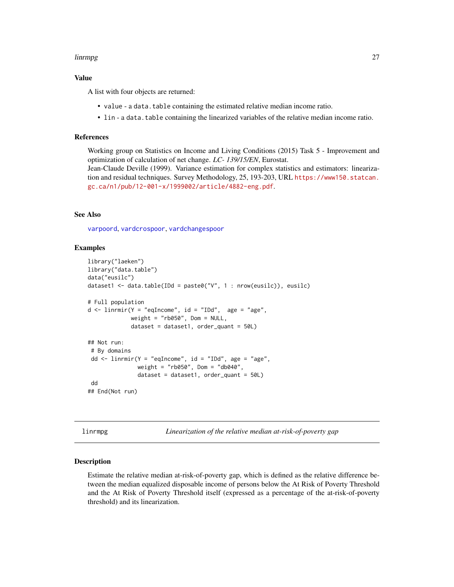#### <span id="page-26-0"></span>linrmpg 27

### Value

A list with four objects are returned:

- value a data.table containing the estimated relative median income ratio.
- lin a data.table containing the linearized variables of the relative median income ratio.

#### References

Working group on Statistics on Income and Living Conditions (2015) Task 5 - Improvement and optimization of calculation of net change. *LC- 139/15/EN*, Eurostat. Jean-Claude Deville (1999). Variance estimation for complex statistics and estimators: lineariza-

tion and residual techniques. Survey Methodology, 25, 193-203, URL [https://www150.statcan.](https://www150.statcan.gc.ca/n1/pub/12-001-x/1999002/article/4882-eng.pdf) [gc.ca/n1/pub/12-001-x/1999002/article/4882-eng.pdf](https://www150.statcan.gc.ca/n1/pub/12-001-x/1999002/article/4882-eng.pdf).

### See Also

[varpoord](#page-81-1), [vardcrospoor](#page-58-1), [vardchangespoor](#page-43-1)

#### Examples

```
library("laeken")
library("data.table")
data("eusilc")
dataset1 <- data.table(IDd = paste0("V", 1 : nrow(eusilc)), eusilc)
# Full population
d \le -\lim min(Y = "eqIncome", id = "IDd", age = "age",weight = "rb050", Dom = NULL,
             dataset = dataset1, order_quant = 50L)
## Not run:
# By domains
dd <- linrmir(Y = "eqIncome", id = "IDd", age = "age",
               weight = "rb050", Dom = "db040",
               dataset = dataset1, order_quant = 50L)
 dd
## End(Not run)
```
<span id="page-26-1"></span>linrmpg *Linearization of the relative median at-risk-of-poverty gap*

#### **Description**

Estimate the relative median at-risk-of-poverty gap, which is defined as the relative difference between the median equalized disposable income of persons below the At Risk of Poverty Threshold and the At Risk of Poverty Threshold itself (expressed as a percentage of the at-risk-of-poverty threshold) and its linearization.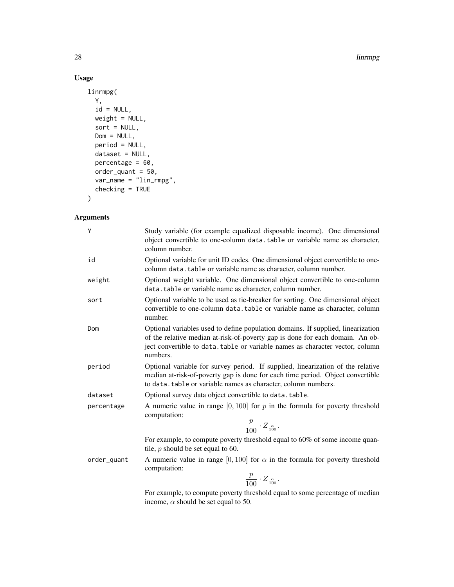#### 28 linrmpg and the set of the set of the set of the set of the set of the set of the set of the set of the set of the set of the set of the set of the set of the set of the set of the set of the set of the set of the set o

### Usage

```
linrmpg(
 Y,
 id = NULL,weight = NULL,
 sort = NULL,Dom = NULL,
 period = NULL,
 dataset = NULL,
 percentage = 60,
 order\_quant = 50,
 var_name = "lin_rmpg",
 checking = TRUE
\mathcal{L}
```
### Arguments

| Ý           | Study variable (for example equalized disposable income). One dimensional<br>object convertible to one-column data.table or variable name as character,<br>column number.                                                                                      |
|-------------|----------------------------------------------------------------------------------------------------------------------------------------------------------------------------------------------------------------------------------------------------------------|
| id          | Optional variable for unit ID codes. One dimensional object convertible to one-<br>column data.table or variable name as character, column number.                                                                                                             |
| weight      | Optional weight variable. One dimensional object convertible to one-column<br>data. table or variable name as character, column number.                                                                                                                        |
| sort        | Optional variable to be used as tie-breaker for sorting. One dimensional object<br>convertible to one-column data. table or variable name as character, column<br>number.                                                                                      |
| Dom         | Optional variables used to define population domains. If supplied, linearization<br>of the relative median at-risk-of-poverty gap is done for each domain. An ob-<br>ject convertible to data. table or variable names as character vector, column<br>numbers. |
| period      | Optional variable for survey period. If supplied, linearization of the relative<br>median at-risk-of-poverty gap is done for each time period. Object convertible<br>to data. table or variable names as character, column numbers.                            |
| dataset     | Optional survey data object convertible to data. table.                                                                                                                                                                                                        |
| percentage  | A numeric value in range $[0, 100]$ for p in the formula for poverty threshold<br>computation:<br>$\frac{p}{100} \cdot Z_{\frac{\alpha}{100}}.$                                                                                                                |
|             | For example, to compute poverty threshold equal to 60% of some income quan-<br>tile, $p$ should be set equal to 60.                                                                                                                                            |
| order_quant | A numeric value in range [0, 100] for $\alpha$ in the formula for poverty threshold<br>computation:<br>$\frac{p}{100} \cdot Z_{\frac{\alpha}{100}}$ .                                                                                                          |
|             | For example, to compute poverty threshold equal to some percentage of median<br>income, $\alpha$ should be set equal to 50.                                                                                                                                    |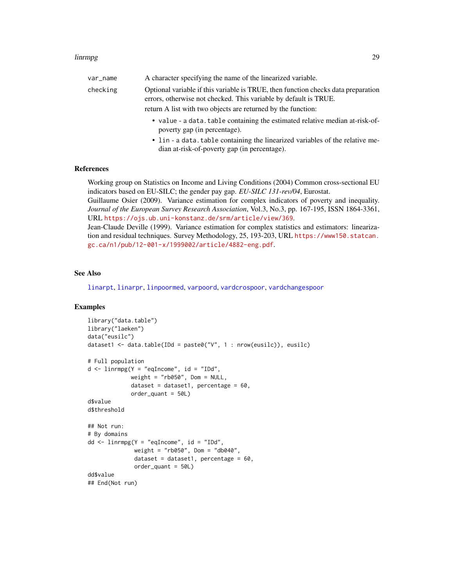#### linrmpg 29

| var_name | A character specifying the name of the linearized variable.                                                                                           |
|----------|-------------------------------------------------------------------------------------------------------------------------------------------------------|
| checking | Optional variable if this variable is TRUE, then function checks data preparation<br>errors, otherwise not checked. This variable by default is TRUE. |
|          | return A list with two objects are returned by the function:                                                                                          |
|          | • value - a data. table containing the estimated relative median at-risk-of-<br>poverty gap (in percentage).                                          |
|          | • lin - a data.table containing the linearized variables of the relative me-                                                                          |

dian at-risk-of-poverty gap (in percentage).

#### References

Working group on Statistics on Income and Living Conditions (2004) Common cross-sectional EU indicators based on EU-SILC; the gender pay gap. *EU-SILC 131-rev/04*, Eurostat.

Guillaume Osier (2009). Variance estimation for complex indicators of poverty and inequality. *Journal of the European Survey Research Association*, Vol.3, No.3, pp. 167-195, ISSN 1864-3361, URL <https://ojs.ub.uni-konstanz.de/srm/article/view/369>.

Jean-Claude Deville (1999). Variance estimation for complex statistics and estimators: linearization and residual techniques. Survey Methodology, 25, 193-203, URL [https://www150.statcan.](https://www150.statcan.gc.ca/n1/pub/12-001-x/1999002/article/4882-eng.pdf) [gc.ca/n1/pub/12-001-x/1999002/article/4882-eng.pdf](https://www150.statcan.gc.ca/n1/pub/12-001-x/1999002/article/4882-eng.pdf).

### See Also

[linarpt](#page-9-1), [linarpr](#page-6-1), [linpoormed](#page-20-1), [varpoord](#page-81-1), [vardcrospoor](#page-58-1), [vardchangespoor](#page-43-1)

#### Examples

```
library("data.table")
library("laeken")
data("eusilc")
dataset1 <- data.table(IDd = paste0("V", 1 : nrow(eusilc)), eusilc)
# Full population
d \leq 1inrmpg(Y = "eqIncome", id = "IDd",
             weight = "rb050", Dom = NULL,
             dataset = dataset1, percentage = 60,
             order\_quant = 50Ld$value
d$threshold
## Not run:
# By domains
dd <- linrmpg(Y = "eqIncome", id = "IDd",
              weight = "rb050", Dom = "db040",
              dataset = dataset1, percentage = 60,
              order_quant = 50L)
dd$value
## End(Not run)
```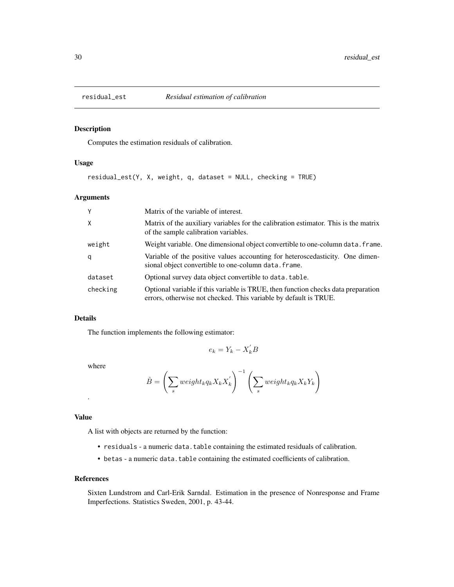<span id="page-29-0"></span>

### Description

Computes the estimation residuals of calibration.

### Usage

residual\_est(Y, X, weight, q, dataset = NULL, checking = TRUE)

### Arguments

| Y            | Matrix of the variable of interest.                                                                                                                   |
|--------------|-------------------------------------------------------------------------------------------------------------------------------------------------------|
| $\mathsf{X}$ | Matrix of the auxiliary variables for the calibration estimator. This is the matrix<br>of the sample calibration variables.                           |
| weight       | Weight variable. One dimensional object convertible to one-column data. frame.                                                                        |
| q            | Variable of the positive values accounting for heteroscedasticity. One dimen-<br>sional object convertible to one-column data. frame.                 |
| dataset      | Optional survey data object convertible to data. table.                                                                                               |
| checking     | Optional variable if this variable is TRUE, then function checks data preparation<br>errors, otherwise not checked. This variable by default is TRUE. |

### Details

The function implements the following estimator:

$$
e_k = Y_k - X_k^{'}B
$$

where

$$
\hat{B} = \left(\sum_{s} weight_k q_k X_k X_k'\right)^{-1} \left(\sum_{s} weight_k q_k X_k Y_k\right)
$$

### Value

.

A list with objects are returned by the function:

- residuals a numeric data.table containing the estimated residuals of calibration.
- betas a numeric data.table containing the estimated coefficients of calibration.

#### References

Sixten Lundstrom and Carl-Erik Sarndal. Estimation in the presence of Nonresponse and Frame Imperfections. Statistics Sweden, 2001, p. 43-44.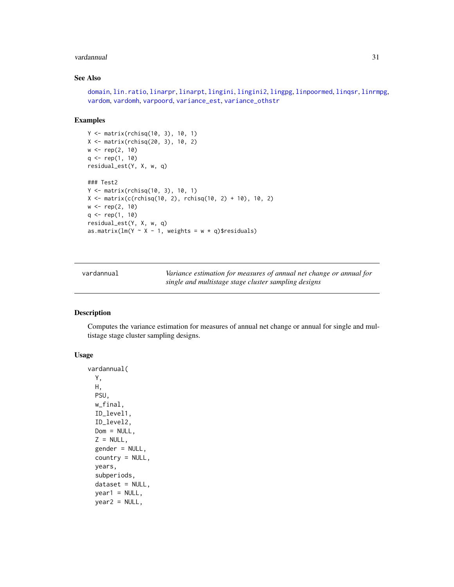#### <span id="page-30-0"></span>vardannual 31 ann an Seanaiste ann an Seanaiste ann an Seanaiste ann an Seanaiste ann an Seanaiste ann an Sean

### See Also

```
domain, lin.ratio, linarpr, linarpt, lingini, lingini2, lingpg, linpoormed, linqsr, linrmpg,
vardom, vardomh, varpoord, variance_est, variance_othstr
```
#### Examples

```
Y <- matrix(rchisq(10, 3), 10, 1)
X <- matrix(rchisq(20, 3), 10, 2)
w <- rep(2, 10)
q \leq rep(1, 10)residual_est(Y, X, w, q)
### Test2
Y <- matrix(rchisq(10, 3), 10, 1)
X \leftarrow matrix(c(rchisq(10, 2), rchisq(10, 2) + 10), 10, 2)w <- rep(2, 10)
q \leftarrow rep(1, 10)residual_est(Y, X, w, q)
as.matrix(lm(Y \sim X - 1, weights = w * q)$residuals)
```
<span id="page-30-1"></span>vardannual *Variance estimation for measures of annual net change or annual for single and multistage stage cluster sampling designs*

#### Description

Computes the variance estimation for measures of annual net change or annual for single and multistage stage cluster sampling designs.

### Usage

```
vardannual(
 Y,
 H,
 PSU,
 w_final,
  ID_level1,
  ID_level2,
 Dom = NULL,Z = NULL,gender = NULL,
  country = NULL,
 years,
  subperiods,
  dataset = NULL,
  year1 = NULL,year2 = NULL,
```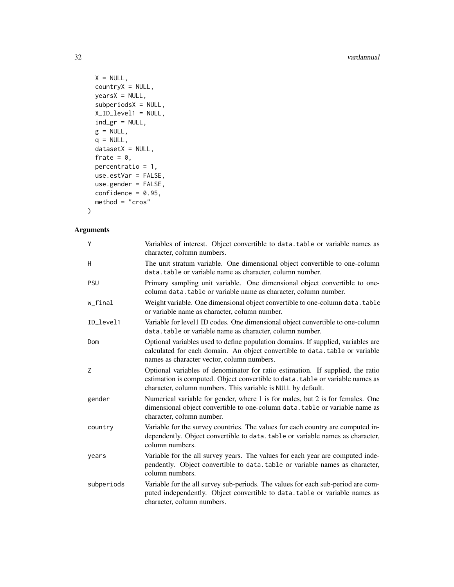#### 32 vardannual

```
X = NULL,countryX = NULL,
years = NULL,subperiodsX = NULL,
X_ID_level1 = NULL,
ind\_gr = NULL,g = NULL,q = NULL,datasetX = NULL,frate = 0,
percentratio = 1,
use.estVar = FALSE,
use.gender = FALSE,
confidence = 0.95,
method = "cross"
```
### )

### Arguments

| Υ          | Variables of interest. Object convertible to data. table or variable names as<br>character, column numbers.                                                                                                                      |
|------------|----------------------------------------------------------------------------------------------------------------------------------------------------------------------------------------------------------------------------------|
| Η          | The unit stratum variable. One dimensional object convertible to one-column<br>data.table or variable name as character, column number.                                                                                          |
| PSU        | Primary sampling unit variable. One dimensional object convertible to one-<br>column data.table or variable name as character, column number.                                                                                    |
| w_final    | Weight variable. One dimensional object convertible to one-column data. table<br>or variable name as character, column number.                                                                                                   |
| ID_level1  | Variable for level1 ID codes. One dimensional object convertible to one-column<br>data.table or variable name as character, column number.                                                                                       |
| Dom        | Optional variables used to define population domains. If supplied, variables are<br>calculated for each domain. An object convertible to data. table or variable<br>names as character vector, column numbers.                   |
| Ζ          | Optional variables of denominator for ratio estimation. If supplied, the ratio<br>estimation is computed. Object convertible to data. table or variable names as<br>character, column numbers. This variable is NULL by default. |
| gender     | Numerical variable for gender, where 1 is for males, but 2 is for females. One<br>dimensional object convertible to one-column data. table or variable name as<br>character, column number.                                      |
| country    | Variable for the survey countries. The values for each country are computed in-<br>dependently. Object convertible to data. table or variable names as character,<br>column numbers.                                             |
| years      | Variable for the all survey years. The values for each year are computed inde-<br>pendently. Object convertible to data.table or variable names as character,<br>column numbers.                                                 |
| subperiods | Variable for the all survey sub-periods. The values for each sub-period are com-<br>puted independently. Object convertible to data.table or variable names as<br>character, column numbers.                                     |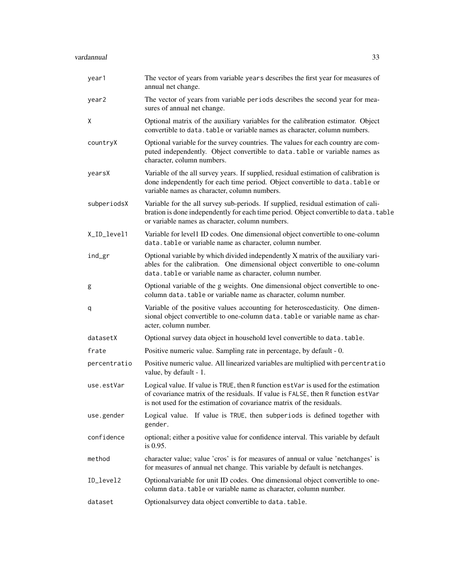| year1        | The vector of years from variable years describes the first year for measures of<br>annual net change.                                                                                                                                          |
|--------------|-------------------------------------------------------------------------------------------------------------------------------------------------------------------------------------------------------------------------------------------------|
| year2        | The vector of years from variable periods describes the second year for mea-<br>sures of annual net change.                                                                                                                                     |
| Χ            | Optional matrix of the auxiliary variables for the calibration estimator. Object<br>convertible to data. table or variable names as character, column numbers.                                                                                  |
| countryX     | Optional variable for the survey countries. The values for each country are com-<br>puted independently. Object convertible to data.table or variable names as<br>character, column numbers.                                                    |
| yearsX       | Variable of the all survey years. If supplied, residual estimation of calibration is<br>done independently for each time period. Object convertible to data.table or<br>variable names as character, column numbers.                            |
| subperiodsX  | Variable for the all survey sub-periods. If supplied, residual estimation of cali-<br>bration is done independently for each time period. Object convertible to data. table<br>or variable names as character, column numbers.                  |
| X_ID_level1  | Variable for level1 ID codes. One dimensional object convertible to one-column<br>data.table or variable name as character, column number.                                                                                                      |
| ind_gr       | Optional variable by which divided independently X matrix of the auxiliary vari-<br>ables for the calibration. One dimensional object convertible to one-column<br>data.table or variable name as character, column number.                     |
| g            | Optional variable of the g weights. One dimensional object convertible to one-<br>column data. table or variable name as character, column number.                                                                                              |
| q            | Variable of the positive values accounting for heteroscedasticity. One dimen-<br>sional object convertible to one-column data. table or variable name as char-<br>acter, column number.                                                         |
| datasetX     | Optional survey data object in household level convertible to data. table.                                                                                                                                                                      |
| frate        | Positive numeric value. Sampling rate in percentage, by default - 0.                                                                                                                                                                            |
| percentratio | Positive numeric value. All linearized variables are multiplied with percentratio<br>value, by default - 1.                                                                                                                                     |
| use.estVar   | Logical value. If value is TRUE, then R function estVar is used for the estimation<br>of covariance matrix of the residuals. If value is FALSE, then R function estVar<br>is not used for the estimation of covariance matrix of the residuals. |
| use.gender   | Logical value. If value is TRUE, then subperiods is defined together with<br>gender.                                                                                                                                                            |
| confidence   | optional; either a positive value for confidence interval. This variable by default<br>is 0.95.                                                                                                                                                 |
| method       | character value; value 'cros' is for measures of annual or value 'netchanges' is<br>for measures of annual net change. This variable by default is netchanges.                                                                                  |
| ID_level2    | Optionalvariable for unit ID codes. One dimensional object convertible to one-<br>column data. table or variable name as character, column number.                                                                                              |
| dataset      | Optionalsurvey data object convertible to data.table.                                                                                                                                                                                           |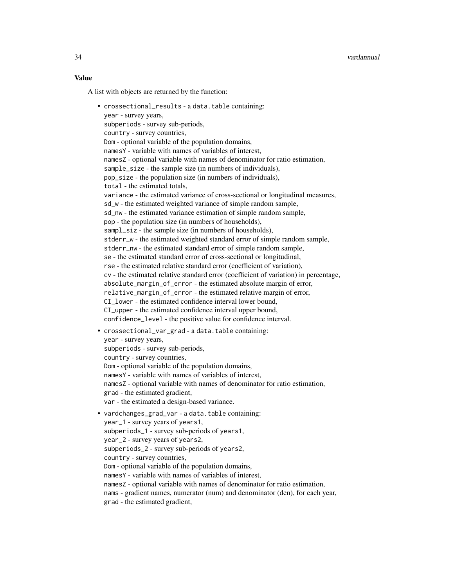### Value

A list with objects are returned by the function:

```
• crossectional_results - a data.table containing:
  year - survey years,
  subperiods - survey sub-periods,
  country - survey countries,
  Dom - optional variable of the population domains,
  namesY - variable with names of variables of interest,
  namesZ - optional variable with names of denominator for ratio estimation,
  sample_size - the sample size (in numbers of individuals),
  pop_size - the population size (in numbers of individuals),
  total - the estimated totals,
  variance - the estimated variance of cross-sectional or longitudinal measures,
  sd_w - the estimated weighted variance of simple random sample,
  sd_nw - the estimated variance estimation of simple random sample,
  pop - the population size (in numbers of households),
  sampl_siz - the sample size (in numbers of households),
  stderr_w - the estimated weighted standard error of simple random sample,
  stderr_nw - the estimated standard error of simple random sample,
  se - the estimated standard error of cross-sectional or longitudinal,
  rse - the estimated relative standard error (coefficient of variation),
  cv - the estimated relative standard error (coefficient of variation) in percentage,
  absolute_margin_of_error - the estimated absolute margin of error,
  relative_margin_of_error - the estimated relative margin of error,
  CI_lower - the estimated confidence interval lower bound,
  CI_upper - the estimated confidence interval upper bound,
  confidence_level - the positive value for confidence interval.
• crossectional_var_grad - a data.table containing:
  year - survey years,
  subperiods - survey sub-periods,
  country - survey countries,
  Dom - optional variable of the population domains,
  namesY - variable with names of variables of interest,
  namesZ - optional variable with names of denominator for ratio estimation,
  grad - the estimated gradient,
  var - the estimated a design-based variance.
• vardchanges_grad_var - a data.table containing:
  year_1 - survey years of years1,
  subperiods_1 - survey sub-periods of years1,
  year_2 - survey years of years2,
  subperiods_2 - survey sub-periods of years2,
  country - survey countries,
 Dom - optional variable of the population domains,
  namesY - variable with names of variables of interest,
  namesZ - optional variable with names of denominator for ratio estimation,
  nams - gradient names, numerator (num) and denominator (den), for each year,
  grad - the estimated gradient,
```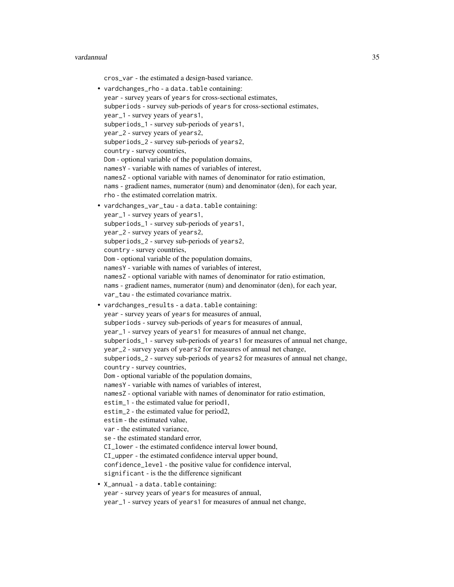#### vardannual 35

cros\_var - the estimated a design-based variance.

• vardchanges\_rho - a data.table containing: year - survey years of years for cross-sectional estimates, subperiods - survey sub-periods of years for cross-sectional estimates, year\_1 - survey years of years1, subperiods\_1 - survey sub-periods of years1, year\_2 - survey years of years2, subperiods\_2 - survey sub-periods of years2, country - survey countries, Dom - optional variable of the population domains, namesY - variable with names of variables of interest, namesZ - optional variable with names of denominator for ratio estimation, nams - gradient names, numerator (num) and denominator (den), for each year, rho - the estimated correlation matrix. • vardchanges\_var\_tau - a data.table containing: year\_1 - survey years of years1, subperiods\_1 - survey sub-periods of years1, year\_2 - survey years of years2, subperiods\_2 - survey sub-periods of years2, country - survey countries, Dom - optional variable of the population domains, namesY - variable with names of variables of interest, namesZ - optional variable with names of denominator for ratio estimation, nams - gradient names, numerator (num) and denominator (den), for each year, var\_tau - the estimated covariance matrix. • vardchanges\_results - a data.table containing: year - survey years of years for measures of annual, subperiods - survey sub-periods of years for measures of annual, year\_1 - survey years of years1 for measures of annual net change, subperiods\_1 - survey sub-periods of years1 for measures of annual net change, year\_2 - survey years of years2 for measures of annual net change, subperiods\_2 - survey sub-periods of years2 for measures of annual net change, country - survey countries, Dom - optional variable of the population domains, namesY - variable with names of variables of interest, namesZ - optional variable with names of denominator for ratio estimation, estim\_1 - the estimated value for period1, estim\_2 - the estimated value for period2, estim - the estimated value, var - the estimated variance, se - the estimated standard error, CI\_lower - the estimated confidence interval lower bound, CI\_upper - the estimated confidence interval upper bound, confidence\_level - the positive value for confidence interval, significant - is the the difference significant • X\_annual - a data.table containing: year - survey years of years for measures of annual, year\_1 - survey years of years1 for measures of annual net change,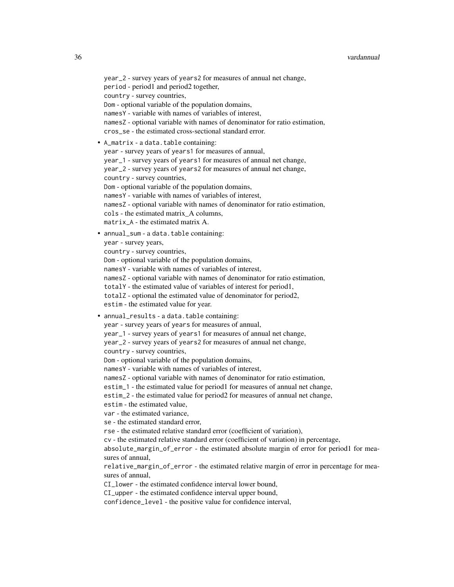```
year_2 - survey years of years2 for measures of annual net change,
 period - period1 and period2 together,
  country - survey countries,
  Dom - optional variable of the population domains,
  namesY - variable with names of variables of interest,
  namesZ - optional variable with names of denominator for ratio estimation,
  cros_se - the estimated cross-sectional standard error.
• A_matrix - a data.table containing:
  year - survey years of years1 for measures of annual,
  year_1 - survey years of years1 for measures of annual net change,
  year_2 - survey years of years2 for measures of annual net change,
  country - survey countries,
 Dom - optional variable of the population domains,
  namesY - variable with names of variables of interest,
  namesZ - optional variable with names of denominator for ratio estimation,
  cols - the estimated matrix_A columns,
 matrix_A - the estimated matrix A.
• annual_sum - a data.table containing:
  year - survey years,
  country - survey countries,
 Dom - optional variable of the population domains,
  namesY - variable with names of variables of interest,
  namesZ - optional variable with names of denominator for ratio estimation,
  totalY - the estimated value of variables of interest for period1,
  totalZ - optional the estimated value of denominator for period2,
  estim - the estimated value for year.
• annual_results - a data.table containing:
  year - survey years of years for measures of annual,
  year_1 - survey years of years1 for measures of annual net change,
 year_2 - survey years of years2 for measures of annual net change,
  country - survey countries,
  Dom - optional variable of the population domains,
  namesY - variable with names of variables of interest,
  namesZ - optional variable with names of denominator for ratio estimation,
  estim_1 - the estimated value for period1 for measures of annual net change,
  estim_2 - the estimated value for period2 for measures of annual net change,
  estim - the estimated value,
  var - the estimated variance,
  se - the estimated standard error,
  rse - the estimated relative standard error (coefficient of variation),
  cv - the estimated relative standard error (coefficient of variation) in percentage,
  absolute_margin_of_error - the estimated absolute margin of error for period1 for mea-
  sures of annual,
  relative_margin_of_error - the estimated relative margin of error in percentage for mea-
  sures of annual,
  CI_lower - the estimated confidence interval lower bound,
```
CI\_upper - the estimated confidence interval upper bound,

confidence\_level - the positive value for confidence interval,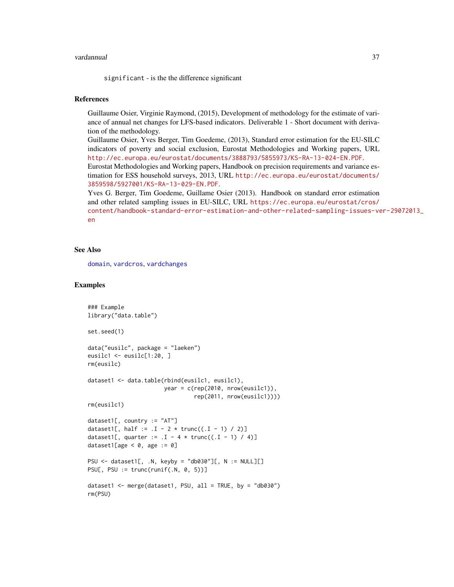#### vardannual 37

significant - is the the difference significant

### References

Guillaume Osier, Virginie Raymond, (2015), Development of methodology for the estimate of variance of annual net changes for LFS-based indicators. Deliverable 1 - Short document with derivation of the methodology.

Guillaume Osier, Yves Berger, Tim Goedeme, (2013), Standard error estimation for the EU-SILC indicators of poverty and social exclusion, Eurostat Methodologies and Working papers, URL <http://ec.europa.eu/eurostat/documents/3888793/5855973/KS-RA-13-024-EN.PDF>. Eurostat Methodologies and Working papers, Handbook on precision requirements and variance es-

timation for ESS household surveys, 2013, URL [http://ec.europa.eu/eurostat/documents/](http://ec.europa.eu/eurostat/documents/3859598/5927001/KS-RA-13-029-EN.PDF) [3859598/5927001/KS-RA-13-029-EN.PDF](http://ec.europa.eu/eurostat/documents/3859598/5927001/KS-RA-13-029-EN.PDF).

Yves G. Berger, Tim Goedeme, Guillame Osier (2013). Handbook on standard error estimation and other related sampling issues in EU-SILC, URL [https://ec.europa.eu/eurostat/cros/](https://ec.europa.eu/eurostat/cros/content/handbook-standard-error-estimation-and-other-related-sampling-issues-ver-29072013_en) [content/handbook-standard-error-estimation-and-other-related-sampling-issues-ve](https://ec.europa.eu/eurostat/cros/content/handbook-standard-error-estimation-and-other-related-sampling-issues-ver-29072013_en)r-29072013\_ [en](https://ec.europa.eu/eurostat/cros/content/handbook-standard-error-estimation-and-other-related-sampling-issues-ver-29072013_en)

### See Also

[domain](#page-2-0), [vardcros](#page-51-0), [vardchanges](#page-37-0)

### Examples

```
### Example
library("data.table")
set.seed(1)
data("eusilc", package = "laeken")
eusilc1 <- eusilc[1:20, ]
rm(eusilc)
dataset1 <- data.table(rbind(eusilc1, eusilc1),
                       year = c(rep(2010, nrow(eusilc1)),
                                rep(2011, nrow(eusilc1))))
rm(eusilc1)
dataset1[, country := "AT"]dataset1[, half := .1 - 2 * true((.1 - 1) / 2)]
dataset1[, quarter := I - 4 * true((I - 1) / 4)]dataset1[age \leq \emptyset, age := 0]
PSU <- dataset1[, .N, keyby = "db030"][, N := NULL][]
PSU[, PSU := trunc(runif(.N, \theta, 5))]
dataset1 <- merge(dataset1, PSU, all = TRUE, by = "db030")
rm(PSU)
```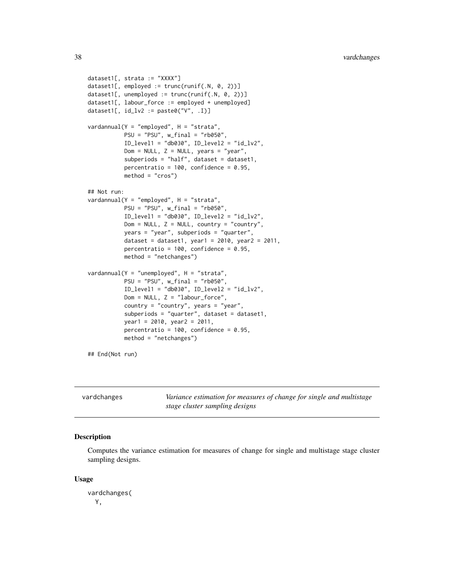```
dataset1[, strata := "XXXX"]
dataset1[, employed := trunc(runif(.N, 0, 2))]
dataset1[, unemployed := trunc(runif(.N, 0, 2))]
dataset1[, labour_force := employed + unemployed]
dataset1[, id_lv2 := paste0("V", .I)]vardannual(Y = "employed", H = "strata",PSU = "PSU", w_final = "rb050",
           ID\_level1 = "db030", ID\_level2 = "id\_lv2",Dom = NULL, Z = NULL, years = "year",
           subperiods = "half", dataset = dataset1,
           percentratio = 100, confidence = 0.95,
           method = "cross")## Not run:
vardannual(Y = "employed", H = "strata",
          PSU = "PSU", w_final = "rb050",
           ID_level1 = "db030", ID_level2 = "id_lv2",
           Dom = NULL, Z = NULL, country = "country",
           years = "year", subperiods = "quarter",
           dataset = dataset1, year1 = 2010, year2 = 2011,
           percentratio = 100, confidence = 0.95,
           method = "netchanges")
vardannual(Y = "unemployed", H = "strata",PSU = "PSU", w_final = "rb050",
           ID\_level1 = "db030", ID\_level2 = "id\_lv2",Dom = NULL, Z = "labor\_force",country = "country", years = "year",
           subperiods = "quarter", dataset = dataset1,
           year1 = 2010, year2 = 2011,
           percentratio = 100, confidence = 0.95,
           method = "netchanges")
## End(Not run)
```
<span id="page-37-0"></span>

| vardchanges |
|-------------|
|-------------|

Variance estimation for measures of change for single and multistage *stage cluster sampling designs*

### Description

Computes the variance estimation for measures of change for single and multistage stage cluster sampling designs.

#### Usage

vardchanges( Y,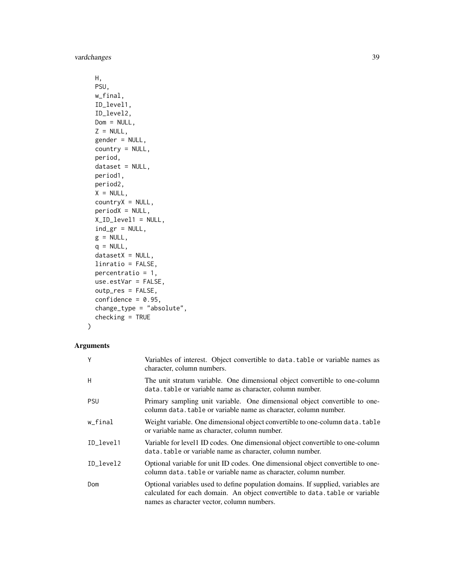```
H,
 PSU,
 w_final,
 ID_level1,
  ID_level2,
 Dom = NULL,
  Z = NULL,gender = NULL,
  country = NULL,
 period,
  dataset = NULL,
 period1,
 period2,
 X = NULL,countryX = NULL,periodX = NULL,
 X_ID_level1 = NULL,
  ind\_gr = NULL,g = NULL,q = NULL,datasetX = NULL,linratio = FALSE,
 percentratio = 1,
  use.estVar = FALSE,
 outp_res = FALSE,
  confidence = 0.95,
  change_type = "absolute",
  checking = TRUE
\mathcal{L}
```
### Arguments

| Y          | Variables of interest. Object convertible to data.table or variable names as<br>character, column numbers.                                                                                                     |
|------------|----------------------------------------------------------------------------------------------------------------------------------------------------------------------------------------------------------------|
| H          | The unit stratum variable. One dimensional object convertible to one-column<br>data. table or variable name as character, column number.                                                                       |
| <b>PSU</b> | Primary sampling unit variable. One dimensional object convertible to one-<br>column data. table or variable name as character, column number.                                                                 |
| w_final    | Weight variable. One dimensional object convertible to one-column data. table<br>or variable name as character, column number.                                                                                 |
| ID_level1  | Variable for level1 ID codes. One dimensional object convertible to one-column<br>data. table or variable name as character, column number.                                                                    |
| ID level2  | Optional variable for unit ID codes. One dimensional object convertible to one-<br>column data. table or variable name as character, column number.                                                            |
| Dom        | Optional variables used to define population domains. If supplied, variables are<br>calculated for each domain. An object convertible to data, table or variable<br>names as character vector, column numbers. |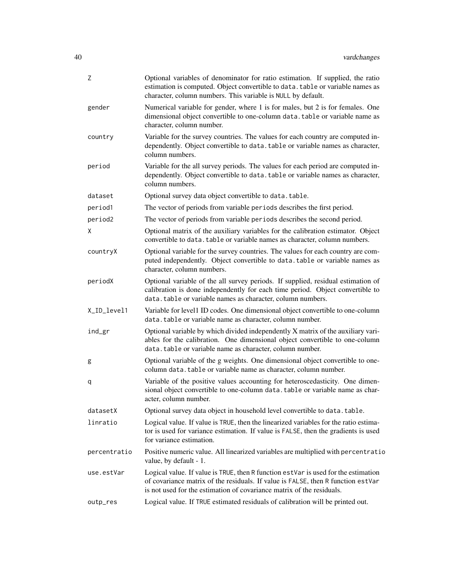| Ζ            | Optional variables of denominator for ratio estimation. If supplied, the ratio<br>estimation is computed. Object convertible to data. table or variable names as<br>character, column numbers. This variable is NULL by default.                |
|--------------|-------------------------------------------------------------------------------------------------------------------------------------------------------------------------------------------------------------------------------------------------|
| gender       | Numerical variable for gender, where 1 is for males, but 2 is for females. One<br>dimensional object convertible to one-column data. table or variable name as<br>character, column number.                                                     |
| country      | Variable for the survey countries. The values for each country are computed in-<br>dependently. Object convertible to data. table or variable names as character,<br>column numbers.                                                            |
| period       | Variable for the all survey periods. The values for each period are computed in-<br>dependently. Object convertible to data. table or variable names as character,<br>column numbers.                                                           |
| dataset      | Optional survey data object convertible to data.table.                                                                                                                                                                                          |
| period1      | The vector of periods from variable periods describes the first period.                                                                                                                                                                         |
| period2      | The vector of periods from variable periods describes the second period.                                                                                                                                                                        |
| X.           | Optional matrix of the auxiliary variables for the calibration estimator. Object<br>convertible to data. table or variable names as character, column numbers.                                                                                  |
| countryX     | Optional variable for the survey countries. The values for each country are com-<br>puted independently. Object convertible to data.table or variable names as<br>character, column numbers.                                                    |
| periodX      | Optional variable of the all survey periods. If supplied, residual estimation of<br>calibration is done independently for each time period. Object convertible to<br>data.table or variable names as character, column numbers.                 |
| X_ID_level1  | Variable for level1 ID codes. One dimensional object convertible to one-column<br>data.table or variable name as character, column number.                                                                                                      |
| ind_gr       | Optional variable by which divided independently X matrix of the auxiliary vari-<br>ables for the calibration. One dimensional object convertible to one-column<br>data.table or variable name as character, column number.                     |
| g            | Optional variable of the g weights. One dimensional object convertible to one-<br>column data.table or variable name as character, column number.                                                                                               |
| q            | Variable of the positive values accounting for heteroscedasticity. One dimen-<br>sional object convertible to one-column data. table or variable name as char-<br>acter, column number.                                                         |
| datasetX     | Optional survey data object in household level convertible to data. table.                                                                                                                                                                      |
| linratio     | Logical value. If value is TRUE, then the linearized variables for the ratio estima-<br>tor is used for variance estimation. If value is FALSE, then the gradients is used<br>for variance estimation.                                          |
| percentratio | Positive numeric value. All linearized variables are multiplied with percentratio<br>value, by default - 1.                                                                                                                                     |
| use.estVar   | Logical value. If value is TRUE, then R function estVar is used for the estimation<br>of covariance matrix of the residuals. If value is FALSE, then R function estVar<br>is not used for the estimation of covariance matrix of the residuals. |
| outp_res     | Logical value. If TRUE estimated residuals of calibration will be printed out.                                                                                                                                                                  |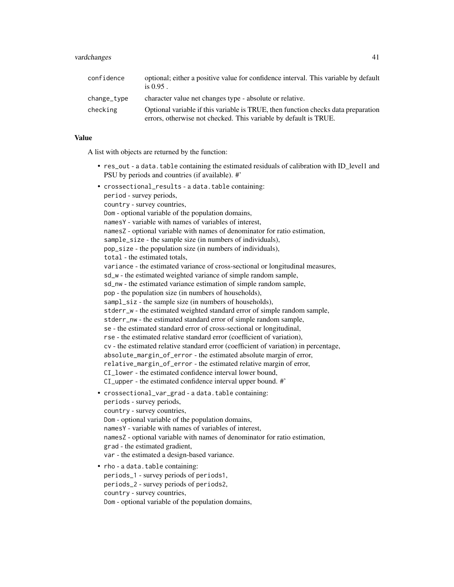| confidence  | optional; either a positive value for confidence interval. This variable by default<br>is $0.95$ .                                                    |
|-------------|-------------------------------------------------------------------------------------------------------------------------------------------------------|
| change_type | character value net changes type - absolute or relative.                                                                                              |
| checking    | Optional variable if this variable is TRUE, then function checks data preparation<br>errors, otherwise not checked. This variable by default is TRUE. |

### Value

A list with objects are returned by the function:

• res\_out - a data.table containing the estimated residuals of calibration with ID\_level1 and PSU by periods and countries (if available). #'

```
• crossectional_results - a data.table containing:
  period - survey periods,
  country - survey countries,
  Dom - optional variable of the population domains,
  namesY - variable with names of variables of interest,
  namesZ - optional variable with names of denominator for ratio estimation,
  sample_size - the sample size (in numbers of individuals),
  pop_size - the population size (in numbers of individuals),
  total - the estimated totals,
  variance - the estimated variance of cross-sectional or longitudinal measures,
  sd_w - the estimated weighted variance of simple random sample,
  sd_nw - the estimated variance estimation of simple random sample,
  pop - the population size (in numbers of households),
  sampl_siz - the sample size (in numbers of households),
  stderr_w - the estimated weighted standard error of simple random sample,
  stderr_nw - the estimated standard error of simple random sample,
  se - the estimated standard error of cross-sectional or longitudinal,
  rse - the estimated relative standard error (coefficient of variation),
  cv - the estimated relative standard error (coefficient of variation) in percentage,
  absolute_margin_of_error - the estimated absolute margin of error,
  relative_margin_of_error - the estimated relative margin of error,
  CI_lower - the estimated confidence interval lower bound,
  CI_upper - the estimated confidence interval upper bound. #'
• crossectional_var_grad - a data.table containing:
  periods - survey periods,
  country - survey countries,
  Dom - optional variable of the population domains,
  namesY - variable with names of variables of interest,
  namesZ - optional variable with names of denominator for ratio estimation,
  grad - the estimated gradient,
  var - the estimated a design-based variance.
• rho - a data.table containing:
  periods_1 - survey periods of periods1,
 periods_2 - survey periods of periods2,
```
Dom - optional variable of the population domains,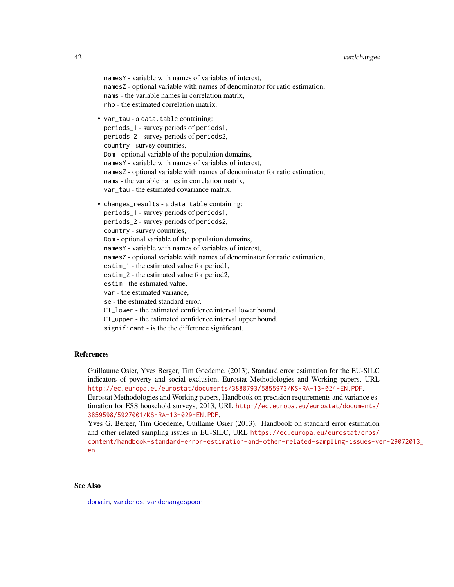namesY - variable with names of variables of interest, namesZ - optional variable with names of denominator for ratio estimation, nams - the variable names in correlation matrix, rho - the estimated correlation matrix.

- var\_tau a data.table containing: periods\_1 - survey periods of periods1, periods\_2 - survey periods of periods2, country - survey countries, Dom - optional variable of the population domains, namesY - variable with names of variables of interest, namesZ - optional variable with names of denominator for ratio estimation, nams - the variable names in correlation matrix, var tau - the estimated covariance matrix. • changes\_results - a data.table containing:
- periods\_1 survey periods of periods1, periods\_2 - survey periods of periods2, country - survey countries, Dom - optional variable of the population domains, namesY - variable with names of variables of interest, namesZ - optional variable with names of denominator for ratio estimation, estim\_1 - the estimated value for period1, estim\_2 - the estimated value for period2, estim - the estimated value, var - the estimated variance, se - the estimated standard error, CI\_lower - the estimated confidence interval lower bound, CI\_upper - the estimated confidence interval upper bound. significant - is the the difference significant.

### References

Guillaume Osier, Yves Berger, Tim Goedeme, (2013), Standard error estimation for the EU-SILC indicators of poverty and social exclusion, Eurostat Methodologies and Working papers, URL <http://ec.europa.eu/eurostat/documents/3888793/5855973/KS-RA-13-024-EN.PDF>. Eurostat Methodologies and Working papers, Handbook on precision requirements and variance estimation for ESS household surveys, 2013, URL [http://ec.europa.eu/eurostat/documents/](http://ec.europa.eu/eurostat/documents/3859598/5927001/KS-RA-13-029-EN.PDF) [3859598/5927001/KS-RA-13-029-EN.PDF](http://ec.europa.eu/eurostat/documents/3859598/5927001/KS-RA-13-029-EN.PDF).

Yves G. Berger, Tim Goedeme, Guillame Osier (2013). Handbook on standard error estimation and other related sampling issues in EU-SILC, URL [https://ec.europa.eu/eurostat/cros/](https://ec.europa.eu/eurostat/cros/content/handbook-standard-error-estimation-and-other-related-sampling-issues-ver-29072013_en) [content/handbook-standard-error-estimation-and-other-related-sampling-issues-ve](https://ec.europa.eu/eurostat/cros/content/handbook-standard-error-estimation-and-other-related-sampling-issues-ver-29072013_en)r-29072013\_ [en](https://ec.europa.eu/eurostat/cros/content/handbook-standard-error-estimation-and-other-related-sampling-issues-ver-29072013_en)

### See Also

[domain](#page-2-0), [vardcros](#page-51-0), [vardchangespoor](#page-43-0)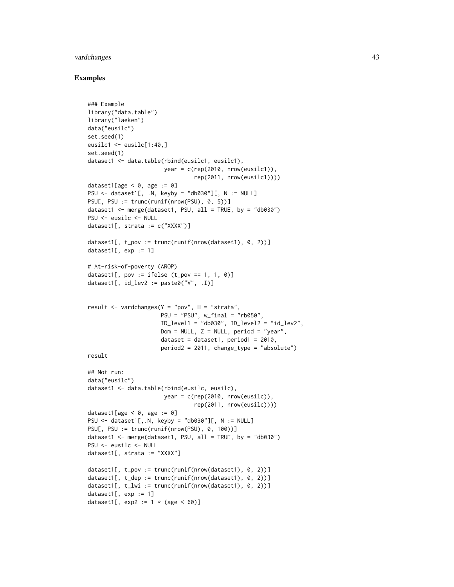### vardchanges and the state of the state of the state of the state of the state of the state of the state of the state of the state of the state of the state of the state of the state of the state of the state of the state o

### Examples

```
### Example
library("data.table")
library("laeken")
data("eusilc")
set.seed(1)
eusilc1 \leftarrow \text{eusilc}[1:40, ]set.seed(1)
dataset1 <- data.table(rbind(eusilc1, eusilc1),
                       year = c(rep(2010, nrow(eusilc1)),
                                 rep(2011, nrow(eusilc1))))
dataset1[age \leq \emptyset, age := 0]
PSU \le dataset1[, .N, keyby = "db030"][, N := NULL]
PSU[, PSU := trunc(runif(nrow(PSU), 0, 5))]
dataset1 <- merge(dataset1, PSU, all = TRUE, by = "db030")
PSU <- eusilc <- NULL
dataset1[, strata := c("XXXX")]
dataset1[, t_pov := trunc(runif(nrow(dataset1), 0, 2)]
dataset1[, exp := 1]
# At-risk-of-poverty (AROP)
dataset1[, pov := ifelse (t_{p0} = 1, 1, 0)]
dataset1[, id\_lev2 := paste0("V", .I)]result <- vardchanges(Y = "pov", H = "strata",
                      PSU = "PSU", w_final = "rb050",
                      ID\_level1 = "db030", ID\_level2 = "id\_lev2",Dom = NULL, Z = NULL, period = "year",
                      dataset = dataset1, period1 = 2010,
                      period2 = 2011, change_type = "absolute")
result
## Not run:
data("eusilc")
dataset1 <- data.table(rbind(eusilc, eusilc),
                       year = c(rep(2010, nrow(eusile)),rep(2011, nrow(eusilc))))
dataset1[age < 0, age := 0]
PSU \leq dataset1[,.N, keyby = "db030"][, N := NULL]
PSU[, PSU := trunc(runif(nrow(PSU), 0, 100))]
dataset1 <- merge(dataset1, PSU, all = TRUE, by = "db030")
PSU <- eusilc <- NULL
dataset1[, strata := "XXXX"]
dataset1[, t_pov := trunc(runif(nrow(dataset1), 0, 2))]
dataset1[, t_dep := trunc(runif(nrow(dataset1), 0, 2))]
dataset1[, t_lwi := trunc(runif(nrow(dataset1), 0, 2))]
dataset1[, exp := 1]
dataset1[, exp2 := 1 * (age < 60)]
```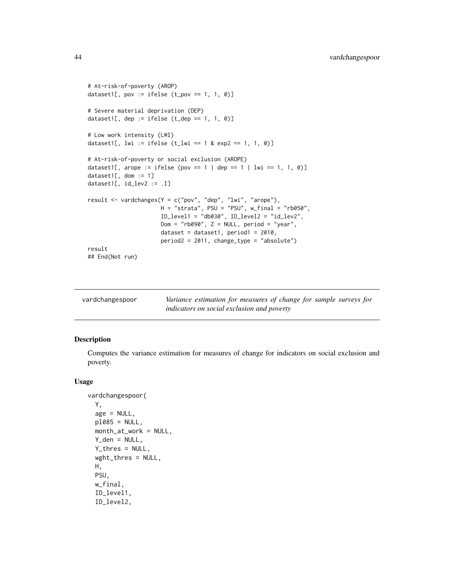```
# At-risk-of-poverty (AROP)
dataset1[, pov := ifelse (t_{p0} = 1, 1, 0)]
# Severe material deprivation (DEP)
dataset1[, dep := ifelse (t<sup>dep ==</sup> 1, 1, 0)]
# Low work intensity (LWI)
dataset1[, lwi := ifelse (t_l w_i = 1 & 0 \text{ exp2} == 1, 1, 0)]
# At-risk-of-poverty or social exclusion (AROPE)
dataset1[, arope := ifelse (pov == 1 | dep == 1 | lwi == 1, 1, 0)]
dataset1[, dom := 1]
dataset1[, id_lev2 := .I]
result <- vardchanges(Y = c("pov", "dep", "lwi", "arope"),
                      H = "strata", PSU = "PSU", w_final = "rb050",ID_level1 = "db030", ID_level2 = "id_lev2",
                      Dom = "rb090", Z = NULL, period = "year",dataset = dataset1, period1 = 2010,
                      period2 = 2011, change_type = "absolute")
result
## End(Not run)
```
<span id="page-43-0"></span>

| vardchangespoor | Variance estimation for measures of change for sample surveys for |
|-----------------|-------------------------------------------------------------------|
|                 | indicators on social exclusion and poverty                        |

### Description

Computes the variance estimation for measures of change for indicators on social exclusion and poverty.

### Usage

```
vardchangespoor(
  Y,
  age = NULL,p1085 = NULL,month_at_work = NULL,
  Y_dden = NULL,
  Y_thres = NULL,
  wght_thres = NULL,
 H,
 PSU,
  w_final,
  ID_level1,
  ID_level2,
```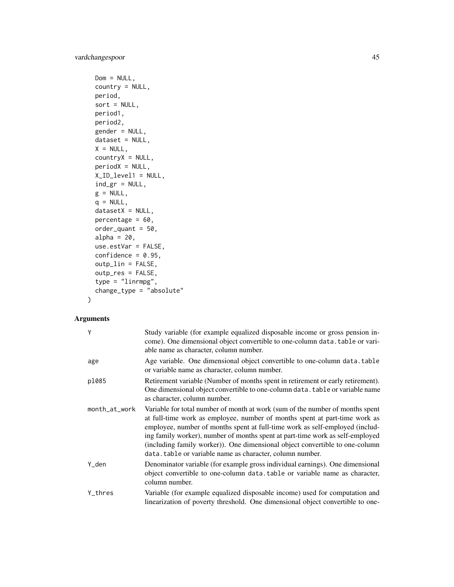```
Dom = NULL,country = NULL,
period,
sort = NULL,period1,
period2,
gender = NULL,
dataset = NULL,
X = NULL,countryX = NULL,periodX = NULL,
X_ID_level1 = NULL,
ind\_gr = NULL,g = NULL,q = NULL,datasetX = NULL,percentage = 60,
order_quant = 50,
alpha = 20,
use.estVar = FALSE,
confidence = 0.95,
outp_lin = FALSE,
outp_res = FALSE,
type = "linrmpg",
change_type = "absolute"
```
### Arguments

 $\mathcal{L}$ 

| Y             | Study variable (for example equalized disposable income or gross pension in-<br>come). One dimensional object convertible to one-column data. table or vari-<br>able name as character, column number.                                                                                                                                                                                                                                                                    |
|---------------|---------------------------------------------------------------------------------------------------------------------------------------------------------------------------------------------------------------------------------------------------------------------------------------------------------------------------------------------------------------------------------------------------------------------------------------------------------------------------|
| age           | Age variable. One dimensional object convertible to one-column data.table<br>or variable name as character, column number.                                                                                                                                                                                                                                                                                                                                                |
| p1085         | Retirement variable (Number of months spent in retirement or early retirement).<br>One dimensional object convertible to one-column data. table or variable name<br>as character, column number.                                                                                                                                                                                                                                                                          |
| month_at_work | Variable for total number of month at work (sum of the number of months spent<br>at full-time work as employee, number of months spent at part-time work as<br>employee, number of months spent at full-time work as self-employed (includ-<br>ing family worker), number of months spent at part-time work as self-employed<br>(including family worker)). One dimensional object convertible to one-column<br>data. table or variable name as character, column number. |
| Y_den         | Denominator variable (for example gross individual earnings). One dimensional<br>object convertible to one-column data. table or variable name as character,<br>column number.                                                                                                                                                                                                                                                                                            |
| Y_thres       | Variable (for example equalized disposable income) used for computation and<br>linearization of poverty threshold. One dimensional object convertible to one-                                                                                                                                                                                                                                                                                                             |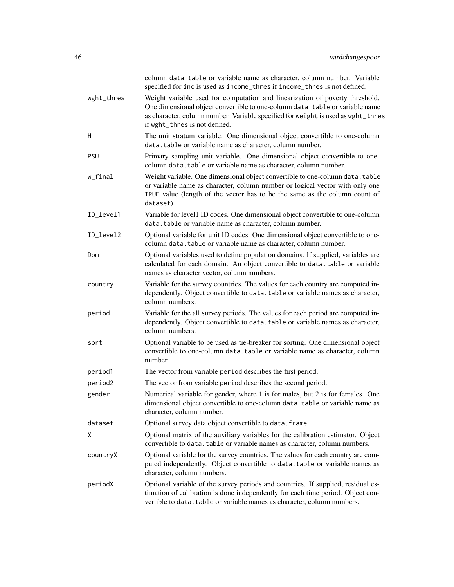|            | column data.table or variable name as character, column number. Variable<br>specified for inc is used as income_thres if income_thres is not defined.                                                                                                                              |
|------------|------------------------------------------------------------------------------------------------------------------------------------------------------------------------------------------------------------------------------------------------------------------------------------|
| wght_thres | Weight variable used for computation and linearization of poverty threshold.<br>One dimensional object convertible to one-column data. table or variable name<br>as character, column number. Variable specified for weight is used as wght_thres<br>if wght_thres is not defined. |
| H          | The unit stratum variable. One dimensional object convertible to one-column<br>data.table or variable name as character, column number.                                                                                                                                            |
| <b>PSU</b> | Primary sampling unit variable. One dimensional object convertible to one-<br>column data.table or variable name as character, column number.                                                                                                                                      |
| w_final    | Weight variable. One dimensional object convertible to one-column data. table<br>or variable name as character, column number or logical vector with only one<br>TRUE value (length of the vector has to be the same as the column count of<br>dataset).                           |
| ID_level1  | Variable for level1 ID codes. One dimensional object convertible to one-column<br>data.table or variable name as character, column number.                                                                                                                                         |
| ID_level2  | Optional variable for unit ID codes. One dimensional object convertible to one-<br>column data.table or variable name as character, column number.                                                                                                                                 |
| Dom        | Optional variables used to define population domains. If supplied, variables are<br>calculated for each domain. An object convertible to data.table or variable<br>names as character vector, column numbers.                                                                      |
| country    | Variable for the survey countries. The values for each country are computed in-<br>dependently. Object convertible to data. table or variable names as character,<br>column numbers.                                                                                               |
| period     | Variable for the all survey periods. The values for each period are computed in-<br>dependently. Object convertible to data. table or variable names as character,<br>column numbers.                                                                                              |
| sort       | Optional variable to be used as tie-breaker for sorting. One dimensional object<br>convertible to one-column data. table or variable name as character, column<br>number.                                                                                                          |
| period1    | The vector from variable period describes the first period.                                                                                                                                                                                                                        |
| period2    | The vector from variable period describes the second period.                                                                                                                                                                                                                       |
| gender     | Numerical variable for gender, where 1 is for males, but 2 is for females. One<br>dimensional object convertible to one-column data. table or variable name as<br>character, column number.                                                                                        |
| dataset    | Optional survey data object convertible to data. frame.                                                                                                                                                                                                                            |
| X          | Optional matrix of the auxiliary variables for the calibration estimator. Object<br>convertible to data. table or variable names as character, column numbers.                                                                                                                     |
| countryX   | Optional variable for the survey countries. The values for each country are com-<br>puted independently. Object convertible to data.table or variable names as<br>character, column numbers.                                                                                       |
| periodX    | Optional variable of the survey periods and countries. If supplied, residual es-<br>timation of calibration is done independently for each time period. Object con-<br>vertible to data. table or variable names as character, column numbers.                                     |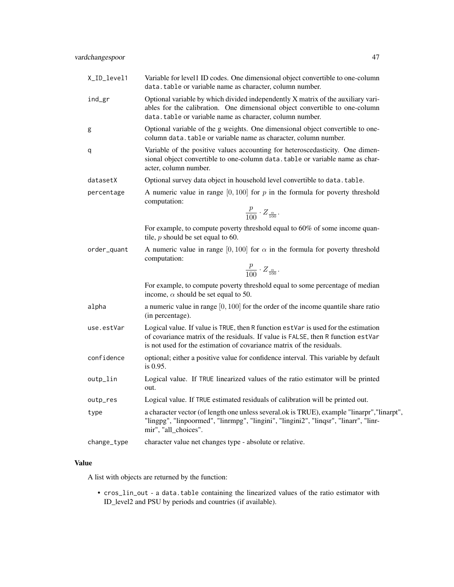| X_ID_level1 | Variable for level1 ID codes. One dimensional object convertible to one-column<br>data.table or variable name as character, column number.                                                                                                      |
|-------------|-------------------------------------------------------------------------------------------------------------------------------------------------------------------------------------------------------------------------------------------------|
| ind_gr      | Optional variable by which divided independently X matrix of the auxiliary vari-<br>ables for the calibration. One dimensional object convertible to one-column<br>data.table or variable name as character, column number.                     |
| g           | Optional variable of the g weights. One dimensional object convertible to one-<br>column data. table or variable name as character, column number.                                                                                              |
| q           | Variable of the positive values accounting for heteroscedasticity. One dimen-<br>sional object convertible to one-column data. table or variable name as char-<br>acter, column number.                                                         |
| datasetX    | Optional survey data object in household level convertible to data. table.                                                                                                                                                                      |
| percentage  | A numeric value in range $[0, 100]$ for p in the formula for poverty threshold<br>computation:                                                                                                                                                  |
|             | $\frac{p}{100} \cdot Z_{\frac{\alpha}{100}}.$                                                                                                                                                                                                   |
|             | For example, to compute poverty threshold equal to 60% of some income quan-<br>tile, $p$ should be set equal to 60.                                                                                                                             |
| order_quant | A numeric value in range [0, 100] for $\alpha$ in the formula for poverty threshold<br>computation:                                                                                                                                             |
|             | $\frac{p}{100} \cdot Z_{\frac{\alpha}{100}}.$                                                                                                                                                                                                   |
|             | For example, to compute poverty threshold equal to some percentage of median<br>income, $\alpha$ should be set equal to 50.                                                                                                                     |
| alpha       | a numeric value in range $[0, 100]$ for the order of the income quantile share ratio<br>(in percentage).                                                                                                                                        |
| use.estVar  | Logical value. If value is TRUE, then R function estVar is used for the estimation<br>of covariance matrix of the residuals. If value is FALSE, then R function estVar<br>is not used for the estimation of covariance matrix of the residuals. |
| confidence  | optional; either a positive value for confidence interval. This variable by default<br>is $0.95$ .                                                                                                                                              |
| outp_lin    | Logical value. If TRUE linearized values of the ratio estimator will be printed<br>out.                                                                                                                                                         |
| outp_res    | Logical value. If TRUE estimated residuals of calibration will be printed out.                                                                                                                                                                  |
| type        | a character vector (of length one unless several ok is TRUE), example "linarpr", "linarpt",<br>"lingpg", "linpoormed", "linrmpg", "lingini", "lingini2", "linqsr", "linarr", "linr-<br>mir", "all_choices".                                     |
| change_type | character value net changes type - absolute or relative.                                                                                                                                                                                        |

## Value

A list with objects are returned by the function:

• cros\_lin\_out - a data.table containing the linearized values of the ratio estimator with ID\_level2 and PSU by periods and countries (if available).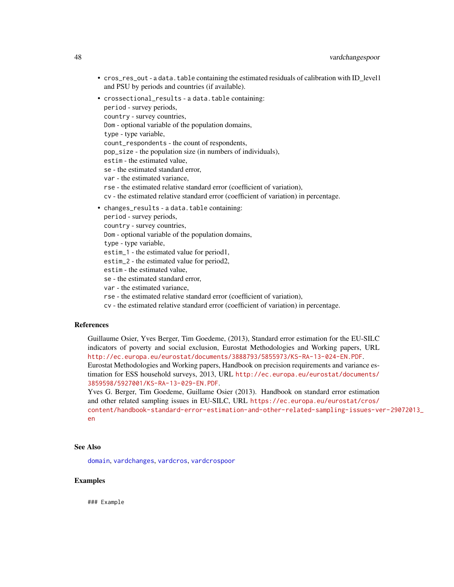- cros\_res\_out a data.table containing the estimated residuals of calibration with ID\_level1 and PSU by periods and countries (if available).
- crossectional\_results a data.table containing: period - survey periods, country - survey countries, Dom - optional variable of the population domains, type - type variable, count\_respondents - the count of respondents, pop\_size - the population size (in numbers of individuals), estim - the estimated value, se - the estimated standard error, var - the estimated variance, rse - the estimated relative standard error (coefficient of variation), cv - the estimated relative standard error (coefficient of variation) in percentage. • changes\_results - a data.table containing: period - survey periods, country - survey countries, Dom - optional variable of the population domains, type - type variable,

estim\_1 - the estimated value for period1,

estim\_2 - the estimated value for period2,

estim - the estimated value,

se - the estimated standard error,

var - the estimated variance,

rse - the estimated relative standard error (coefficient of variation),

cv - the estimated relative standard error (coefficient of variation) in percentage.

#### References

Guillaume Osier, Yves Berger, Tim Goedeme, (2013), Standard error estimation for the EU-SILC indicators of poverty and social exclusion, Eurostat Methodologies and Working papers, URL <http://ec.europa.eu/eurostat/documents/3888793/5855973/KS-RA-13-024-EN.PDF>. Eurostat Methodologies and Working papers, Handbook on precision requirements and variance estimation for ESS household surveys, 2013, URL [http://ec.europa.eu/eurostat/documents/](http://ec.europa.eu/eurostat/documents/3859598/5927001/KS-RA-13-029-EN.PDF) [3859598/5927001/KS-RA-13-029-EN.PDF](http://ec.europa.eu/eurostat/documents/3859598/5927001/KS-RA-13-029-EN.PDF).

Yves G. Berger, Tim Goedeme, Guillame Osier (2013). Handbook on standard error estimation and other related sampling issues in EU-SILC, URL [https://ec.europa.eu/eurostat/cros/](https://ec.europa.eu/eurostat/cros/content/handbook-standard-error-estimation-and-other-related-sampling-issues-ver-29072013_en) [content/handbook-standard-error-estimation-and-other-related-sampling-issues-ve](https://ec.europa.eu/eurostat/cros/content/handbook-standard-error-estimation-and-other-related-sampling-issues-ver-29072013_en)r-29072013\_ [en](https://ec.europa.eu/eurostat/cros/content/handbook-standard-error-estimation-and-other-related-sampling-issues-ver-29072013_en)

#### See Also

[domain](#page-2-0), [vardchanges](#page-37-0), [vardcros](#page-51-0), [vardcrospoor](#page-58-0)

### Examples

### Example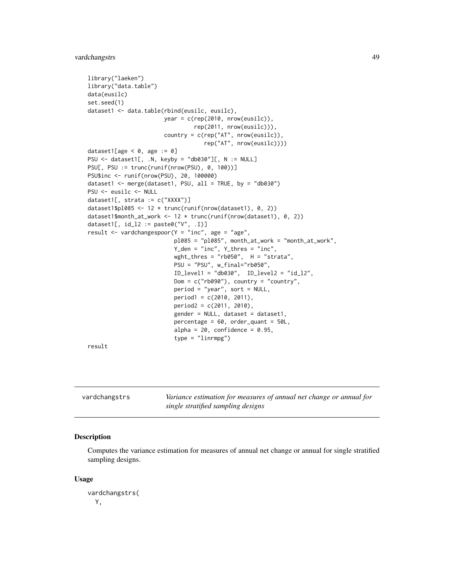```
library("laeken")
library("data.table")
data(eusilc)
set.seed(1)
dataset1 <- data.table(rbind(eusilc, eusilc),
                       year = c(rep(2010, nrow(eusilc)),
                                rep(2011, nrow(eusilc))),
                       country = c(rep("AT", nrow(eusilc)),
                                   rep("AT", nrow(eusilc))))
dataset1[age < 0, age := 0]
PSU <- dataset1[, .N, keyby = "db030"][, N := NULL]
PSU[, PSU := trunc(runif(nrow(PSU), 0, 100))]
PSU$inc <- runif(nrow(PSU), 20, 100000)
dataset1 <- merge(dataset1, PSU, all = TRUE, by = "db030")
PSU <- eusilc <- NULL
dataset1[, strata := c("XXXX")]
dataset1$pl085 <- 12 * trunc(runif(nrow(dataset1), 0, 2))
dataset1$month_at_work <- 12 * trunc(runif(nrow(dataset1), 0, 2))
dataset1[, id_l2 := paste0("V", .I)]
result \le vardchangespoor(Y = "inc", age = "age",
                          pl085 = "pl085", month_at_work = "month_at_work",
                          Y_den = "inc", Y_thres = "inc",
                          wght_thres = "rb050", H = "strata",PSU = "PSU", w_final="rb050",
                          ID_level1 = "db030", ID_level2 = "id_l2",
                          Dom = c("rb090"), country = "country",
                          period = "year", sort = NULL,
                          period1 = c(2010, 2011),period2 = c(2011, 2010),
                          gender = NULL, dataset = dataset1,
                          percentage = 60, order_quant = 50L,
                          alpha = 20, confidence = 0.95,
                          type = "linrmpg")
```
result

vardchangstrs *Variance estimation for measures of annual net change or annual for single stratified sampling designs*

### Description

Computes the variance estimation for measures of annual net change or annual for single stratified sampling designs.

#### Usage

```
vardchangstrs(
 Y,
```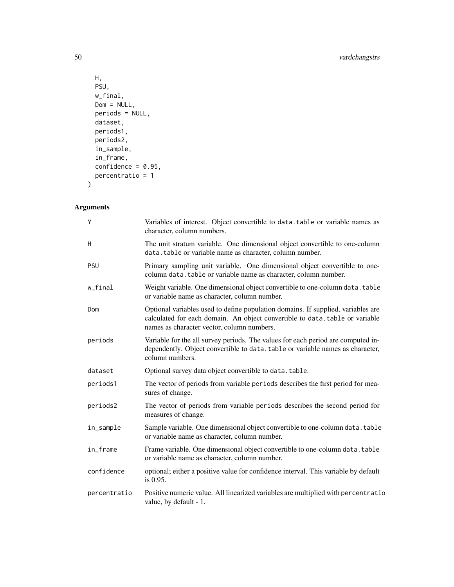```
H,
 PSU,
 w_final,
 Dom = NULL,
 periods = NULL,dataset,
 periods1,
 periods2,
 in_sample,
  in_frame,
 confidence = 0.95,
 percentratio = 1
\mathcal{L}
```
# Arguments

| Y            | Variables of interest. Object convertible to data. table or variable names as<br>character, column numbers.                                                                                                   |
|--------------|---------------------------------------------------------------------------------------------------------------------------------------------------------------------------------------------------------------|
| H            | The unit stratum variable. One dimensional object convertible to one-column<br>data.table or variable name as character, column number.                                                                       |
| PSU          | Primary sampling unit variable. One dimensional object convertible to one-<br>column data. table or variable name as character, column number.                                                                |
| w_final      | Weight variable. One dimensional object convertible to one-column data. table<br>or variable name as character, column number.                                                                                |
| Dom          | Optional variables used to define population domains. If supplied, variables are<br>calculated for each domain. An object convertible to data.table or variable<br>names as character vector, column numbers. |
| periods      | Variable for the all survey periods. The values for each period are computed in-<br>dependently. Object convertible to data. table or variable names as character,<br>column numbers.                         |
| dataset      | Optional survey data object convertible to data.table.                                                                                                                                                        |
| periods1     | The vector of periods from variable periods describes the first period for mea-<br>sures of change.                                                                                                           |
| periods2     | The vector of periods from variable periods describes the second period for<br>measures of change.                                                                                                            |
| in_sample    | Sample variable. One dimensional object convertible to one-column data. table<br>or variable name as character, column number.                                                                                |
| in_frame     | Frame variable. One dimensional object convertible to one-column data. table<br>or variable name as character, column number.                                                                                 |
| confidence   | optional; either a positive value for confidence interval. This variable by default<br>is $0.95$ .                                                                                                            |
| percentratio | Positive numeric value. All linearized variables are multiplied with percentratio<br>value, by default - 1.                                                                                                   |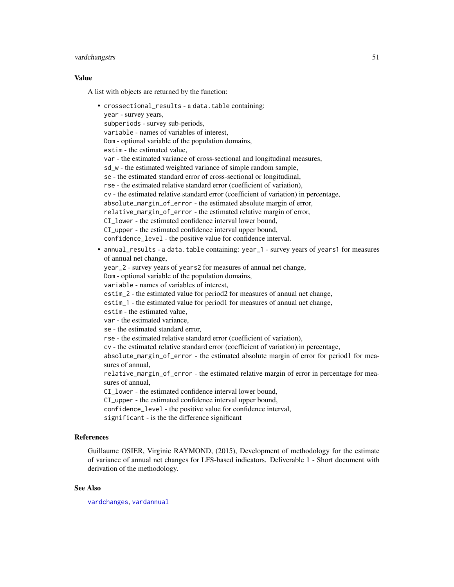### vardchangstrs 51

#### Value

A list with objects are returned by the function:

```
• crossectional_results - a data.table containing:
  year - survey years,
  subperiods - survey sub-periods,
  variable - names of variables of interest,
  Dom - optional variable of the population domains,
  estim - the estimated value,
  var - the estimated variance of cross-sectional and longitudinal measures,
  sd_w - the estimated weighted variance of simple random sample,
  se - the estimated standard error of cross-sectional or longitudinal,
  rse - the estimated relative standard error (coefficient of variation),
  cv - the estimated relative standard error (coefficient of variation) in percentage,
  absolute_margin_of_error - the estimated absolute margin of error,
  relative_margin_of_error - the estimated relative margin of error,
  CI_lower - the estimated confidence interval lower bound,
  CI_upper - the estimated confidence interval upper bound,
  confidence_level - the positive value for confidence interval.
• annual_results - a data.table containing: year_1 - survey years of years1 for measures
  of annual net change,
  year_2 - survey years of years2 for measures of annual net change,
  Dom - optional variable of the population domains,
  variable - names of variables of interest,
  estim_2 - the estimated value for period2 for measures of annual net change,
  estim_1 - the estimated value for period1 for measures of annual net change,
  estim - the estimated value,
  var - the estimated variance,
  se - the estimated standard error,
  rse - the estimated relative standard error (coefficient of variation),
  cv - the estimated relative standard error (coefficient of variation) in percentage,
  absolute_margin_of_error - the estimated absolute margin of error for period1 for mea-
  sures of annual,
  relative_margin_of_error - the estimated relative margin of error in percentage for mea-
  sures of annual,
  CI_lower - the estimated confidence interval lower bound,
  CI_upper - the estimated confidence interval upper bound,
  confidence_level - the positive value for confidence interval,
  significant - is the the difference significant
```
### References

Guillaume OSIER, Virginie RAYMOND, (2015), Development of methodology for the estimate of variance of annual net changes for LFS-based indicators. Deliverable 1 - Short document with derivation of the methodology.

### See Also

[vardchanges](#page-37-0), [vardannual](#page-30-0)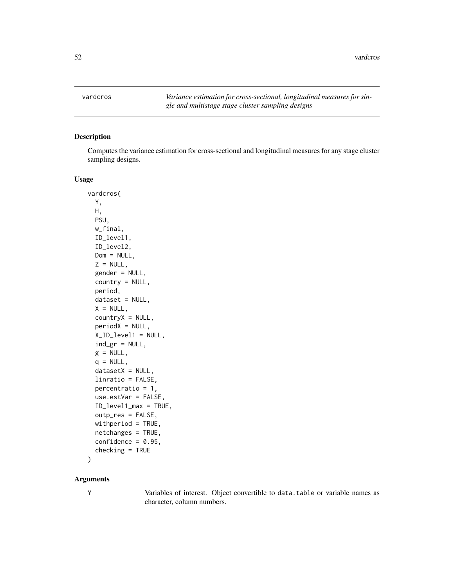<span id="page-51-0"></span>vardcros *Variance estimation for cross-sectional, longitudinal measures for single and multistage stage cluster sampling designs*

### Description

Computes the variance estimation for cross-sectional and longitudinal measures for any stage cluster sampling designs.

### Usage

```
vardcros(
 Y,
 H,
 PSU,
 w_final,
 ID_level1,
  ID_level2,
 Dom = NULL,
  Z = NULL,gender = NULL,
  country = NULL,
 period,
  dataset = NULL,
 X = NULL,countryX = NULL,periodX = NULL,
  X_ID_level1 = NULL,
  ind\_gr = NULL,g = NULL,q = NULL,datasetX = NULL,linratio = FALSE,
 percentratio = 1,
 use.estVar = FALSE,
  ID_level1_max = TRUE,
 outp_res = FALSE,
 withperiod = TRUE,
 netchanges = TRUE,
 confidence = 0.95,
  checking = TRUE
```
# )

### Arguments

Y Variables of interest. Object convertible to data.table or variable names as character, column numbers.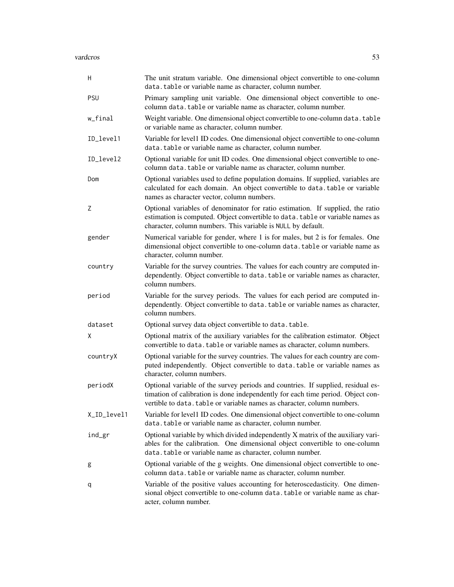vardcros 53

| Η           | The unit stratum variable. One dimensional object convertible to one-column<br>data.table or variable name as character, column number.                                                                                                        |
|-------------|------------------------------------------------------------------------------------------------------------------------------------------------------------------------------------------------------------------------------------------------|
| <b>PSU</b>  | Primary sampling unit variable. One dimensional object convertible to one-<br>column data.table or variable name as character, column number.                                                                                                  |
| w_final     | Weight variable. One dimensional object convertible to one-column data. table<br>or variable name as character, column number.                                                                                                                 |
| ID_level1   | Variable for level1 ID codes. One dimensional object convertible to one-column<br>data.table or variable name as character, column number.                                                                                                     |
| ID_level2   | Optional variable for unit ID codes. One dimensional object convertible to one-<br>column data.table or variable name as character, column number.                                                                                             |
| Dom         | Optional variables used to define population domains. If supplied, variables are<br>calculated for each domain. An object convertible to data.table or variable<br>names as character vector, column numbers.                                  |
| Ζ           | Optional variables of denominator for ratio estimation. If supplied, the ratio<br>estimation is computed. Object convertible to data. table or variable names as<br>character, column numbers. This variable is NULL by default.               |
| gender      | Numerical variable for gender, where 1 is for males, but 2 is for females. One<br>dimensional object convertible to one-column data. table or variable name as<br>character, column number.                                                    |
| country     | Variable for the survey countries. The values for each country are computed in-<br>dependently. Object convertible to data. table or variable names as character,<br>column numbers.                                                           |
| period      | Variable for the survey periods. The values for each period are computed in-<br>dependently. Object convertible to data. table or variable names as character,<br>column numbers.                                                              |
| dataset     | Optional survey data object convertible to data.table.                                                                                                                                                                                         |
| X           | Optional matrix of the auxiliary variables for the calibration estimator. Object<br>convertible to data.table or variable names as character, column numbers.                                                                                  |
| countryX    | Optional variable for the survey countries. The values for each country are com-<br>puted independently. Object convertible to data.table or variable names as<br>character, column numbers.                                                   |
| periodX     | Optional variable of the survey periods and countries. If supplied, residual es-<br>timation of calibration is done independently for each time period. Object con-<br>vertible to data. table or variable names as character, column numbers. |
| X_ID_level1 | Variable for level1 ID codes. One dimensional object convertible to one-column<br>data.table or variable name as character, column number.                                                                                                     |
| ind_gr      | Optional variable by which divided independently X matrix of the auxiliary vari-<br>ables for the calibration. One dimensional object convertible to one-column<br>data.table or variable name as character, column number.                    |
| g           | Optional variable of the g weights. One dimensional object convertible to one-<br>column data.table or variable name as character, column number.                                                                                              |
| q           | Variable of the positive values accounting for heteroscedasticity. One dimen-<br>sional object convertible to one-column data. table or variable name as char-<br>acter, column number.                                                        |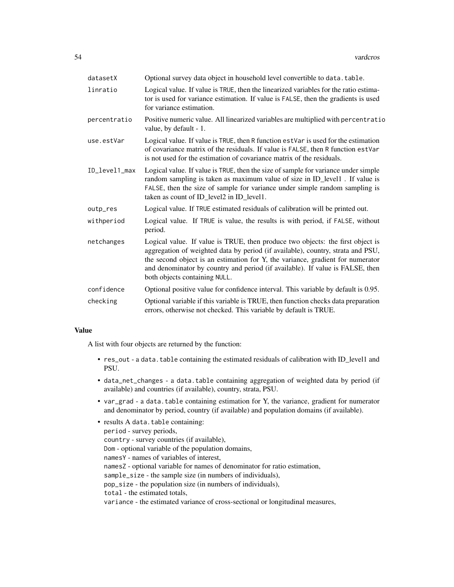| datasetX      | Optional survey data object in household level convertible to data. table.                                                                                                                                                                                                                                                                                            |
|---------------|-----------------------------------------------------------------------------------------------------------------------------------------------------------------------------------------------------------------------------------------------------------------------------------------------------------------------------------------------------------------------|
| linratio      | Logical value. If value is TRUE, then the linearized variables for the ratio estima-<br>tor is used for variance estimation. If value is FALSE, then the gradients is used<br>for variance estimation.                                                                                                                                                                |
| percentratio  | Positive numeric value. All linearized variables are multiplied with percentratio<br>value, by default - 1.                                                                                                                                                                                                                                                           |
| use.estVar    | Logical value. If value is TRUE, then R function estVar is used for the estimation<br>of covariance matrix of the residuals. If value is FALSE, then R function estVar<br>is not used for the estimation of covariance matrix of the residuals.                                                                                                                       |
| ID_level1_max | Logical value. If value is TRUE, then the size of sample for variance under simple<br>random sampling is taken as maximum value of size in ID_level1. If value is<br>FALSE, then the size of sample for variance under simple random sampling is<br>taken as count of ID_level2 in ID_level1.                                                                         |
| outp_res      | Logical value. If TRUE estimated residuals of calibration will be printed out.                                                                                                                                                                                                                                                                                        |
| withperiod    | Logical value. If TRUE is value, the results is with period, if FALSE, without<br>period.                                                                                                                                                                                                                                                                             |
| netchanges    | Logical value. If value is TRUE, then produce two objects: the first object is<br>aggregation of weighted data by period (if available), country, strata and PSU,<br>the second object is an estimation for Y, the variance, gradient for numerator<br>and denominator by country and period (if available). If value is FALSE, then<br>both objects containing NULL. |
| confidence    | Optional positive value for confidence interval. This variable by default is 0.95.                                                                                                                                                                                                                                                                                    |
| checking      | Optional variable if this variable is TRUE, then function checks data preparation<br>errors, otherwise not checked. This variable by default is TRUE.                                                                                                                                                                                                                 |

# Value

A list with four objects are returned by the function:

- res\_out a data. table containing the estimated residuals of calibration with ID\_level1 and PSU.
- data\_net\_changes a data.table containing aggregation of weighted data by period (if available) and countries (if available), country, strata, PSU.
- var\_grad a data.table containing estimation for Y, the variance, gradient for numerator and denominator by period, country (if available) and population domains (if available).

| • results A data.table containing:                                             |
|--------------------------------------------------------------------------------|
| period - survey periods,                                                       |
| country - survey countries (if available).                                     |
| Dom - optional variable of the population domains,                             |
| names Y - names of variables of interest,                                      |
| namesZ - optional variable for names of denominator for ratio estimation,      |
| sample_size - the sample size (in numbers of individuals),                     |
| pop_size - the population size (in numbers of individuals),                    |
| total - the estimated totals,                                                  |
| variance - the estimated variance of cross-sectional or longitudinal measures, |
|                                                                                |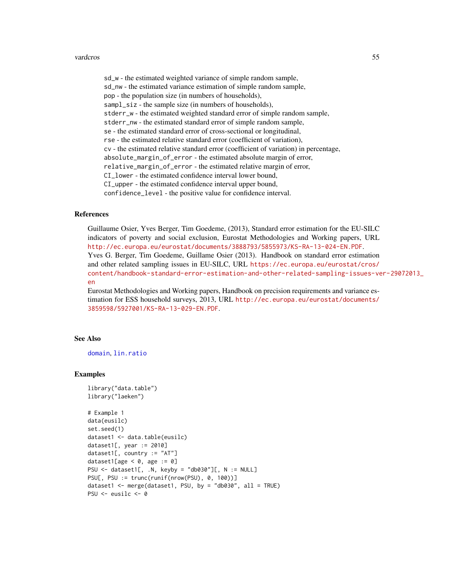#### vardcros 55

sd\_w - the estimated weighted variance of simple random sample, sd\_nw - the estimated variance estimation of simple random sample, pop - the population size (in numbers of households), sampl\_siz - the sample size (in numbers of households), stderr\_w - the estimated weighted standard error of simple random sample, stderr\_nw - the estimated standard error of simple random sample, se - the estimated standard error of cross-sectional or longitudinal, rse - the estimated relative standard error (coefficient of variation), cv - the estimated relative standard error (coefficient of variation) in percentage, absolute\_margin\_of\_error - the estimated absolute margin of error, relative\_margin\_of\_error - the estimated relative margin of error, CI\_lower - the estimated confidence interval lower bound, CI\_upper - the estimated confidence interval upper bound, confidence\_level - the positive value for confidence interval.

#### References

Guillaume Osier, Yves Berger, Tim Goedeme, (2013), Standard error estimation for the EU-SILC indicators of poverty and social exclusion, Eurostat Methodologies and Working papers, URL <http://ec.europa.eu/eurostat/documents/3888793/5855973/KS-RA-13-024-EN.PDF>. Yves G. Berger, Tim Goedeme, Guillame Osier (2013). Handbook on standard error estimation and other related sampling issues in EU-SILC, URL [https://ec.europa.eu/eurostat/cros/](https://ec.europa.eu/eurostat/cros/content/handbook-standard-error-estimation-and-other-related-sampling-issues-ver-29072013_en) [content/handbook-standard-error-estimation-and-other-related-sampling-issues-ve](https://ec.europa.eu/eurostat/cros/content/handbook-standard-error-estimation-and-other-related-sampling-issues-ver-29072013_en)r-29072013\_ [en](https://ec.europa.eu/eurostat/cros/content/handbook-standard-error-estimation-and-other-related-sampling-issues-ver-29072013_en)

Eurostat Methodologies and Working papers, Handbook on precision requirements and variance estimation for ESS household surveys, 2013, URL [http://ec.europa.eu/eurostat/documents/](http://ec.europa.eu/eurostat/documents/3859598/5927001/KS-RA-13-029-EN.PDF) [3859598/5927001/KS-RA-13-029-EN.PDF](http://ec.europa.eu/eurostat/documents/3859598/5927001/KS-RA-13-029-EN.PDF).

### See Also

[domain](#page-2-0), [lin.ratio](#page-5-0)

#### Examples

```
library("data.table")
library("laeken")
```

```
# Example 1
data(eusilc)
set.seed(1)
dataset1 <- data.table(eusilc)
dataset1[, year := 2010]
dataset1[, country := "AT"]
dataset1[age < 0, age := 0]
PSU \le dataset1[, .N, keyby = "db030"][, N := NULL]
PSU[, PSU := trunc(runif(nrow(PSU), 0, 100))]
dataset1 <- merge(dataset1, PSU, by = "db030", all = TRUE)
PSU <- eusilc <- 0
```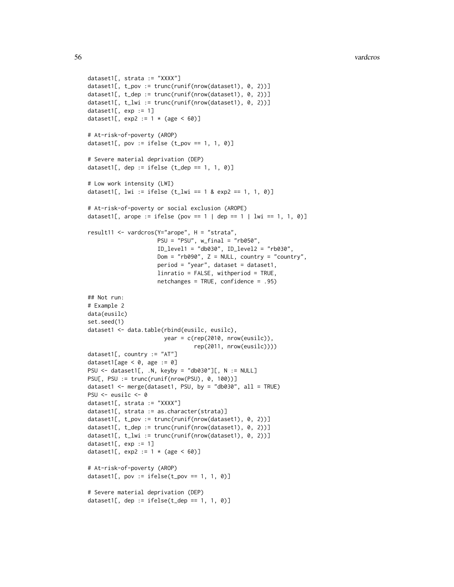```
dataset1[, strata := "XXXX"]
dataset1[, t_pov := trunc(runif(nrow(dataset1), 0, 2))]
dataset1[, t_dep := trunc(runif(nrow(dataset1), 0, 2))]
dataset1[, t_lw_i := true(runif(nrow(dataset1), 0, 2))]
dataset1[, exp := 1]
dataset1[, exp2 := 1 * (age < 60)]
# At-risk-of-poverty (AROP)
dataset1[, pov := ifelse (t\_pov == 1, 1, 0)]
# Severe material deprivation (DEP)
dataset1[, dep := ifelse (t<sup>d</sup>ep == 1, 1, 0)]
# Low work intensity (LWI)
dataset1[, lwi := ifelse (t_l)wi == 1 & exp2 == 1, 1, 0)]
# At-risk-of-poverty or social exclusion (AROPE)
dataset1[, arope := ifelse (pov == 1 | dep == 1 | lwi == 1, 1, 0)]
result11 <- vardcros(Y="arope", H = "strata",
                     PSU = "PSU", w_final = "rb050",
                     ID_level1 = "db030", ID_level2 = "rb030",
                     Dom = "rb090", Z = NULL, country = "country",period = "year", dataset = dataset1,
                     linratio = FALSE, withperiod = TRUE,
                     netchanges = TRUE, confidence = .95)
## Not run:
# Example 2
data(eusilc)
set.seed(1)
dataset1 <- data.table(rbind(eusilc, eusilc),
                       year = c(rep(2010, nrow(eusilc)),
                                rep(2011, nrow(eusilc))))
dataset1[, country := "AT"]
dataset1[age < 0, age := 0]
PSU <- dataset1[, .N, keyby = "db030"][, N := NULL]
PSU[, PSU := trunc(runif(nrow(PSU), 0, 100))]
dataset1 <- merge(dataset1, PSU, by = "db030", all = TRUE)
PSU <- eusilc <- 0
dataset1[, strata := "XXXX"]
dataset1[, strata := as.character(strata)]
dataset1[, t_pov := trunc(runif(nrow(dataset1), 0, 2))]
dataset1[, t_dep := trunc(runif(nrow(dataset1), 0, 2))]
dataset1[, t_lwi := trunc(runif(nrow(dataset1), 0, 2))]
dataset1[, exp := 1]
dataset1[, exp2 := 1 * (age < 60)]
# At-risk-of-poverty (AROP)
dataset1[, pov := ifelse(t_pov == 1, 1, 0)]
# Severe material deprivation (DEP)
dataset1[, dep := ifelse(t_dep == 1, 1, 0)]
```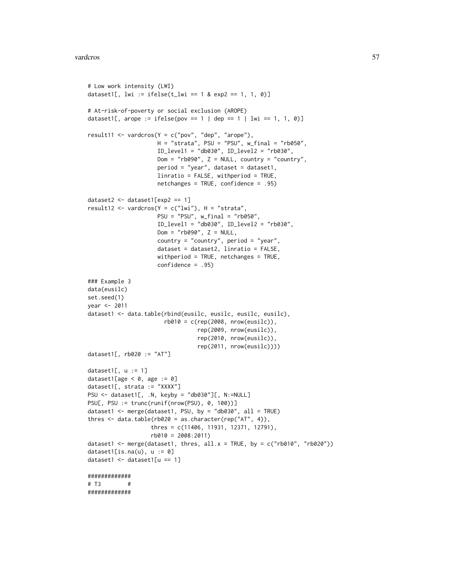```
# Low work intensity (LWI)
dataset1[, lwi := ifelse(t_lwi == 1 & exp2 == 1, 1, 0)]
# At-risk-of-poverty or social exclusion (AROPE)
dataset1[, arope := ifelse(pov == 1 | dep == 1 | lwi == 1, 1, 0)]
result11 <- vardcros(Y = c("pov", "dep", "arope"),H = "strata", PSU = "PSU", w\_final = "rb050",ID_level1 = "db030", ID_level2 = "rb030",
                    Dom = "rb090", Z = NULL, country = "country",period = "year", dataset = dataset1,
                     linratio = FALSE, withperiod = TRUE,
                    netchanges = TRUE, confidence = .95)
dataset2 <- dataset1[exp2 == 1]
result12 <- vardcros(Y = c("lwi"), H = "strata",PSU = "PSU", w_final = "rb050",
                     ID_level1 = "db030", ID_level2 = "rb030",
                    Dom = "rb090", Z = NULL,country = "country", period = "year",
                     dataset = dataset2, linratio = FALSE,
                     withperiod = TRUE, netchanges = TRUE,
                     confidence = .95)
### Example 3
data(eusilc)
set.seed(1)
year <- 2011
dataset1 <- data.table(rbind(eusilc, eusilc, eusilc, eusilc),
                       rb010 = c(rep(2008, nrow(eusile)),rep(2009, nrow(eusilc)),
                                 rep(2010, nrow(eusilc)),
                                 rep(2011, nrow(eusilc))))
dataset1[, rb020 := "AT"]
dataset1[, u := 1]
dataset1[age < 0, age := 0]
dataset1[, strata := "XXXX"]
PSU <- dataset1[, .N, keyby = "db030"][, N:=NULL]
PSU[, PSU := trunc(runif(nrow(PSU), 0, 100))]
dataset1 <- merge(dataset1, PSU, by = "db030", all = TRUE)
thres <- data.table(rb020 = as.character(rep("AT", 4)),
                   thres = c(11406, 11931, 12371, 12791),
                  rb010 = 2008:2011)
dataset1 <- merge(dataset1, thres, all.x = TRUE, by = c("rb010", "rb020"))
dataset1[is.na(u), u := 0]
dataset1 \leq dataset1[u == 1]
#############
# T3 #
#############
```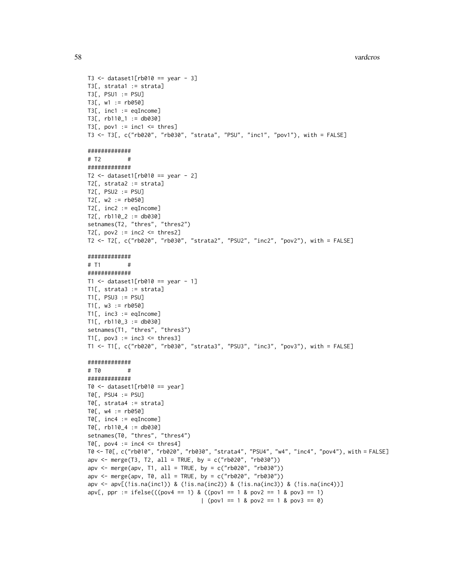```
58 vardcros var den større og den en større og den større og den større og den større og den større og den stø
```

```
T3 \le dataset1[rb010 == year - 3]
T3[, strata1 := strata]
T3[, PSU1 := PSU]
T3[, w1 := rb050]
T3[, inc1 := eqIncome]
T3[, rb110_1 := db030]
T3[, pov1 := inc1 \leq thres]
T3 <- T3[, c("rb020", "rb030", "strata", "PSU", "inc1", "pov1"), with = FALSE]
#############
# T2 #
#############
T2 \le dataset1[rb010 == year - 2]
T2[, strata2 := strata]
T2[, PSU2 := PSU]
T2[, w2 := rb050]
T2[, inc2 := eqIncome]
T2[, rb110_2 := db030]
setnames(T2, "thres", "thres2")
T2[, pov2 := inc2 \leq thres2]T2 <- T2[, c("rb020", "rb030", "strata2", "PSU2", "inc2", "pov2"), with = FALSE]
#############
# T1 #
#############
T1 <- dataset1[rb010 == year - 1]
T1[, strata3 := strata]
T1[, PSU3 := PSU]
T1[, w3 := rb050]
T1[, inc3 := eqIncome]
T1[, rb110_3 := db030]
setnames(T1, "thres", "thres3")
T1[, pov3 := inc3 \leq thres3]
T1 <- T1[, c("rb020", "rb030", "strata3", "PSU3", "inc3", "pov3"), with = FALSE]
#############
# T0 #
#############
T0 \leq dataset1[rb010 == year]
T0[, PSU4 := PSU]
T0[, strata4 := strata]
T0[, w4 := rb050]
T0[, inc4 := eqIncome]
T0[, rb110_4 := db030]
setnames(T0, "thres", "thres4")
TØ[, pov4 := inc4 \leq thres4]
T0 <- T0[, c("rb010", "rb020", "rb030", "strata4", "PSU4", "w4", "inc4", "pov4"), with = FALSE]
apv \leq merge(T3, T2, all = TRUE, by = c("rb020", "rb030"))apv <- merge(apv, T1, all = TRUE, by = c("rb020", "rb030"))apv <- merge(apv, T0, all = TRUE, by = c("rb020", "rb030"))
apv <- apv[(!is.na(inc1)) & (!is.na(inc2)) & (!is.na(inc3)) & (!is.na(inc4))]
apv[, ppr := ifelse(((pov4 == 1) & ((pov1 == 1 & pov2 == 1 & pov3 == 1)
                                  | (pov1 == 1 & pov2 == 1 & pov3 == 0)
```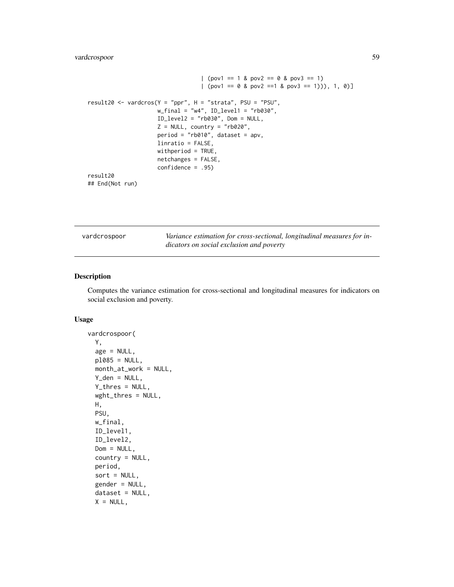### vardcrospoor 59

```
| (pov1 == 1 & pov2 == 0 & pov3 == 1)
                                    [ (pov1 == 0 & pov2 == 1 & pov3 == 1))), 1, 0)
result20 <- vardcros(Y = "ppr", H = "strata", PSU = "PSU",
                      w_{\text{final}} = "w4", ID_{\text{level1}} = "rb030",ID_level2 = "rb030", Dom = NULL,
                      Z = NULL, country = "rb020",
                      period = "rb010", dataset = apv,
                      linratio = FALSE,
                      withperiod = TRUE,
                      netchanges = FALSE,
                      confidence = .95)
result20
## End(Not run)
```
<span id="page-58-0"></span>

| vardcrospoor | Variance estimation for cross-sectional, longitudinal measures for in- |
|--------------|------------------------------------------------------------------------|
|              | dicators on social exclusion and poverty                               |

### Description

Computes the variance estimation for cross-sectional and longitudinal measures for indicators on social exclusion and poverty.

### Usage

```
vardcrospoor(
  Y,
  age = NULL,p1085 = NULL,month_at_work = NULL,
  Y_den = NULL,
  Y_thres = NULL,
  wght_thres = NULL,
 H,
 PSU,
  w_final,
  ID_level1,
  ID_level2,
  Dom = NULL,
  country = NULL,
  period,
  sort = NULL,gender = NULL,
  dataset = NULL,X = NULL,
```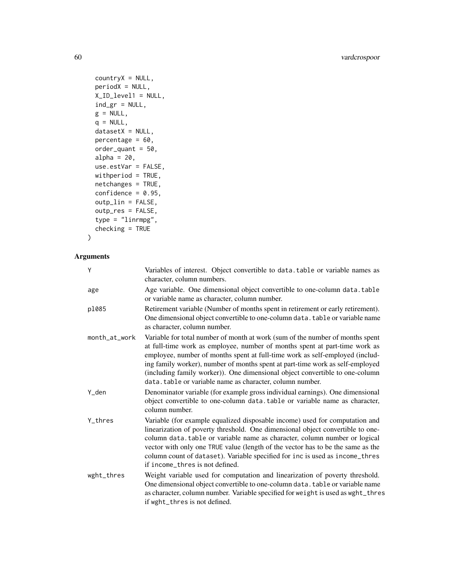```
countryX = NULL,periodX = NULL,
X_ID_level1 = NULL,
ind\_gr = NULL,g = NULL,q = NULL,datasetX = NULL,percentage = 60,
order_quant = 50,
alpha = 20,
use.estVar = FALSE,
withperiod = TRUE,
netchanges = TRUE,
confidence = 0.95,
outp_lin = FALSE,
outp_res = FALSE,
type = "linrmpg",
checking = TRUE
```

```
\mathcal{L}
```
# Arguments

| Y             | Variables of interest. Object convertible to data. table or variable names as<br>character, column numbers.                                                                                                                                                                                                                                                                                                                                                              |
|---------------|--------------------------------------------------------------------------------------------------------------------------------------------------------------------------------------------------------------------------------------------------------------------------------------------------------------------------------------------------------------------------------------------------------------------------------------------------------------------------|
| age           | Age variable. One dimensional object convertible to one-column data.table<br>or variable name as character, column number.                                                                                                                                                                                                                                                                                                                                               |
| p1085         | Retirement variable (Number of months spent in retirement or early retirement).<br>One dimensional object convertible to one-column data. table or variable name<br>as character, column number.                                                                                                                                                                                                                                                                         |
| month_at_work | Variable for total number of month at work (sum of the number of months spent<br>at full-time work as employee, number of months spent at part-time work as<br>employee, number of months spent at full-time work as self-employed (includ-<br>ing family worker), number of months spent at part-time work as self-employed<br>(including family worker)). One dimensional object convertible to one-column<br>data.table or variable name as character, column number. |
| Y_den         | Denominator variable (for example gross individual earnings). One dimensional<br>object convertible to one-column data.table or variable name as character,<br>column number.                                                                                                                                                                                                                                                                                            |
| Y thres       | Variable (for example equalized disposable income) used for computation and<br>linearization of poverty threshold. One dimensional object convertible to one-<br>column data.table or variable name as character, column number or logical<br>vector with only one TRUE value (length of the vector has to be the same as the<br>column count of dataset). Variable specified for inc is used as income_thres<br>if income_thres is not defined.                         |
| wght_thres    | Weight variable used for computation and linearization of poverty threshold.<br>One dimensional object convertible to one-column data. table or variable name<br>as character, column number. Variable specified for weight is used as wght_thres<br>if wght_thres is not defined.                                                                                                                                                                                       |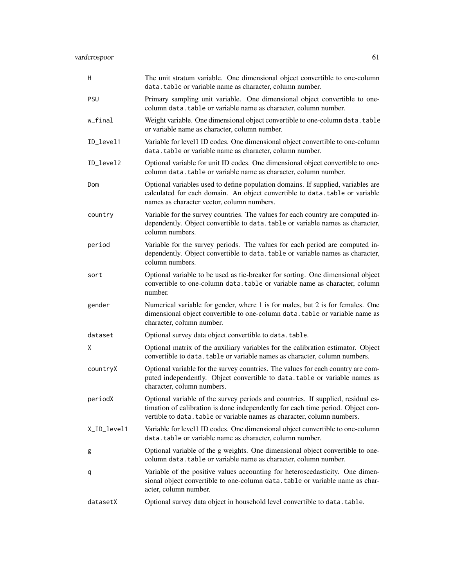| Н           | The unit stratum variable. One dimensional object convertible to one-column<br>data.table or variable name as character, column number.                                                                                                        |
|-------------|------------------------------------------------------------------------------------------------------------------------------------------------------------------------------------------------------------------------------------------------|
| <b>PSU</b>  | Primary sampling unit variable. One dimensional object convertible to one-<br>column data.table or variable name as character, column number.                                                                                                  |
| w_final     | Weight variable. One dimensional object convertible to one-column data. table<br>or variable name as character, column number.                                                                                                                 |
| ID_level1   | Variable for level1 ID codes. One dimensional object convertible to one-column<br>data.table or variable name as character, column number.                                                                                                     |
| ID_level2   | Optional variable for unit ID codes. One dimensional object convertible to one-<br>column data.table or variable name as character, column number.                                                                                             |
| Dom         | Optional variables used to define population domains. If supplied, variables are<br>calculated for each domain. An object convertible to data.table or variable<br>names as character vector, column numbers.                                  |
| country     | Variable for the survey countries. The values for each country are computed in-<br>dependently. Object convertible to data. table or variable names as character,<br>column numbers.                                                           |
| period      | Variable for the survey periods. The values for each period are computed in-<br>dependently. Object convertible to data. table or variable names as character,<br>column numbers.                                                              |
| sort        | Optional variable to be used as tie-breaker for sorting. One dimensional object<br>convertible to one-column data. table or variable name as character, column<br>number.                                                                      |
| gender      | Numerical variable for gender, where 1 is for males, but 2 is for females. One<br>dimensional object convertible to one-column data. table or variable name as<br>character, column number.                                                    |
| dataset     | Optional survey data object convertible to data.table.                                                                                                                                                                                         |
| X           | Optional matrix of the auxiliary variables for the calibration estimator. Object<br>convertible to data. table or variable names as character, column numbers.                                                                                 |
| countryX    | Optional variable for the survey countries. The values for each country are com-<br>puted independently. Object convertible to data.table or variable names as<br>character, column numbers.                                                   |
| periodX     | Optional variable of the survey periods and countries. If supplied, residual es-<br>timation of calibration is done independently for each time period. Object con-<br>vertible to data. table or variable names as character, column numbers. |
| X_ID_level1 | Variable for level1 ID codes. One dimensional object convertible to one-column<br>data.table or variable name as character, column number.                                                                                                     |
| g           | Optional variable of the g weights. One dimensional object convertible to one-<br>column data. table or variable name as character, column number.                                                                                             |
| q           | Variable of the positive values accounting for heteroscedasticity. One dimen-<br>sional object convertible to one-column data. table or variable name as char-<br>acter, column number.                                                        |
| datasetX    | Optional survey data object in household level convertible to data. table.                                                                                                                                                                     |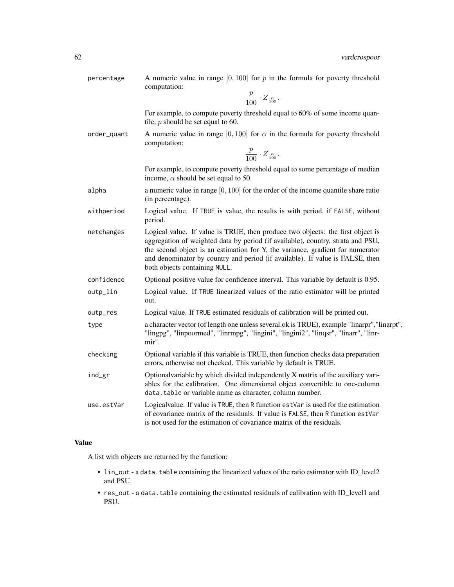percentage A numeric value in range  $[0, 100]$  for p in the formula for poverty threshold computation:

$$
\frac{p}{100}\cdot Z_{\frac{\alpha}{100}}.
$$

For example, to compute poverty threshold equal to 60% of some income quantile,  $p$  should be set equal to 60.

order\_quant A numeric value in range [0, 100] for  $\alpha$  in the formula for poverty threshold computation:

$$
\frac{p}{100} \cdot Z_{\frac{\alpha}{100}}.
$$

For example, to compute poverty threshold equal to some percentage of median income,  $\alpha$  should be set equal to 50.

- a a numeric value in range  $[0, 100]$  for the order of the income quantile share ratio (in percentage).
- withperiod Logical value. If TRUE is value, the results is with period, if FALSE, without period.
- netchanges Logical value. If value is TRUE, then produce two objects: the first object is aggregation of weighted data by period (if available), country, strata and PSU, the second object is an estimation for Y, the variance, gradient for numerator and denominator by country and period (if available). If value is FALSE, then both objects containing NULL.
- confidence Optional positive value for confidence interval. This variable by default is 0.95.
- outp\_lin Logical value. If TRUE linearized values of the ratio estimator will be printed out.
- outp\_res Logical value. If TRUE estimated residuals of calibration will be printed out.
- type a character vector (of length one unless several.ok is TRUE), example "linarpr","linarpt", "lingpg", "linpoormed", "linrmpg", "lingini", "lingini2", "linqsr", "linarr", "linrmir".
- checking Optional variable if this variable is TRUE, then function checks data preparation errors, otherwise not checked. This variable by default is TRUE.
- ind\_gr Optionalvariable by which divided independently X matrix of the auxiliary variables for the calibration. One dimensional object convertible to one-column data.table or variable name as character, column number.
- use.estVar Logicalvalue. If value is TRUE, then R function estVar is used for the estimation of covariance matrix of the residuals. If value is FALSE, then R function estVar is not used for the estimation of covariance matrix of the residuals.

### Value

A list with objects are returned by the function:

- lin\_out a data.table containing the linearized values of the ratio estimator with ID\_level2 and PSU.
- res\_out a data.table containing the estimated residuals of calibration with ID\_level1 and PSU.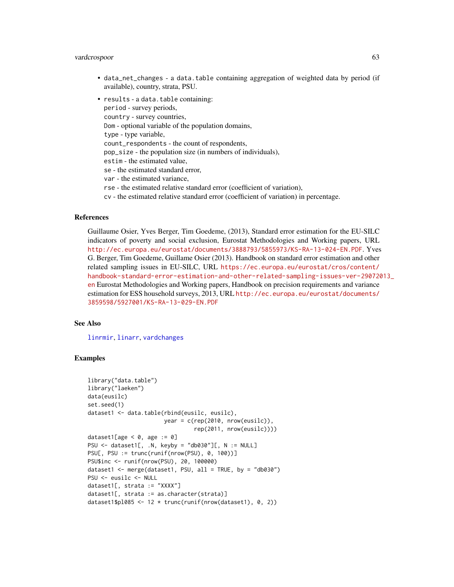### vardcrospoor 63

- data\_net\_changes a data.table containing aggregation of weighted data by period (if available), country, strata, PSU.
- results a data.table containing: period - survey periods, country - survey countries, Dom - optional variable of the population domains, type - type variable, count\_respondents - the count of respondents, pop\_size - the population size (in numbers of individuals), estim - the estimated value, se - the estimated standard error, var - the estimated variance, rse - the estimated relative standard error (coefficient of variation),
	- cv the estimated relative standard error (coefficient of variation) in percentage.

### References

Guillaume Osier, Yves Berger, Tim Goedeme, (2013), Standard error estimation for the EU-SILC indicators of poverty and social exclusion, Eurostat Methodologies and Working papers, URL <http://ec.europa.eu/eurostat/documents/3888793/5855973/KS-RA-13-024-EN.PDF>. Yves G. Berger, Tim Goedeme, Guillame Osier (2013). Handbook on standard error estimation and other related sampling issues in EU-SILC, URL [https://ec.europa.eu/eurostat/cros/content/](https://ec.europa.eu/eurostat/cros/content/handbook-standard-error-estimation-and-other-related-sampling-issues-ver-29072013_en) [handbook-standard-error-estimation-and-other-related-sampling-issues-ver-290720](https://ec.europa.eu/eurostat/cros/content/handbook-standard-error-estimation-and-other-related-sampling-issues-ver-29072013_en)13\_ [en](https://ec.europa.eu/eurostat/cros/content/handbook-standard-error-estimation-and-other-related-sampling-issues-ver-29072013_en) Eurostat Methodologies and Working papers, Handbook on precision requirements and variance estimation for ESS household surveys, 2013, URL [http://ec.europa.eu/eurostat/documents/](http://ec.europa.eu/eurostat/documents/3859598/5927001/KS-RA-13-029-EN.PDF) [3859598/5927001/KS-RA-13-029-EN.PDF](http://ec.europa.eu/eurostat/documents/3859598/5927001/KS-RA-13-029-EN.PDF)

#### See Also

[linrmir](#page-24-0), [linarr](#page-11-0), [vardchanges](#page-37-0)

### Examples

```
library("data.table")
library("laeken")
data(eusilc)
set.seed(1)
dataset1 <- data.table(rbind(eusilc, eusilc),
                       year = c(rep(2010, nrow(eusilc)),rep(2011, nrow(eusilc))))
dataset1[age < 0, age := 0]
PSU \leq dataset1[, .N, keyby = "db030"][, N := NULL]
PSU[, PSU := trunc(runif(nrow(PSU), 0, 100))]
PSU$inc <- runif(nrow(PSU), 20, 100000)
dataset1 <- merge(dataset1, PSU, all = TRUE, by = "db030")
PSU <- eusilc <- NULL
dataset1[, strata := "XXXX"]
dataset1[, strata := as.character(strata)]
dataset1$pl085 <- 12 * trunc(runif(nrow(dataset1), 0, 2))
```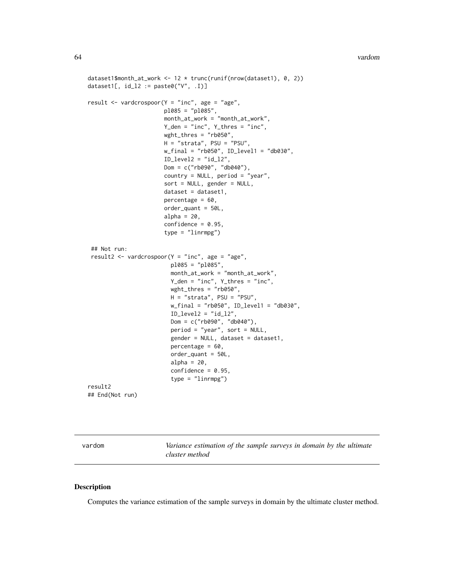```
dataset1$month_at_work <- 12 * trunc(runif(nrow(dataset1), 0, 2))
dataset1[, id_l2 := paste0("V", l])]
result \leq vardcrospoor(Y = "inc", age = "age",
                       pl085 = "pl085",
                       month_at_work = "month_at_work",
                       Y_den = "inc", Y_thres = "inc",
                       wght_thres = "rb050",
                       H = "strata", PSU = "PSU",w_{\text{final}} = "rb050", ID_level1 = "db030",
                       ID\_level2 = "id\_12",Dom = c("rb090", "db040"),
                       country = NULL, period = "year",
                       sort = NULL, gender = NULL,
                       dataset = dataset1,
                       percentage = 60,
                       order_quant = 50L,
                       alpha = 20,
                       confidence = 0.95,type = "linrmpg")
 ## Not run:
result2 <- vardcrospoor(Y = "inc", age = "age",
                         pl085 = "pl085",
                         month_at_work = "month_at_work",
                         Y_den = "inc", Y_thres = "inc",
                         wght_thres = "rb050",
                         H = "strata", PSU = "PSU",
                         w_final = "rb050", ID_level1 = "db030",
                         ID\_level2 = "id\_l2",Dom = c("rb090", "db040"),
                         period = "year", sort = NULL,
                         gender = NULL, dataset = dataset1,
                         percentage = 60,
                         order_quant = 50L,
                         alpha = 20,
                         confidence = 0.95,
                         type = "linrmpg")
result2
## End(Not run)
```

| vardom | Variance estimation of the sample surveys in domain by the ultimate |
|--------|---------------------------------------------------------------------|
|        | cluster method                                                      |

#### Description

Computes the variance estimation of the sample surveys in domain by the ultimate cluster method.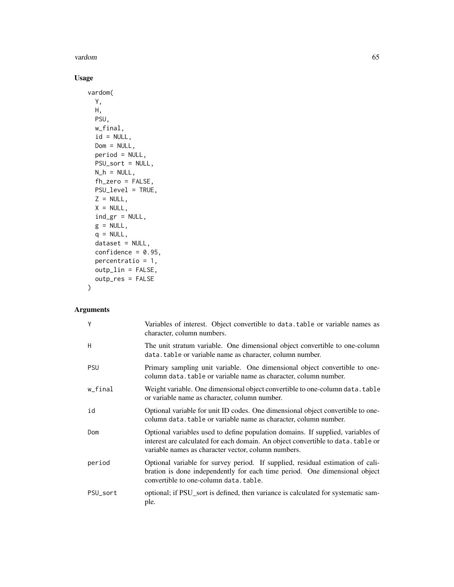### vardom 65

# Usage

```
vardom(
 Y,
 H,
 PSU,
 w_final,
 id = NULL,Dom = NULL,
 period = NULL,
 PSU_sort = NULL,
 N_h = NULL,fh_zero = FALSE,
 PSU_level = TRUE,
 Z = NULL,X = NULL,ind\_gr = NULL,g = NULL,q = NULL,dataset = NULL,
 confidence = 0.95,
 percentratio = 1,
 outp_lin = FALSE,
 outp_res = FALSE
```
### Arguments

)

| Y          | Variables of interest. Object convertible to data. table or variable names as<br>character, column numbers.                                                                                                                |
|------------|----------------------------------------------------------------------------------------------------------------------------------------------------------------------------------------------------------------------------|
| H          | The unit stratum variable. One dimensional object convertible to one-column<br>data.table or variable name as character, column number.                                                                                    |
| <b>PSU</b> | Primary sampling unit variable. One dimensional object convertible to one-<br>column data. table or variable name as character, column number.                                                                             |
| w_final    | Weight variable. One dimensional object convertible to one-column data. table<br>or variable name as character, column number.                                                                                             |
| id         | Optional variable for unit ID codes. One dimensional object convertible to one-<br>column data.table or variable name as character, column number.                                                                         |
| Dom        | Optional variables used to define population domains. If supplied, variables of<br>interest are calculated for each domain. An object convertible to data. table or<br>variable names as character vector, column numbers. |
| period     | Optional variable for survey period. If supplied, residual estimation of cali-<br>bration is done independently for each time period. One dimensional object<br>convertible to one-column data, table.                     |
| PSU_sort   | optional; if PSU_sort is defined, then variance is calculated for systematic sam-<br>ple.                                                                                                                                  |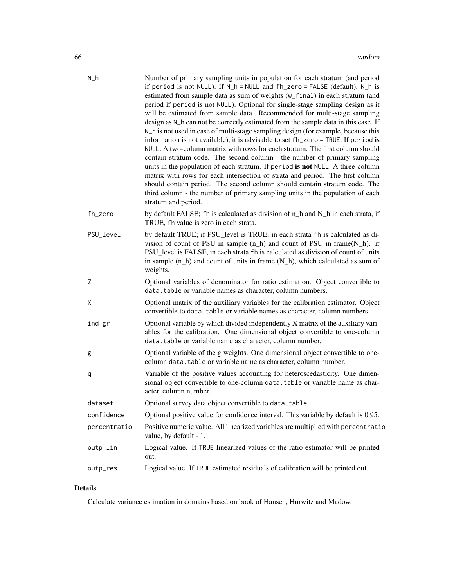| $N_h$        | Number of primary sampling units in population for each stratum (and period<br>if period is not NULL). If N_h = NULL and fh_zero = FALSE (default), N_h is<br>estimated from sample data as sum of weights (w_final) in each stratum (and<br>period if period is not NULL). Optional for single-stage sampling design as it<br>will be estimated from sample data. Recommended for multi-stage sampling<br>design as N_h can not be correctly estimated from the sample data in this case. If<br>N_h is not used in case of multi-stage sampling design (for example, because this<br>information is not available), it is advisable to set fh_zero = TRUE. If period is<br>NULL. A two-column matrix with rows for each stratum. The first column should<br>contain stratum code. The second column - the number of primary sampling<br>units in the population of each stratum. If period is not NULL. A three-column<br>matrix with rows for each intersection of strata and period. The first column<br>should contain period. The second column should contain stratum code. The<br>third column - the number of primary sampling units in the population of each<br>stratum and period. |
|--------------|-----------------------------------------------------------------------------------------------------------------------------------------------------------------------------------------------------------------------------------------------------------------------------------------------------------------------------------------------------------------------------------------------------------------------------------------------------------------------------------------------------------------------------------------------------------------------------------------------------------------------------------------------------------------------------------------------------------------------------------------------------------------------------------------------------------------------------------------------------------------------------------------------------------------------------------------------------------------------------------------------------------------------------------------------------------------------------------------------------------------------------------------------------------------------------------------------|
| fh_zero      | by default FALSE; fh is calculated as division of n_h and N_h in each strata, if<br>TRUE, fh value is zero in each strata.                                                                                                                                                                                                                                                                                                                                                                                                                                                                                                                                                                                                                                                                                                                                                                                                                                                                                                                                                                                                                                                                    |
| PSU_level    | by default TRUE; if PSU_level is TRUE, in each strata fh is calculated as di-<br>vision of count of PSU in sample $(n_h)$ and count of PSU in frame $(N_h)$ . if<br>PSU_level is FALSE, in each strata fh is calculated as division of count of units<br>in sample $(n_h)$ and count of units in frame $(N_h)$ , which calculated as sum of<br>weights.                                                                                                                                                                                                                                                                                                                                                                                                                                                                                                                                                                                                                                                                                                                                                                                                                                       |
| Ζ            | Optional variables of denominator for ratio estimation. Object convertible to<br>data.table or variable names as character, column numbers.                                                                                                                                                                                                                                                                                                                                                                                                                                                                                                                                                                                                                                                                                                                                                                                                                                                                                                                                                                                                                                                   |
| Χ            | Optional matrix of the auxiliary variables for the calibration estimator. Object<br>convertible to data. table or variable names as character, column numbers.                                                                                                                                                                                                                                                                                                                                                                                                                                                                                                                                                                                                                                                                                                                                                                                                                                                                                                                                                                                                                                |
| ind_gr       | Optional variable by which divided independently X matrix of the auxiliary vari-<br>ables for the calibration. One dimensional object convertible to one-column<br>data.table or variable name as character, column number.                                                                                                                                                                                                                                                                                                                                                                                                                                                                                                                                                                                                                                                                                                                                                                                                                                                                                                                                                                   |
| g            | Optional variable of the g weights. One dimensional object convertible to one-<br>column data. table or variable name as character, column number.                                                                                                                                                                                                                                                                                                                                                                                                                                                                                                                                                                                                                                                                                                                                                                                                                                                                                                                                                                                                                                            |
| q            | Variable of the positive values accounting for heteroscedasticity. One dimen-<br>sional object convertible to one-column data. table or variable name as char-<br>acter, column number.                                                                                                                                                                                                                                                                                                                                                                                                                                                                                                                                                                                                                                                                                                                                                                                                                                                                                                                                                                                                       |
| dataset      | Optional survey data object convertible to data. table                                                                                                                                                                                                                                                                                                                                                                                                                                                                                                                                                                                                                                                                                                                                                                                                                                                                                                                                                                                                                                                                                                                                        |
| confidence   | Optional positive value for confidence interval. This variable by default is 0.95.                                                                                                                                                                                                                                                                                                                                                                                                                                                                                                                                                                                                                                                                                                                                                                                                                                                                                                                                                                                                                                                                                                            |
| percentratio | Positive numeric value. All linearized variables are multiplied with percentratio<br>value, by default - 1.                                                                                                                                                                                                                                                                                                                                                                                                                                                                                                                                                                                                                                                                                                                                                                                                                                                                                                                                                                                                                                                                                   |
| outp_lin     | Logical value. If TRUE linearized values of the ratio estimator will be printed<br>out.                                                                                                                                                                                                                                                                                                                                                                                                                                                                                                                                                                                                                                                                                                                                                                                                                                                                                                                                                                                                                                                                                                       |
| outp_res     | Logical value. If TRUE estimated residuals of calibration will be printed out.                                                                                                                                                                                                                                                                                                                                                                                                                                                                                                                                                                                                                                                                                                                                                                                                                                                                                                                                                                                                                                                                                                                |

# Details

Calculate variance estimation in domains based on book of Hansen, Hurwitz and Madow.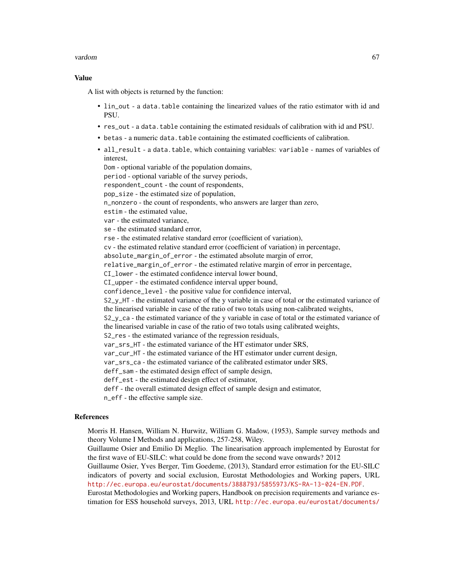#### vardom 67

### Value

A list with objects is returned by the function:

- lin\_out a data.table containing the linearized values of the ratio estimator with id and PSU.
- res\_out a data.table containing the estimated residuals of calibration with id and PSU.
- betas a numeric data.table containing the estimated coefficients of calibration.
- all\_result a data.table, which containing variables: variable names of variables of interest,

Dom - optional variable of the population domains, period - optional variable of the survey periods, respondent\_count - the count of respondents, pop\_size - the estimated size of population, n\_nonzero - the count of respondents, who answers are larger than zero, estim - the estimated value, var - the estimated variance, se - the estimated standard error, rse - the estimated relative standard error (coefficient of variation), cv - the estimated relative standard error (coefficient of variation) in percentage, absolute\_margin\_of\_error - the estimated absolute margin of error, relative\_margin\_of\_error - the estimated relative margin of error in percentage, CI\_lower - the estimated confidence interval lower bound, CI\_upper - the estimated confidence interval upper bound, confidence\_level - the positive value for confidence interval, S2\_y\_HT - the estimated variance of the y variable in case of total or the estimated variance of the linearised variable in case of the ratio of two totals using non-calibrated weights, S2\_y\_ca - the estimated variance of the y variable in case of total or the estimated variance of the linearised variable in case of the ratio of two totals using calibrated weights, S2\_res - the estimated variance of the regression residuals, var\_srs\_HT - the estimated variance of the HT estimator under SRS. var\_cur\_HT - the estimated variance of the HT estimator under current design, var\_srs\_ca - the estimated variance of the calibrated estimator under SRS, deff\_sam - the estimated design effect of sample design, deff\_est - the estimated design effect of estimator, deff - the overall estimated design effect of sample design and estimator, n\_eff - the effective sample size.

#### References

Morris H. Hansen, William N. Hurwitz, William G. Madow, (1953), Sample survey methods and theory Volume I Methods and applications, 257-258, Wiley.

Guillaume Osier and Emilio Di Meglio. The linearisation approach implemented by Eurostat for the first wave of EU-SILC: what could be done from the second wave onwards? 2012

Guillaume Osier, Yves Berger, Tim Goedeme, (2013), Standard error estimation for the EU-SILC indicators of poverty and social exclusion, Eurostat Methodologies and Working papers, URL <http://ec.europa.eu/eurostat/documents/3888793/5855973/KS-RA-13-024-EN.PDF>.

Eurostat Methodologies and Working papers, Handbook on precision requirements and variance estimation for ESS household surveys, 2013, URL [http://ec.europa.eu/eurostat/documents/](http://ec.europa.eu/eurostat/documents/3859598/5927001/KS-RA-13-029-EN.PDF)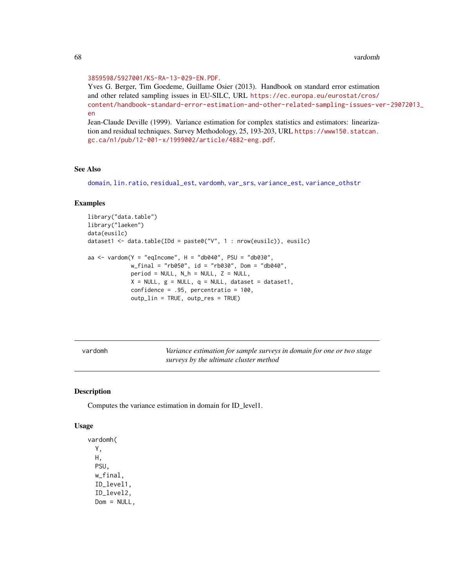#### [3859598/5927001/KS-RA-13-029-EN.PDF](http://ec.europa.eu/eurostat/documents/3859598/5927001/KS-RA-13-029-EN.PDF).

Yves G. Berger, Tim Goedeme, Guillame Osier (2013). Handbook on standard error estimation and other related sampling issues in EU-SILC, URL [https://ec.europa.eu/eurostat/cros/](https://ec.europa.eu/eurostat/cros/content/handbook-standard-error-estimation-and-other-related-sampling-issues-ver-29072013_en) [content/handbook-standard-error-estimation-and-other-related-sampling-issues-ve](https://ec.europa.eu/eurostat/cros/content/handbook-standard-error-estimation-and-other-related-sampling-issues-ver-29072013_en)r-29072013\_ [en](https://ec.europa.eu/eurostat/cros/content/handbook-standard-error-estimation-and-other-related-sampling-issues-ver-29072013_en)

Jean-Claude Deville (1999). Variance estimation for complex statistics and estimators: linearization and residual techniques. Survey Methodology, 25, 193-203, URL [https://www150.statcan.](https://www150.statcan.gc.ca/n1/pub/12-001-x/1999002/article/4882-eng.pdf) [gc.ca/n1/pub/12-001-x/1999002/article/4882-eng.pdf](https://www150.statcan.gc.ca/n1/pub/12-001-x/1999002/article/4882-eng.pdf).

### See Also

[domain](#page-2-0), [lin.ratio](#page-5-0), [residual\\_est](#page-29-0), [vardomh](#page-67-0), [var\\_srs](#page-87-0), [variance\\_est](#page-76-0), [variance\\_othstr](#page-78-0)

#### Examples

```
library("data.table")
library("laeken")
data(eusilc)
dataset1 <- data.table(IDd = paste0("V", 1 : nrow(eusilc)), eusilc)
aa \le vardom(Y = "eqIncome", H = "db040", PSU = "db030",
             w_final = "rb050", id = "rb030", Dom = "db040",
             period = NULL, N_h = NULL, Z = NULL,X = NULL, g = NULL, q = NULL, dataset = dataset1,
             confidence = .95, percentratio = 100,
             outp_lin = TRUE, outp_res = TRUE)
```
<span id="page-67-0"></span>vardomh *Variance estimation for sample surveys in domain for one or two stage surveys by the ultimate cluster method*

### Description

Computes the variance estimation in domain for ID\_level1.

#### Usage

```
vardomh(
 Y,
 H,
 PSU,
  w_final,
  ID_level1,
  ID_level2,
 Dom = NULL,
```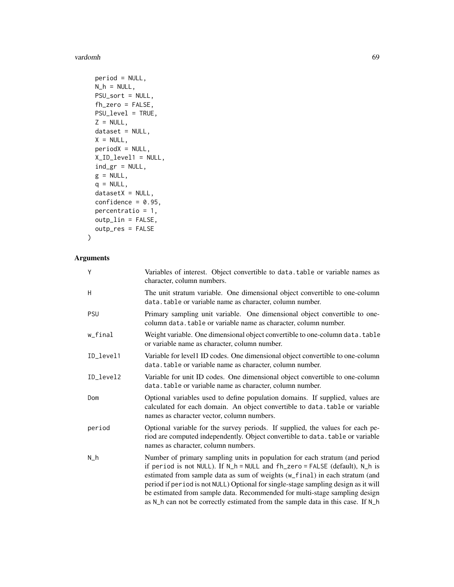vardomh 69 bis 1999 and 1999 and 1999 and 1999 and 1999 and 1999 and 1999 and 1999 and 1999 and 1999 and 1999

```
period = NULL,
 N_h = NULL,PSU_sort = NULL,
  fh_zero = FALSE,
 PSU_level = TRUE,
  Z = NULL,dataset = NULL,
 X = NULL,periodX = NULL,
 X_ID_level1 = NULL,
 ind_gr = NULL,
 g = NULL,q = NULL,datasetX = NULL,confidence = 0.95,
 percentratio = 1,
 outp_lin = FALSE,
 outp_res = FALSE
\mathcal{L}
```
# Arguments

| Y         | Variables of interest. Object convertible to data.table or variable names as<br>character, column numbers.                                                                                                                                                                                                                                                                                                                                                                                       |
|-----------|--------------------------------------------------------------------------------------------------------------------------------------------------------------------------------------------------------------------------------------------------------------------------------------------------------------------------------------------------------------------------------------------------------------------------------------------------------------------------------------------------|
| Η         | The unit stratum variable. One dimensional object convertible to one-column<br>data.table or variable name as character, column number.                                                                                                                                                                                                                                                                                                                                                          |
| PSU       | Primary sampling unit variable. One dimensional object convertible to one-<br>column data.table or variable name as character, column number.                                                                                                                                                                                                                                                                                                                                                    |
| w_final   | Weight variable. One dimensional object convertible to one-column data. table<br>or variable name as character, column number.                                                                                                                                                                                                                                                                                                                                                                   |
| ID_level1 | Variable for level1 ID codes. One dimensional object convertible to one-column<br>data. table or variable name as character, column number.                                                                                                                                                                                                                                                                                                                                                      |
| ID_level2 | Variable for unit ID codes. One dimensional object convertible to one-column<br>data.table or variable name as character, column number.                                                                                                                                                                                                                                                                                                                                                         |
| Dom       | Optional variables used to define population domains. If supplied, values are<br>calculated for each domain. An object convertible to data.table or variable<br>names as character vector, column numbers.                                                                                                                                                                                                                                                                                       |
| period    | Optional variable for the survey periods. If supplied, the values for each pe-<br>riod are computed independently. Object convertible to data. table or variable<br>names as character, column numbers.                                                                                                                                                                                                                                                                                          |
| N_h       | Number of primary sampling units in population for each stratum (and period<br>if period is not NULL). If N_h = NULL and fh_zero = FALSE (default), N_h is<br>estimated from sample data as sum of weights (w_final) in each stratum (and<br>period if period is not NULL) Optional for single-stage sampling design as it will<br>be estimated from sample data. Recommended for multi-stage sampling design<br>as N_h can not be correctly estimated from the sample data in this case. If N_h |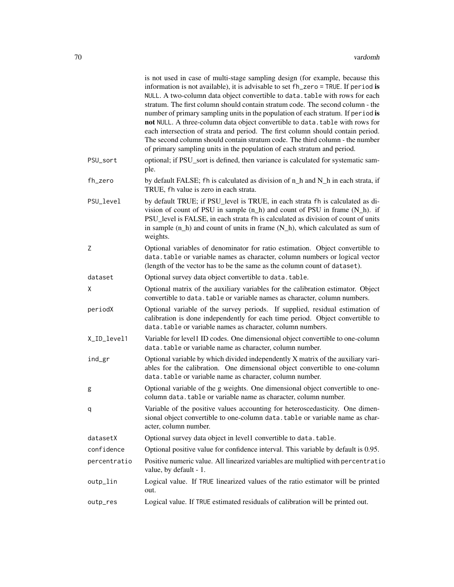| optional; if PSU_sort is defined, then variance is calculated for systematic sam-<br>ple.<br>by default FALSE; fh is calculated as division of n_h and N_h in each strata, if<br>TRUE, fh value is zero in each strata.<br>by default TRUE; if PSU_level is TRUE, in each strata fh is calculated as di-<br>vision of count of PSU in sample $(n_h)$ and count of PSU in frame $(N_h)$ . if |
|---------------------------------------------------------------------------------------------------------------------------------------------------------------------------------------------------------------------------------------------------------------------------------------------------------------------------------------------------------------------------------------------|
|                                                                                                                                                                                                                                                                                                                                                                                             |
|                                                                                                                                                                                                                                                                                                                                                                                             |
| PSU_level is FALSE, in each strata fh is calculated as division of count of units<br>in sample $(n_h)$ and count of units in frame $(N_h)$ , which calculated as sum of<br>weights.                                                                                                                                                                                                         |
| Optional variables of denominator for ratio estimation. Object convertible to<br>data.table or variable names as character, column numbers or logical vector<br>(length of the vector has to be the same as the column count of dataset).                                                                                                                                                   |
| Optional survey data object convertible to data.table.                                                                                                                                                                                                                                                                                                                                      |
| Optional matrix of the auxiliary variables for the calibration estimator. Object<br>convertible to data. table or variable names as character, column numbers.                                                                                                                                                                                                                              |
| Optional variable of the survey periods. If supplied, residual estimation of<br>calibration is done independently for each time period. Object convertible to<br>data.table or variable names as character, column numbers.                                                                                                                                                                 |
| Variable for level1 ID codes. One dimensional object convertible to one-column<br>data. table or variable name as character, column number.                                                                                                                                                                                                                                                 |
| Optional variable by which divided independently X matrix of the auxiliary vari-<br>ables for the calibration. One dimensional object convertible to one-column<br>data.table or variable name as character, column number.                                                                                                                                                                 |
| Optional variable of the g weights. One dimensional object convertible to one-<br>column data.table or variable name as character, column number.                                                                                                                                                                                                                                           |
| Variable of the positive values accounting for heteroscedasticity. One dimen-<br>sional object convertible to one-column data. table or variable name as char-<br>acter, column number.                                                                                                                                                                                                     |
| Optional survey data object in level1 convertible to data.table.                                                                                                                                                                                                                                                                                                                            |
| Optional positive value for confidence interval. This variable by default is 0.95.                                                                                                                                                                                                                                                                                                          |
| Positive numeric value. All linearized variables are multiplied with percentratio<br>value, by default - 1.                                                                                                                                                                                                                                                                                 |
| Logical value. If TRUE linearized values of the ratio estimator will be printed<br>out.                                                                                                                                                                                                                                                                                                     |
| Logical value. If TRUE estimated residuals of calibration will be printed out.                                                                                                                                                                                                                                                                                                              |
|                                                                                                                                                                                                                                                                                                                                                                                             |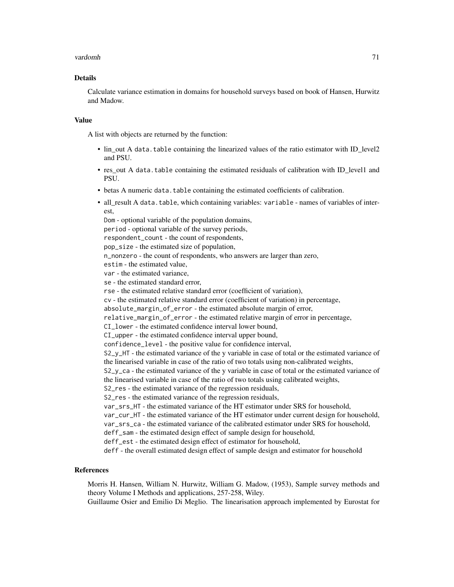#### vardomh 71

### Details

Calculate variance estimation in domains for household surveys based on book of Hansen, Hurwitz and Madow.

### Value

A list with objects are returned by the function:

- lin\_out A data.table containing the linearized values of the ratio estimator with ID\_level2 and PSU.
- res out A data.table containing the estimated residuals of calibration with ID level1 and PSU.
- betas A numeric data.table containing the estimated coefficients of calibration.
- all\_result A data.table, which containing variables: variable names of variables of interest

Dom - optional variable of the population domains, period - optional variable of the survey periods, respondent\_count - the count of respondents, pop\_size - the estimated size of population, n\_nonzero - the count of respondents, who answers are larger than zero, estim - the estimated value, var - the estimated variance, se - the estimated standard error, rse - the estimated relative standard error (coefficient of variation), cv - the estimated relative standard error (coefficient of variation) in percentage, absolute\_margin\_of\_error - the estimated absolute margin of error, relative\_margin\_of\_error - the estimated relative margin of error in percentage, CI\_lower - the estimated confidence interval lower bound, CI\_upper - the estimated confidence interval upper bound, confidence\_level - the positive value for confidence interval, S2\_y\_HT - the estimated variance of the y variable in case of total or the estimated variance of the linearised variable in case of the ratio of two totals using non-calibrated weights, S2\_y\_ca - the estimated variance of the y variable in case of total or the estimated variance of the linearised variable in case of the ratio of two totals using calibrated weights, S2\_res - the estimated variance of the regression residuals, S2\_res - the estimated variance of the regression residuals, var\_srs\_HT - the estimated variance of the HT estimator under SRS for household, var\_cur\_HT - the estimated variance of the HT estimator under current design for household, var\_srs\_ca - the estimated variance of the calibrated estimator under SRS for household, deff\_sam - the estimated design effect of sample design for household, deff\_est - the estimated design effect of estimator for household, deff - the overall estimated design effect of sample design and estimator for household

### References

Morris H. Hansen, William N. Hurwitz, William G. Madow, (1953), Sample survey methods and theory Volume I Methods and applications, 257-258, Wiley.

Guillaume Osier and Emilio Di Meglio. The linearisation approach implemented by Eurostat for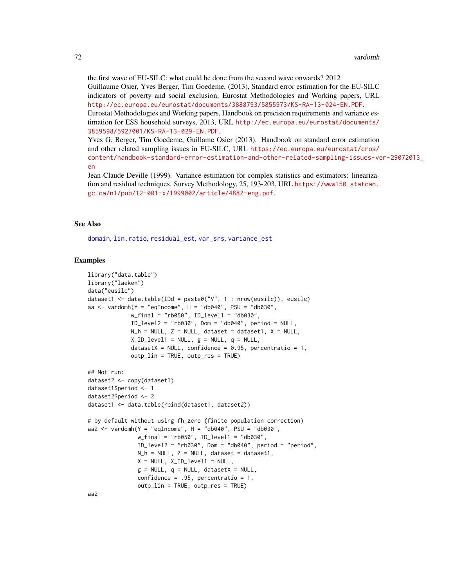the first wave of EU-SILC: what could be done from the second wave onwards? 2012 Guillaume Osier, Yves Berger, Tim Goedeme, (2013), Standard error estimation for the EU-SILC indicators of poverty and social exclusion, Eurostat Methodologies and Working papers, URL <http://ec.europa.eu/eurostat/documents/3888793/5855973/KS-RA-13-024-EN.PDF>. Eurostat Methodologies and Working papers, Handbook on precision requirements and variance estimation for ESS household surveys, 2013, URL [http://ec.europa.eu/eurostat/documents/](http://ec.europa.eu/eurostat/documents/3859598/5927001/KS-RA-13-029-EN.PDF) [3859598/5927001/KS-RA-13-029-EN.PDF](http://ec.europa.eu/eurostat/documents/3859598/5927001/KS-RA-13-029-EN.PDF).

Yves G. Berger, Tim Goedeme, Guillame Osier (2013). Handbook on standard error estimation and other related sampling issues in EU-SILC, URL [https://ec.europa.eu/eurostat/cros/](https://ec.europa.eu/eurostat/cros/content/handbook-standard-error-estimation-and-other-related-sampling-issues-ver-29072013_en) [content/handbook-standard-error-estimation-and-other-related-sampling-issues-ve](https://ec.europa.eu/eurostat/cros/content/handbook-standard-error-estimation-and-other-related-sampling-issues-ver-29072013_en)r-29072013\_ [en](https://ec.europa.eu/eurostat/cros/content/handbook-standard-error-estimation-and-other-related-sampling-issues-ver-29072013_en)

Jean-Claude Deville (1999). Variance estimation for complex statistics and estimators: linearization and residual techniques. Survey Methodology, 25, 193-203, URL [https://www150.statcan.](https://www150.statcan.gc.ca/n1/pub/12-001-x/1999002/article/4882-eng.pdf) [gc.ca/n1/pub/12-001-x/1999002/article/4882-eng.pdf](https://www150.statcan.gc.ca/n1/pub/12-001-x/1999002/article/4882-eng.pdf).

### See Also

[domain](#page-2-0), [lin.ratio](#page-5-0), [residual\\_est](#page-29-0), [var\\_srs](#page-87-0), [variance\\_est](#page-76-0)

### Examples

```
library("data.table")
library("laeken")
data("eusilc")
dataset1 <- data.table(IDd = paste0("V", 1 : nrow(eusilc)), eusilc)
aa \le vardomh(Y = "eqIncome", H = "db040", PSU = "db030",
             w_final = "rb050", ID_level1 = "db030",
             ID\_level2 = "rb030", Dom = "db040", period = NULL,N_h = NULL, Z = NULL, dataset = dataset1, X = NULL,
             XID\_level1 = NULL, g = NULL, q = NULL,datasetX = NULL, confidence = 0.95, percentratio = 1,
             outp_lin = TRUE, outp_res = TRUE)
## Not run:
dataset2 <- copy(dataset1)
dataset1$period <- 1
dataset2$period <- 2
dataset1 <- data.table(rbind(dataset1, dataset2))
# by default without using fh_zero (finite population correction)
aa2 \leq vardomh(Y = "eqIncome", H = "db040", PSU = "db030",
               w_final = "rb050", ID_level1 = "db030",
               ID\_level2 = "rb030", Dom = "db040", period = "period",N_h = NULL, Z = NULL, dataset = dataset1,
               X = NULL, XID\_level1 = NULL,g = NULL, q = NULL, datasetX = NULL,
               confidence = .95, percentratio = 1,
               outp_lin = TRUE, outp_res = TRUE)
```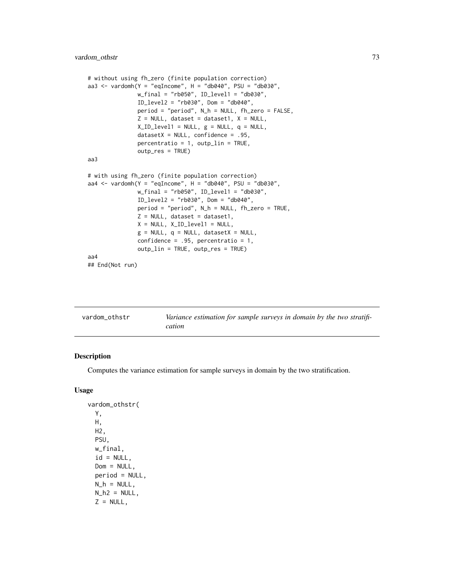```
# without using fh_zero (finite population correction)
aa3 <- vardomh(Y = "eqIncome", H = "db040", PSU = "db030",w_final = "rb050", ID_level1 = "db030",
              ID_level2 = "rb030", Dom = "db040",
              period = "period", N_h = NULL, fh_zero = FALSE,
              Z = NULL, dataset = dataset1, X = NULL,
              X\_ID\_level1 = NULL, g = NULL, q = NULL,datasetX = NULL, confidence = .95,
              percent ratio = 1, outp\_lin = TRUE,
               outp_res = TRUE)
aa3
# with using fh_zero (finite population correction)
aa4 \le vardomh(Y = "eqIncome", H = "db040", PSU = "db030",
              w_final = "rb050", ID_level1 = "db030",
              ID_level2 = "rb030", Dom = "db040",
              period = "period", N_h = NULL, fh_zero = TRUE,
              Z = NULL, dataset = dataset1,
              X = NULL, XID\_level1 = NULL,g = NULL, q = NULL, datasetX = NULL,
               confidence = .95, percentratio = 1,
               outp_lin = TRUE, outp_res = TRUE)
aa4
## End(Not run)
```
<span id="page-72-0"></span>

| vardom_othstr | Variance estimation for sample surveys in domain by the two stratifi- |
|---------------|-----------------------------------------------------------------------|
|               | cation                                                                |

## Description

Computes the variance estimation for sample surveys in domain by the two stratification.

## Usage

```
vardom_othstr(
 Y,
 H,
 H2,
 PSU,
 w_final,
  id = NULL,Dom = NULL,
 period = NULL,
 N_h = NULL,N_h2 = NULL,Z = NULL,
```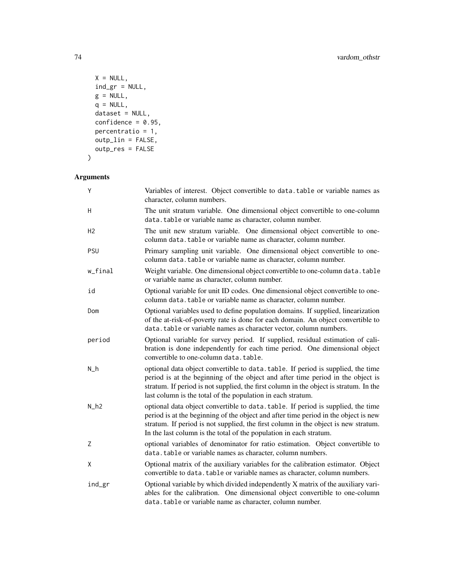```
X = NULL,ind_gr = NULL,
 g = NULL,q = NULL,dataset = NULL,
 confidence = 0.95,
 percentratio = 1,
 outp_lin = FALSE,
 outp_res = FALSE
\mathcal{L}
```

| Y              | Variables of interest. Object convertible to data.table or variable names as<br>character, column numbers.                                                                                                                                                                                                                          |
|----------------|-------------------------------------------------------------------------------------------------------------------------------------------------------------------------------------------------------------------------------------------------------------------------------------------------------------------------------------|
| H              | The unit stratum variable. One dimensional object convertible to one-column<br>data.table or variable name as character, column number.                                                                                                                                                                                             |
| H <sub>2</sub> | The unit new stratum variable. One dimensional object convertible to one-<br>column data.table or variable name as character, column number.                                                                                                                                                                                        |
| PSU            | Primary sampling unit variable. One dimensional object convertible to one-<br>column data.table or variable name as character, column number.                                                                                                                                                                                       |
| w_final        | Weight variable. One dimensional object convertible to one-column data. table<br>or variable name as character, column number.                                                                                                                                                                                                      |
| id             | Optional variable for unit ID codes. One dimensional object convertible to one-<br>column data.table or variable name as character, column number.                                                                                                                                                                                  |
| Dom            | Optional variables used to define population domains. If supplied, linearization<br>of the at-risk-of-poverty rate is done for each domain. An object convertible to<br>data.table or variable names as character vector, column numbers.                                                                                           |
| period         | Optional variable for survey period. If supplied, residual estimation of cali-<br>bration is done independently for each time period. One dimensional object<br>convertible to one-column data.table.                                                                                                                               |
| $N_h$          | optional data object convertible to data. table. If period is supplied, the time<br>period is at the beginning of the object and after time period in the object is<br>stratum. If period is not supplied, the first column in the object is stratum. In the<br>last column is the total of the population in each stratum.         |
| $N_h2$         | optional data object convertible to data. table. If period is supplied, the time<br>period is at the beginning of the object and after time period in the object is new<br>stratum. If period is not supplied, the first column in the object is new stratum.<br>In the last column is the total of the population in each stratum. |
| Z              | optional variables of denominator for ratio estimation. Object convertible to<br>data.table or variable names as character, column numbers.                                                                                                                                                                                         |
| X              | Optional matrix of the auxiliary variables for the calibration estimator. Object<br>convertible to data. table or variable names as character, column numbers.                                                                                                                                                                      |
| ind_gr         | Optional variable by which divided independently X matrix of the auxiliary vari-<br>ables for the calibration. One dimensional object convertible to one-column<br>data.table or variable name as character, column number.                                                                                                         |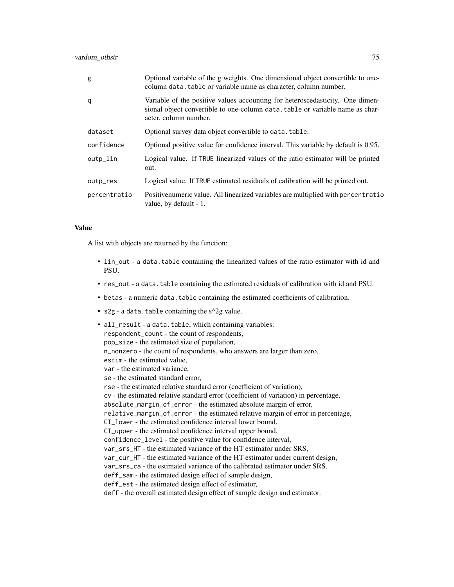| g            | Optional variable of the g weights. One dimensional object convertible to one-<br>column data. table or variable name as character, column number.                                      |
|--------------|-----------------------------------------------------------------------------------------------------------------------------------------------------------------------------------------|
| q            | Variable of the positive values accounting for heteroscedasticity. One dimen-<br>sional object convertible to one-column data. table or variable name as char-<br>acter, column number. |
| dataset      | Optional survey data object convertible to data. table.                                                                                                                                 |
| confidence   | Optional positive value for confidence interval. This variable by default is 0.95.                                                                                                      |
| outp_lin     | Logical value. If TRUE linearized values of the ratio estimator will be printed<br>out.                                                                                                 |
| outp_res     | Logical value. If TRUE estimated residuals of calibration will be printed out.                                                                                                          |
| percentratio | Positivenumeric value. All linearized variables are multiplied with percent ratio<br>value, by default - 1.                                                                             |

## Value

A list with objects are returned by the function:

- lin\_out a data.table containing the linearized values of the ratio estimator with id and PSU.
- res\_out a data.table containing the estimated residuals of calibration with id and PSU.
- betas a numeric data.table containing the estimated coefficients of calibration.
- $s2g a$  data.table containing the  $s^2g$  value.

```
• all_result - a data.table, which containing variables:
  respondent_count - the count of respondents,
  pop_size - the estimated size of population,
 n_nonzero - the count of respondents, who answers are larger than zero,
  estim - the estimated value,
  var - the estimated variance,
  se - the estimated standard error,
  rse - the estimated relative standard error (coefficient of variation),
  cv - the estimated relative standard error (coefficient of variation) in percentage,
  absolute_margin_of_error - the estimated absolute margin of error,
  relative_margin_of_error - the estimated relative margin of error in percentage,
  CI_lower - the estimated confidence interval lower bound,
  CI_upper - the estimated confidence interval upper bound,
  confidence_level - the positive value for confidence interval,
  var_srs_HT - the estimated variance of the HT estimator under SRS,
  var_cur_HT - the estimated variance of the HT estimator under current design,
  var_srs_ca - the estimated variance of the calibrated estimator under SRS,
  deff_sam - the estimated design effect of sample design,
  deff_est - the estimated design effect of estimator,
  deff - the overall estimated design effect of sample design and estimator.
```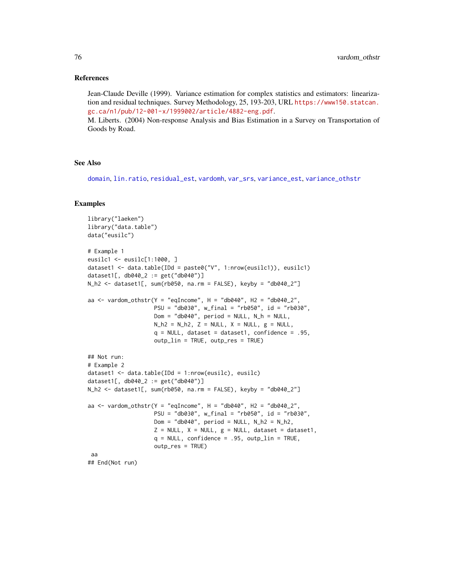#### <span id="page-75-0"></span>References

Jean-Claude Deville (1999). Variance estimation for complex statistics and estimators: linearization and residual techniques. Survey Methodology, 25, 193-203, URL [https://www150.statcan.](https://www150.statcan.gc.ca/n1/pub/12-001-x/1999002/article/4882-eng.pdf) [gc.ca/n1/pub/12-001-x/1999002/article/4882-eng.pdf](https://www150.statcan.gc.ca/n1/pub/12-001-x/1999002/article/4882-eng.pdf). M. Liberts. (2004) Non-response Analysis and Bias Estimation in a Survey on Transportation of

Goods by Road.

## See Also

[domain](#page-2-0), [lin.ratio](#page-5-0), [residual\\_est](#page-29-0), [vardomh](#page-67-0), [var\\_srs](#page-87-0), [variance\\_est](#page-76-0), [variance\\_othstr](#page-78-0)

#### Examples

```
library("laeken")
library("data.table")
data("eusilc")
# Example 1
eusilc1 <- eusilc[1:1000, ]
dataset1 <- data.table(IDd = paste0("V", 1:nrow(eusilc1)), eusilc1)
dataset1[, db040_2 := get("db040")]
N_h2 <- dataset1[, sum(rb050, na.rm = FALSE), keyby = "db040_2"]
aa <- vardom_othstr(Y = "eqIncome", H = "db040", H2 = "db040_2",
                    PSU = "db030", w_final = "rb050", id = "rb030",
                    Dom = "db040", period = NULL, N_h = NULL,N_h2 = N_h2, Z = NULL, X = NULL, g = NULL,
                    q = NULL, dataset = dataset1, confidence = .95,
                    outp_lin = TRUE, outp_res = TRUE)
## Not run:
# Example 2
dataset1 <- data.table(IDd = 1:nrow(eusilc), eusilc)
dataset1[, db040_2 := get("db040")]
N_h2 <- dataset1[, sum(rb050, na.rm = FALSE), keyby = "db040_2"]
aa <- vardom_othstr(Y = "eqIncome", H = "db040", H2 = "db040_2",
                    PSU = "db030", w_final = "rb050", id = "rb030",
                    Dom = "db040", period = NULL, N_h2 = N_h2,Z = NULL, X = NULL, g = NULL, dataset = dataset1,
                    q = NULL, confidence = .95, outp_lin = TRUE,
                    outp_res = TRUE)
 aa
## End(Not run)
```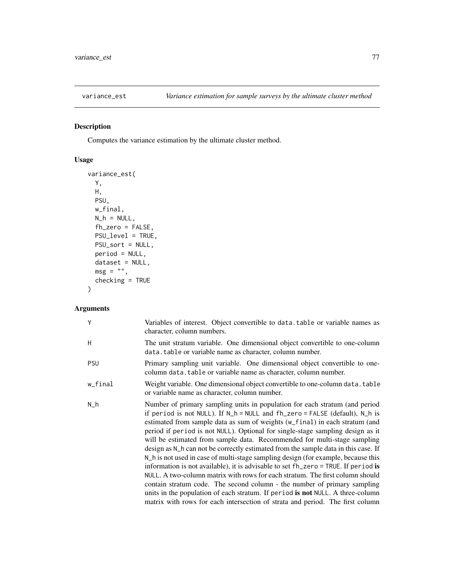<span id="page-76-1"></span><span id="page-76-0"></span>

# Description

Computes the variance estimation by the ultimate cluster method.

# Usage

```
variance_est(
 Y,
 H,
 PSU,
 w_final,
 N_h = NULL,fh_zero = FALSE,
 PSU_level = TRUE,
 PSU_sort = NULL,
 period = NULL,
 dataset = NULL,
 msg = "",checking = TRUE
\mathcal{L}
```

| Y          | Variables of interest. Object convertible to data. table or variable names as<br>character, column numbers.                                                                                                                                                                                                                                                                                                                                                                                                                                                                                                                                                                                                                                                                                                                                                                                                                                                                                              |
|------------|----------------------------------------------------------------------------------------------------------------------------------------------------------------------------------------------------------------------------------------------------------------------------------------------------------------------------------------------------------------------------------------------------------------------------------------------------------------------------------------------------------------------------------------------------------------------------------------------------------------------------------------------------------------------------------------------------------------------------------------------------------------------------------------------------------------------------------------------------------------------------------------------------------------------------------------------------------------------------------------------------------|
| H          | The unit stratum variable. One dimensional object convertible to one-column<br>data. table or variable name as character, column number.                                                                                                                                                                                                                                                                                                                                                                                                                                                                                                                                                                                                                                                                                                                                                                                                                                                                 |
| <b>PSU</b> | Primary sampling unit variable. One dimensional object convertible to one-<br>column data. table or variable name as character, column number.                                                                                                                                                                                                                                                                                                                                                                                                                                                                                                                                                                                                                                                                                                                                                                                                                                                           |
| w_final    | Weight variable. One dimensional object convertible to one-column data. table<br>or variable name as character, column number.                                                                                                                                                                                                                                                                                                                                                                                                                                                                                                                                                                                                                                                                                                                                                                                                                                                                           |
| $N_h$      | Number of primary sampling units in population for each stratum (and period<br>if period is not NULL). If N_h = NULL and fh_zero = FALSE (default), N_h is<br>estimated from sample data as sum of weights (w_final) in each stratum (and<br>period if period is not NULL). Optional for single-stage sampling design as it<br>will be estimated from sample data. Recommended for multi-stage sampling<br>design as N_h can not be correctly estimated from the sample data in this case. If<br>N_h is not used in case of multi-stage sampling design (for example, because this<br>information is not available), it is advisable to set fh_zero = TRUE. If period is<br>NULL. A two-column matrix with rows for each stratum. The first column should<br>contain stratum code. The second column - the number of primary sampling<br>units in the population of each stratum. If period is not NULL. A three-column<br>matrix with rows for each intersection of strata and period. The first column |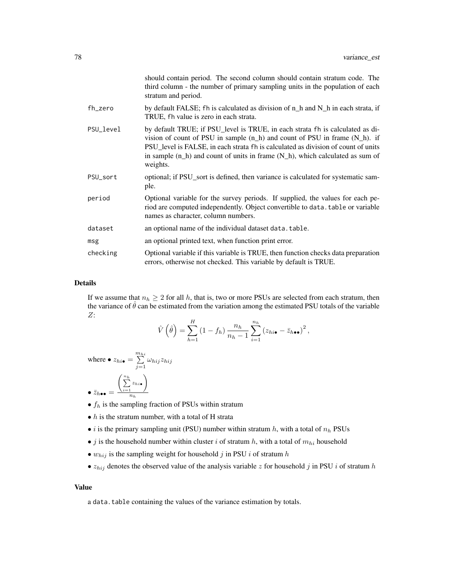|           | should contain period. The second column should contain stratum code. The<br>third column - the number of primary sampling units in the population of each<br>stratum and period.                                                                                                                                                                       |
|-----------|---------------------------------------------------------------------------------------------------------------------------------------------------------------------------------------------------------------------------------------------------------------------------------------------------------------------------------------------------------|
| fh_zero   | by default FALSE; fh is calculated as division of $n_h$ and $N_h$ in each strata, if<br>TRUE, fh value is zero in each strata.                                                                                                                                                                                                                          |
| PSU_level | by default TRUE; if PSU_level is TRUE, in each strata fh is calculated as di-<br>vision of count of PSU in sample $(n_h)$ and count of PSU in frame $(N_h)$ . if<br>PSU_level is FALSE, in each strata fh is calculated as division of count of units<br>in sample $(n_h)$ and count of units in frame $(N_h)$ , which calculated as sum of<br>weights. |
| PSU_sort  | optional; if PSU_sort is defined, then variance is calculated for systematic sam-<br>ple.                                                                                                                                                                                                                                                               |
| period    | Optional variable for the survey periods. If supplied, the values for each pe-<br>riod are computed independently. Object convertible to data. table or variable<br>names as character, column numbers.                                                                                                                                                 |
| dataset   | an optional name of the individual dataset data.table.                                                                                                                                                                                                                                                                                                  |
| msg       | an optional printed text, when function print error.                                                                                                                                                                                                                                                                                                    |
| checking  | Optional variable if this variable is TRUE, then function checks data preparation<br>errors, otherwise not checked. This variable by default is TRUE.                                                                                                                                                                                                   |

#### Details

If we assume that  $n_h \geq 2$  for all h, that is, two or more PSUs are selected from each stratum, then the variance of  $\hat{\theta}$  can be estimated from the variation among the estimated PSU totals of the variable Z:

$$
\hat{V}\left(\hat{\theta}\right) = \sum_{h=1}^{H} \left(1 - f_h\right) \frac{n_h}{n_h - 1} \sum_{i=1}^{n_h} \left(z_{hi\bullet} - \bar{z}_{h\bullet\bullet}\right)^2,
$$

where 
$$
\bullet
$$
  $z_{hi} = \sum_{j=1}^{m_{hi}} \omega_{hij} z_{hij}$   

$$
\bullet \overline{z}_{h\bullet\bullet} = \frac{\left(\sum_{i=1}^{n_h} z_{hi\bullet}\right)}{n_h}
$$

- $f_h$  is the sampling fraction of PSUs within stratum
- $\bullet$  *h* is the stratum number, with a total of H strata
- *i* is the primary sampling unit (PSU) number within stratum  $h$ , with a total of  $n_h$  PSUs
- $\bullet$   $j$  is the household number within cluster  $i$  of stratum  $h,$  with a total of  $m_{hi}$  household
- $w_{hij}$  is the sampling weight for household j in PSU i of stratum h
- $z_{hij}$  denotes the observed value of the analysis variable z for household j in PSU i of stratum h

#### Value

a data.table containing the values of the variance estimation by totals.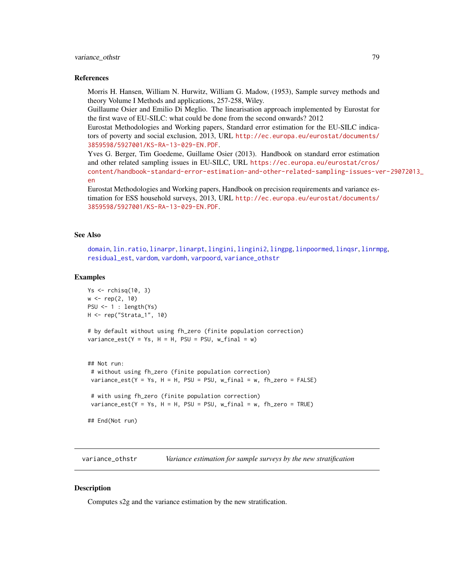## <span id="page-78-1"></span>variance\_othstr 79

#### References

Morris H. Hansen, William N. Hurwitz, William G. Madow, (1953), Sample survey methods and theory Volume I Methods and applications, 257-258, Wiley.

Guillaume Osier and Emilio Di Meglio. The linearisation approach implemented by Eurostat for the first wave of EU-SILC: what could be done from the second onwards? 2012

Eurostat Methodologies and Working papers, Standard error estimation for the EU-SILC indicators of poverty and social exclusion, 2013, URL [http://ec.europa.eu/eurostat/documents/](http://ec.europa.eu/eurostat/documents/3859598/5927001/KS-RA-13-029-EN.PDF) [3859598/5927001/KS-RA-13-029-EN.PDF](http://ec.europa.eu/eurostat/documents/3859598/5927001/KS-RA-13-029-EN.PDF).

Yves G. Berger, Tim Goedeme, Guillame Osier (2013). Handbook on standard error estimation and other related sampling issues in EU-SILC, URL [https://ec.europa.eu/eurostat/cros/](https://ec.europa.eu/eurostat/cros/content/handbook-standard-error-estimation-and-other-related-sampling-issues-ver-29072013_en) [content/handbook-standard-error-estimation-and-other-related-sampling-issues-ve](https://ec.europa.eu/eurostat/cros/content/handbook-standard-error-estimation-and-other-related-sampling-issues-ver-29072013_en)r-29072013\_ [en](https://ec.europa.eu/eurostat/cros/content/handbook-standard-error-estimation-and-other-related-sampling-issues-ver-29072013_en)

```
Eurostat Methodologies and Working papers, Handbook on precision requirements and variance es-
timation for ESS household surveys, 2013, URL http://ec.europa.eu/eurostat/documents/
3859598/5927001/KS-RA-13-029-EN.PDF.
```
## See Also

[domain](#page-2-0), [lin.ratio](#page-5-0), [linarpr](#page-6-0), [linarpt](#page-9-0), [lingini](#page-14-0), [lingini2](#page-15-0), [lingpg](#page-17-0), [linpoormed](#page-20-0), [linqsr](#page-22-0), [linrmpg](#page-26-0), [residual\\_est](#page-29-0), [vardom](#page-63-0), [vardomh](#page-67-0), [varpoord](#page-81-0), [variance\\_othstr](#page-78-0)

#### Examples

```
Ys \le rchisq(10, 3)
w \leq -rep(2, 10)PSU \leftarrow 1 : length(Ys)
H <- rep("Strata_1", 10)
# by default without using fh_zero (finite population correction)
variance_set(Y = Ys, H = H, PSU = PSU, w\_final = w)## Not run:
 # without using fh_zero (finite population correction)
 variance_est(Y = Ys, H = H, PSU = PSU, w_final = w, fh_zero = FALSE)
 # with using fh_zero (finite population correction)
 variance_est(Y = Ys, H = H, PSU = PSU, w_final = w, fh_zero = TRUE)
## End(Not run)
```
<span id="page-78-0"></span>variance\_othstr *Variance estimation for sample surveys by the new stratification*

## **Description**

Computes s2g and the variance estimation by the new stratification.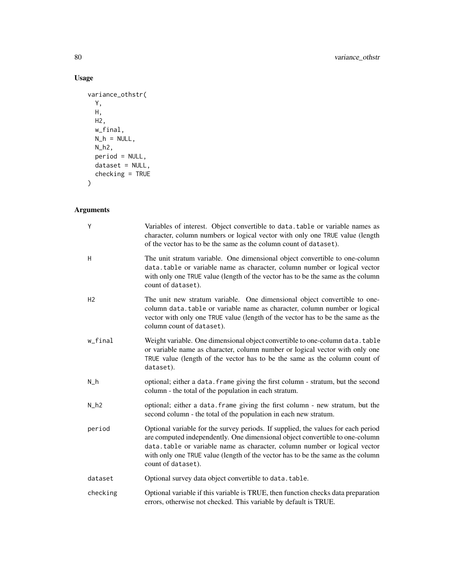# Usage

```
variance_othstr(
  Y,
  H,
 \overline{H2},
  w_final,
  N_h = NULL,N_h2,
  period = NULL,
  dataset = NULL,checking = TRUE\mathcal{L}
```

| Υ              | Variables of interest. Object convertible to data.table or variable names as<br>character, column numbers or logical vector with only one TRUE value (length<br>of the vector has to be the same as the column count of dataset).                                                                                                                       |
|----------------|---------------------------------------------------------------------------------------------------------------------------------------------------------------------------------------------------------------------------------------------------------------------------------------------------------------------------------------------------------|
| H              | The unit stratum variable. One dimensional object convertible to one-column<br>data.table or variable name as character, column number or logical vector<br>with only one TRUE value (length of the vector has to be the same as the column<br>count of dataset).                                                                                       |
| H <sub>2</sub> | The unit new stratum variable. One dimensional object convertible to one-<br>column data.table or variable name as character, column number or logical<br>vector with only one TRUE value (length of the vector has to be the same as the<br>column count of dataset).                                                                                  |
| w_final        | Weight variable. One dimensional object convertible to one-column data. table<br>or variable name as character, column number or logical vector with only one<br>TRUE value (length of the vector has to be the same as the column count of<br>dataset).                                                                                                |
| $N_h$          | optional; either a data. frame giving the first column - stratum, but the second<br>column - the total of the population in each stratum.                                                                                                                                                                                                               |
| $N_h$ 2        | optional; either a data. frame giving the first column - new stratum, but the<br>second column - the total of the population in each new stratum.                                                                                                                                                                                                       |
| period         | Optional variable for the survey periods. If supplied, the values for each period<br>are computed independently. One dimensional object convertible to one-column<br>data.table or variable name as character, column number or logical vector<br>with only one TRUE value (length of the vector has to be the same as the column<br>count of dataset). |
| dataset        | Optional survey data object convertible to data.table.                                                                                                                                                                                                                                                                                                  |
| checking       | Optional variable if this variable is TRUE, then function checks data preparation<br>errors, otherwise not checked. This variable by default is TRUE.                                                                                                                                                                                                   |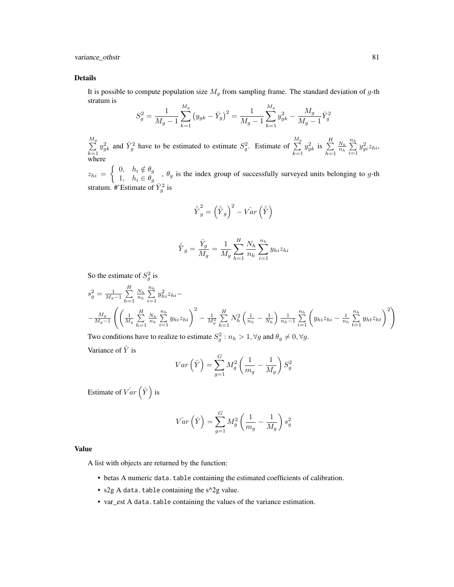variance\_othstr 81

#### Details

It is possible to compute population size  $M_g$  from sampling frame. The standard deviation of g-th stratum is

$$
S_g^2 = \frac{1}{M_g - 1} \sum_{k=1}^{M_g} (y_{gk} - \bar{Y}_g)^2 = \frac{1}{M_g - 1} \sum_{k=1}^{M_g} y_{gk}^2 - \frac{M_g}{M_g - 1} \bar{Y}_g^2
$$

 $\frac{M_g}{\sum}$  $k=1$  $y_{g_k}^2$  and  $\bar{Y}_g^2$  have to be estimated to estimate  $S_g^2$ . Estimate of  $\frac{M_g}{\sum}$  $k=1$  $y_{gk}^2$  is  $\sum^H$  $h=1$  $\frac{N_h}{n_h} \sum_{n=1}^{n_h}$  $i=1$  $y_{gi}^2 z_{hi}$ where

 $z_{hi} = \begin{cases} 0, & h_i \notin \theta_g \\ 1, & h_i \in \theta_g \end{cases}$  $\begin{cases} 0, & h_i \neq g_j \\ 1, & h_i \in \theta_g \end{cases}$ ,  $\theta_g$  is the index group of successfully surveyed units belonging to g-th stratum. #'Estimate of  $\bar{Y}_g^2$  is

$$
\hat{\bar{Y}}_g^2 = \left(\hat{\bar{Y}}_g\right)^2 - \hat{Var}\left(\hat{\bar{Y}}\right)
$$

$$
\hat{\bar{Y}}_g = \frac{\hat{Y}_g}{M_g} = \frac{1}{M_g} \sum_{h=1}^{H} \frac{N_h}{n_h} \sum_{i=1}^{n_h} y_{hi} z_{hi}
$$

So the estimate of  $S_g^2$  is

$$
s_g^2 = \frac{1}{M_g - 1} \sum_{h=1}^H \frac{N_h}{n_h} \sum_{i=1}^{n_h} y_{hi}^2 z_{hi} - \frac{M_g}{M_g - 1} \left( \left( \frac{1}{M_g} \sum_{h=1}^H \frac{N_h}{n_h} \sum_{i=1}^{n_h} y_{hi} z_{hi} \right)^2 - \frac{1}{M_g^2} \sum_{h=1}^H N_h^2 \left( \frac{1}{n_h} - \frac{1}{N_h} \right) \frac{1}{n_h - 1} \sum_{i=1}^{n_h} \left( y_{hi} z_{hi} - \frac{1}{n_h} \sum_{t=1}^{n_h} y_{ht} z_{ht} \right)^2 \right)
$$

Two conditions have to realize to estimate  $S_g^2$  :  $n_h > 1$ ,  $\forall g$  and  $\theta_g \neq 0$ ,  $\forall g$ .

Variance of  $\hat{Y}$  is

$$
Var\left(\hat{Y}\right) = \sum_{g=1}^{G} M_g^2 \left(\frac{1}{m_g} - \frac{1}{M_g}\right) S_g^2
$$

Estimate of  $\hat{Var}(\hat{Y})$  is

$$
\hat{Var}\left(\hat{Y}\right) = \sum_{g=1}^{G} M_g^2 \left(\frac{1}{m_g} - \frac{1}{M_g}\right) s_g^2
$$

## Value

A list with objects are returned by the function:

- betas A numeric data.table containing the estimated coefficients of calibration.
- s2g A data.table containing the  $s^2$ g value.
- var\_est A data.table containing the values of the variance estimation.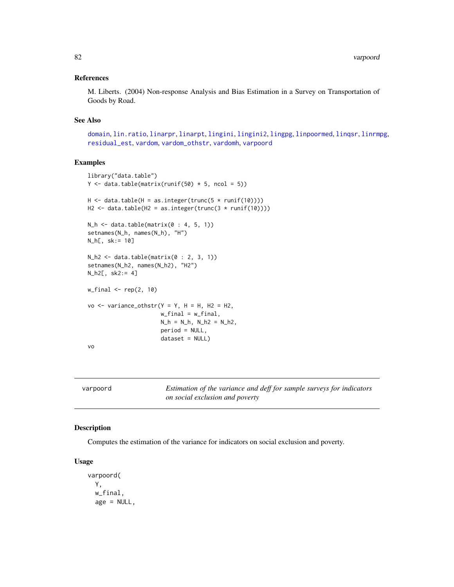## <span id="page-81-1"></span>References

M. Liberts. (2004) Non-response Analysis and Bias Estimation in a Survey on Transportation of Goods by Road.

#### See Also

[domain](#page-2-0), [lin.ratio](#page-5-0), [linarpr](#page-6-0), [linarpt](#page-9-0), [lingini](#page-14-0), [lingini2](#page-15-0), [lingpg](#page-17-0), [linpoormed](#page-20-0), [linqsr](#page-22-0), [linrmpg](#page-26-0), [residual\\_est](#page-29-0), [vardom](#page-63-0), [vardom\\_othstr](#page-72-0), [vardomh](#page-67-0), [varpoord](#page-81-0)

## Examples

```
library("data.table")
Y \leftarrow data.table(matrix(runif(50) * 5, ncol = 5))
H \leftarrow data.title(H = as.integer(true(5 * runif(10))))H2 <- data.table(H2 = as.integer(trunc(3 * runif(10))))
N_h <- data.table(matrix(0 : 4, 5, 1))
setnames(N_h, names(N_h), "H")
N_h[, sk:= 10]
N_h2 \leftarrow data.table(matrix(0 : 2, 3, 1))setnames(N_h2, names(N_h2), "H2")
N_h2[, sk2:= 4]
w_final \leq rep(2, 10)
vo \le variance_othstr(Y = Y, H = H, H2 = H2,
                       w_final = w_final,
                       N_h = N_h, N_h = N_hperiod = NULL,
                       dataset = NULL)
vo
```
<span id="page-81-0"></span>varpoord *Estimation of the variance and deff for sample surveys for indicators on social exclusion and poverty*

## Description

Computes the estimation of the variance for indicators on social exclusion and poverty.

#### Usage

```
varpoord(
 Y,
 w_final,
  age = NULL,
```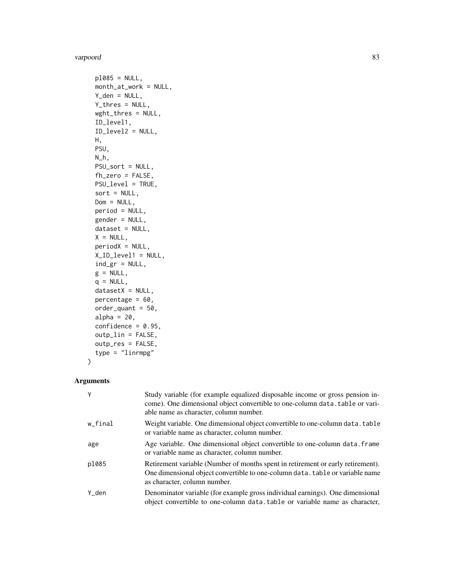#### varpoord 83

```
p1085 = NULL,month_at_work = NULL,
 Y_den = NULL,
 Y_thres = NULL,
 wght_thres = NULL,
  ID_level1,
 ID_level2 = NULL,
 H,
 PSU,
 N_h,
 PSU_sort = NULL,
 fh_zero = FALSE,
 PSU_level = TRUE,
  sort = NULL,Dom = NULL,
 period = NULL,
 gender = NULL,
 dataset = NULL,
 X = NULL,periodX = NULL,
 X_ID_level1 = NULL,
  ind\_gr = NULL,g = NULL,q = NULL,datasetX = NULL,percentage = 60,
 order\_quant = 50,
  alpha = 20,
 confidence = 0.95,outp_lin = FALSE,
 outp_res = FALSE,
  type = "linrmpg"
\mathcal{L}
```

| Y       | Study variable (for example equalized disposable income or gross pension in-<br>come). One dimensional object convertible to one-column data. table or vari-<br>able name as character, column number. |
|---------|--------------------------------------------------------------------------------------------------------------------------------------------------------------------------------------------------------|
| w_final | Weight variable. One dimensional object convertible to one-column data. table<br>or variable name as character, column number.                                                                         |
| age     | Age variable. One dimensional object convertible to one-column data. frame<br>or variable name as character, column number.                                                                            |
| p1085   | Retirement variable (Number of months spent in retirement or early retirement).<br>One dimensional object convertible to one-column data. table or variable name<br>as character, column number.       |
| Y_den   | Denominator variable (for example gross individual earnings). One dimensional<br>object convertible to one-column data, table or variable name as character,                                           |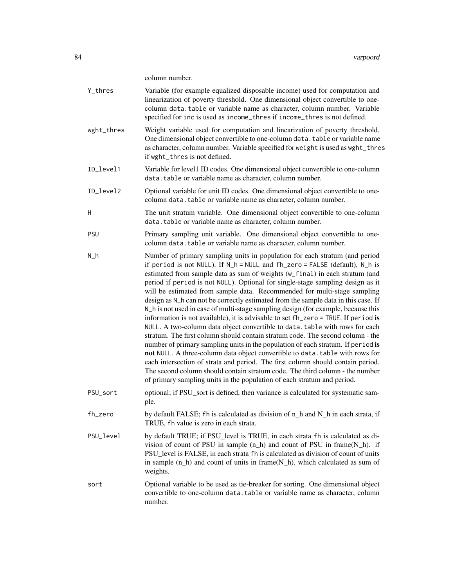column number.

|            | columni humbel.                                                                                                                                                                                                                                                                                                                                                                                                                                                                                                                                                                                                                                                                                                                                                                                                                                                                                                                                                                                                                                                                                                                                                                                                                                               |
|------------|---------------------------------------------------------------------------------------------------------------------------------------------------------------------------------------------------------------------------------------------------------------------------------------------------------------------------------------------------------------------------------------------------------------------------------------------------------------------------------------------------------------------------------------------------------------------------------------------------------------------------------------------------------------------------------------------------------------------------------------------------------------------------------------------------------------------------------------------------------------------------------------------------------------------------------------------------------------------------------------------------------------------------------------------------------------------------------------------------------------------------------------------------------------------------------------------------------------------------------------------------------------|
| Y_thres    | Variable (for example equalized disposable income) used for computation and<br>linearization of poverty threshold. One dimensional object convertible to one-<br>column data.table or variable name as character, column number. Variable<br>specified for inc is used as income_thres if income_thres is not defined.                                                                                                                                                                                                                                                                                                                                                                                                                                                                                                                                                                                                                                                                                                                                                                                                                                                                                                                                        |
| wght_thres | Weight variable used for computation and linearization of poverty threshold.<br>One dimensional object convertible to one-column data. table or variable name<br>as character, column number. Variable specified for weight is used as wght_thres<br>if wght_thres is not defined.                                                                                                                                                                                                                                                                                                                                                                                                                                                                                                                                                                                                                                                                                                                                                                                                                                                                                                                                                                            |
| ID_level1  | Variable for level1 ID codes. One dimensional object convertible to one-column<br>data.table or variable name as character, column number.                                                                                                                                                                                                                                                                                                                                                                                                                                                                                                                                                                                                                                                                                                                                                                                                                                                                                                                                                                                                                                                                                                                    |
| ID_level2  | Optional variable for unit ID codes. One dimensional object convertible to one-<br>column data.table or variable name as character, column number.                                                                                                                                                                                                                                                                                                                                                                                                                                                                                                                                                                                                                                                                                                                                                                                                                                                                                                                                                                                                                                                                                                            |
| H          | The unit stratum variable. One dimensional object convertible to one-column<br>data.table or variable name as character, column number.                                                                                                                                                                                                                                                                                                                                                                                                                                                                                                                                                                                                                                                                                                                                                                                                                                                                                                                                                                                                                                                                                                                       |
| <b>PSU</b> | Primary sampling unit variable. One dimensional object convertible to one-<br>column data.table or variable name as character, column number.                                                                                                                                                                                                                                                                                                                                                                                                                                                                                                                                                                                                                                                                                                                                                                                                                                                                                                                                                                                                                                                                                                                 |
| $N_h$      | Number of primary sampling units in population for each stratum (and period<br>if period is not NULL). If N_h = NULL and fh_zero = FALSE (default), N_h is<br>estimated from sample data as sum of weights (w_final) in each stratum (and<br>period if period is not NULL). Optional for single-stage sampling design as it<br>will be estimated from sample data. Recommended for multi-stage sampling<br>design as N_h can not be correctly estimated from the sample data in this case. If<br>N_h is not used in case of multi-stage sampling design (for example, because this<br>information is not available), it is advisable to set fh_zero = TRUE. If period is<br>NULL. A two-column data object convertible to data. table with rows for each<br>stratum. The first column should contain stratum code. The second column - the<br>number of primary sampling units in the population of each stratum. If period is<br>not NULL. A three-column data object convertible to data. table with rows for<br>each intersection of strata and period. The first column should contain period.<br>The second column should contain stratum code. The third column - the number<br>of primary sampling units in the population of each stratum and period. |
| PSU sort   | optional; if PSU_sort is defined, then variance is calculated for systematic sam-<br>ple.                                                                                                                                                                                                                                                                                                                                                                                                                                                                                                                                                                                                                                                                                                                                                                                                                                                                                                                                                                                                                                                                                                                                                                     |
| fh_zero    | by default FALSE; fh is calculated as division of n_h and N_h in each strata, if<br>TRUE, fh value is zero in each strata.                                                                                                                                                                                                                                                                                                                                                                                                                                                                                                                                                                                                                                                                                                                                                                                                                                                                                                                                                                                                                                                                                                                                    |
| PSU_level  | by default TRUE; if PSU_level is TRUE, in each strata fh is calculated as di-<br>vision of count of PSU in sample $(n_h)$ and count of PSU in frame $(N_h)$ . if<br>PSU_level is FALSE, in each strata fh is calculated as division of count of units<br>in sample $(n_h)$ and count of units in frame( $N_h$ ), which calculated as sum of<br>weights.                                                                                                                                                                                                                                                                                                                                                                                                                                                                                                                                                                                                                                                                                                                                                                                                                                                                                                       |
| sort       | Optional variable to be used as tie-breaker for sorting. One dimensional object<br>convertible to one-column data. table or variable name as character, column<br>number.                                                                                                                                                                                                                                                                                                                                                                                                                                                                                                                                                                                                                                                                                                                                                                                                                                                                                                                                                                                                                                                                                     |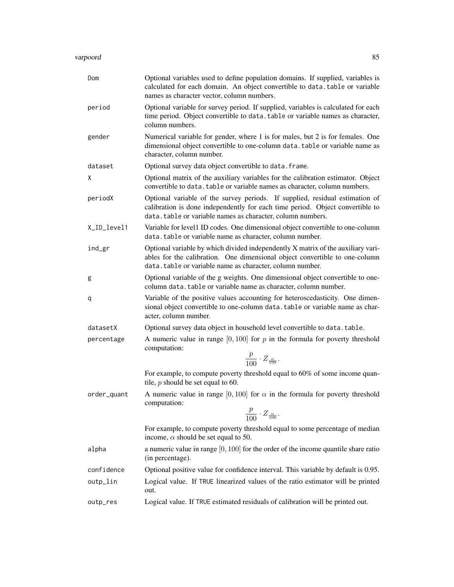| Dom         | Optional variables used to define population domains. If supplied, variables is<br>calculated for each domain. An object convertible to data.table or variable<br>names as character vector, column numbers.                |
|-------------|-----------------------------------------------------------------------------------------------------------------------------------------------------------------------------------------------------------------------------|
| period      | Optional variable for survey period. If supplied, variables is calculated for each<br>time period. Object convertible to data. table or variable names as character,<br>column numbers.                                     |
| gender      | Numerical variable for gender, where 1 is for males, but 2 is for females. One<br>dimensional object convertible to one-column data. table or variable name as<br>character, column number.                                 |
| dataset     | Optional survey data object convertible to data. frame.                                                                                                                                                                     |
| X           | Optional matrix of the auxiliary variables for the calibration estimator. Object<br>convertible to data. table or variable names as character, column numbers.                                                              |
| periodX     | Optional variable of the survey periods. If supplied, residual estimation of<br>calibration is done independently for each time period. Object convertible to<br>data.table or variable names as character, column numbers. |
| X_ID_level1 | Variable for level1 ID codes. One dimensional object convertible to one-column<br>data.table or variable name as character, column number.                                                                                  |
| ind_gr      | Optional variable by which divided independently X matrix of the auxiliary vari-<br>ables for the calibration. One dimensional object convertible to one-column<br>data.table or variable name as character, column number. |
| g           | Optional variable of the g weights. One dimensional object convertible to one-<br>column data.table or variable name as character, column number.                                                                           |
| q           | Variable of the positive values accounting for heteroscedasticity. One dimen-<br>sional object convertible to one-column data. table or variable name as char-<br>acter, column number.                                     |
| datasetX    | Optional survey data object in household level convertible to data. table.                                                                                                                                                  |
| percentage  | A numeric value in range $[0, 100]$ for p in the formula for poverty threshold<br>computation:                                                                                                                              |
|             | $\frac{p}{100} \cdot Z_{\frac{\alpha}{100}}.$                                                                                                                                                                               |
|             | For example, to compute poverty threshold equal to 60% of some income quan-<br>tile, $p$ should be set equal to 60.                                                                                                         |
| order_quant | A numeric value in range [0, 100] for $\alpha$ in the formula for poverty threshold<br>computation:<br>$\frac{p}{100} \cdot Z_{\frac{\alpha}{100}}$ .                                                                       |
|             | For example, to compute poverty threshold equal to some percentage of median<br>income, $\alpha$ should be set equal to 50.                                                                                                 |
| alpha       | a numeric value in range $[0, 100]$ for the order of the income quantile share ratio<br>(in percentage).                                                                                                                    |
| confidence  | Optional positive value for confidence interval. This variable by default is 0.95.                                                                                                                                          |
| outp_lin    | Logical value. If TRUE linearized values of the ratio estimator will be printed<br>out.                                                                                                                                     |
| outp_res    | Logical value. If TRUE estimated residuals of calibration will be printed out.                                                                                                                                              |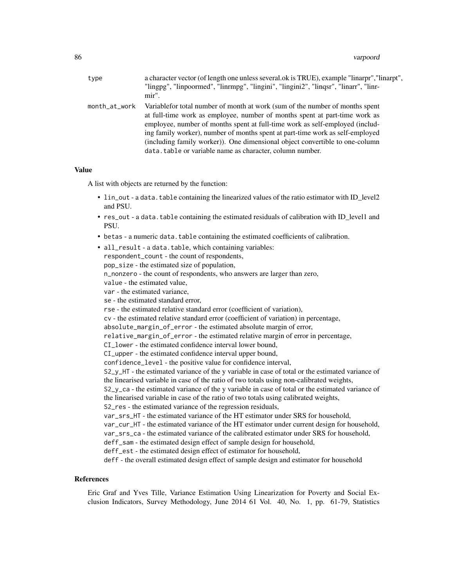| type          | a character vector (of length one unless several ok is TRUE), example "linarpr", "linarpt",<br>"lingpg", "linpoormed", "linrmpg", "lingini", "lingini2", "lingsr", "linarr", "linr-<br>mir".                                                                                                                                                                                                                                                                             |
|---------------|--------------------------------------------------------------------------------------------------------------------------------------------------------------------------------------------------------------------------------------------------------------------------------------------------------------------------------------------------------------------------------------------------------------------------------------------------------------------------|
| month_at_work | Variable for total number of month at work (sum of the number of months spent<br>at full-time work as employee, number of months spent at part-time work as<br>employee, number of months spent at full-time work as self-employed (includ-<br>ing family worker), number of months spent at part-time work as self-employed<br>(including family worker)). One dimensional object convertible to one-column<br>data.table or variable name as character, column number. |

#### Value

A list with objects are returned by the function:

- lin\_out a data. table containing the linearized values of the ratio estimator with ID\_level2 and PSU.
- res\_out a data.table containing the estimated residuals of calibration with ID\_level1 and PSU.
- betas a numeric data.table containing the estimated coefficients of calibration.

| • all_result - a data.table, which containing variables:                                         |
|--------------------------------------------------------------------------------------------------|
| respondent_count - the count of respondents,                                                     |
| pop_size - the estimated size of population,                                                     |
| n_nonzero - the count of respondents, who answers are larger than zero,                          |
| value - the estimated value,                                                                     |
| var - the estimated variance,                                                                    |
| se - the estimated standard error,                                                               |
| rse - the estimated relative standard error (coefficient of variation),                          |
| cv - the estimated relative standard error (coefficient of variation) in percentage,             |
| absolute_margin_of_error - the estimated absolute margin of error,                               |
| relative_margin_of_error - the estimated relative margin of error in percentage,                 |
| CI_lower - the estimated confidence interval lower bound,                                        |
| CI_upper - the estimated confidence interval upper bound,                                        |
| confidence_level - the positive value for confidence interval,                                   |
| S2_y_HT - the estimated variance of the y variable in case of total or the estimated variance of |
| the linearised variable in case of the ratio of two totals using non-calibrated weights,         |
| S2_y_ca - the estimated variance of the y variable in case of total or the estimated variance of |
| the linearised variable in case of the ratio of two totals using calibrated weights,             |
| S2_res - the estimated variance of the regression residuals,                                     |
| var_srs_HT - the estimated variance of the HT estimator under SRS for household,                 |
| var_cur_HT - the estimated variance of the HT estimator under current design for household,      |
| var_srs_ca - the estimated variance of the calibrated estimator under SRS for household,         |
| deff_sam - the estimated design effect of sample design for household,                           |
| deff_est - the estimated design effect of estimator for household,                               |
| deff - the overall estimated design effect of sample design and estimator for household          |

## References

Eric Graf and Yves Tille, Variance Estimation Using Linearization for Poverty and Social Exclusion Indicators, Survey Methodology, June 2014 61 Vol. 40, No. 1, pp. 61-79, Statistics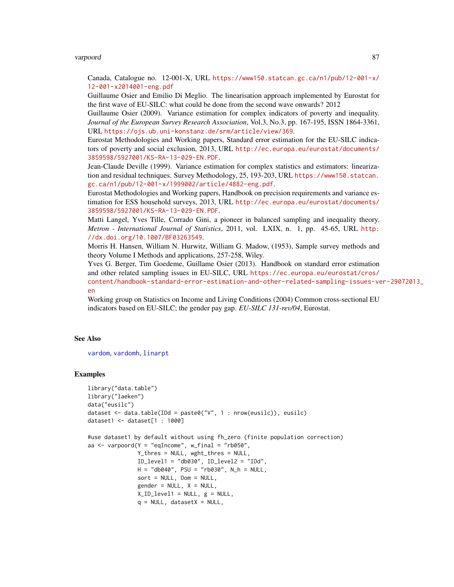#### <span id="page-86-0"></span>varpoord 87

Canada, Catalogue no. 12-001-X, URL [https://www150.statcan.gc.ca/n1/pub/12-001-x/](https://www150.statcan.gc.ca/n1/pub/12-001-x/12-001-x2014001-eng.pdf) [12-001-x2014001-eng.pdf](https://www150.statcan.gc.ca/n1/pub/12-001-x/12-001-x2014001-eng.pdf)

Guillaume Osier and Emilio Di Meglio. The linearisation approach implemented by Eurostat for the first wave of EU-SILC: what could be done from the second wave onwards? 2012

Guillaume Osier (2009). Variance estimation for complex indicators of poverty and inequality. *Journal of the European Survey Research Association*, Vol.3, No.3, pp. 167-195, ISSN 1864-3361, URL <https://ojs.ub.uni-konstanz.de/srm/article/view/369>.

Eurostat Methodologies and Working papers, Standard error estimation for the EU-SILC indicators of poverty and social exclusion, 2013, URL [http://ec.europa.eu/eurostat/documents/](http://ec.europa.eu/eurostat/documents/3859598/5927001/KS-RA-13-029-EN.PDF) [3859598/5927001/KS-RA-13-029-EN.PDF](http://ec.europa.eu/eurostat/documents/3859598/5927001/KS-RA-13-029-EN.PDF).

Jean-Claude Deville (1999). Variance estimation for complex statistics and estimators: linearization and residual techniques. Survey Methodology, 25, 193-203, URL [https://www150.statcan.](https://www150.statcan.gc.ca/n1/pub/12-001-x/1999002/article/4882-eng.pdf) [gc.ca/n1/pub/12-001-x/1999002/article/4882-eng.pdf](https://www150.statcan.gc.ca/n1/pub/12-001-x/1999002/article/4882-eng.pdf).

Eurostat Methodologies and Working papers, Handbook on precision requirements and variance estimation for ESS household surveys, 2013, URL [http://ec.europa.eu/eurostat/documents/](http://ec.europa.eu/eurostat/documents/3859598/5927001/KS-RA-13-029-EN.PDF) [3859598/5927001/KS-RA-13-029-EN.PDF](http://ec.europa.eu/eurostat/documents/3859598/5927001/KS-RA-13-029-EN.PDF).

Matti Langel, Yves Tille, Corrado Gini, a pioneer in balanced sampling and inequality theory. *Metron - International Journal of Statistics*, 2011, vol. LXIX, n. 1, pp. 45-65, URL [http:](http://dx.doi.org/10.1007/BF03263549) [//dx.doi.org/10.1007/BF03263549](http://dx.doi.org/10.1007/BF03263549).

Morris H. Hansen, William N. Hurwitz, William G. Madow, (1953), Sample survey methods and theory Volume I Methods and applications, 257-258, Wiley.

Yves G. Berger, Tim Goedeme, Guillame Osier (2013). Handbook on standard error estimation and other related sampling issues in EU-SILC, URL [https://ec.europa.eu/eurostat/cros/](https://ec.europa.eu/eurostat/cros/content/handbook-standard-error-estimation-and-other-related-sampling-issues-ver-29072013_en) [content/handbook-standard-error-estimation-and-other-related-sampling-issues-ve](https://ec.europa.eu/eurostat/cros/content/handbook-standard-error-estimation-and-other-related-sampling-issues-ver-29072013_en)r-29072013\_ [en](https://ec.europa.eu/eurostat/cros/content/handbook-standard-error-estimation-and-other-related-sampling-issues-ver-29072013_en)

Working group on Statistics on Income and Living Conditions (2004) Common cross-sectional EU indicators based on EU-SILC; the gender pay gap. *EU-SILC 131-rev/04*, Eurostat.

## See Also

[vardom](#page-63-0), [vardomh](#page-67-0), [linarpt](#page-9-0)

#### Examples

```
library("data.table")
library("laeken")
data("eusilc")
dataset <- data.table(IDd = paste0("V", 1 : nrow(eusilc)), eusilc)
dataset1 <- dataset[1 : 1000]
#use dataset1 by default without using fh_zero (finite population correction)
aa \leq varpoord(Y = "eqIncome", w_final = "rb050",
               Y_thres = NULL, wght_thres = NULL,
               ID_level1 = "db030", ID_level2 = "IDd",
              H = "db040", PSU = "rb030", N_h = NULL,sort = NULL, Dom = NULL,gender = NULL, X = NULL,XID\_level1 = NULL, g = NULL,
```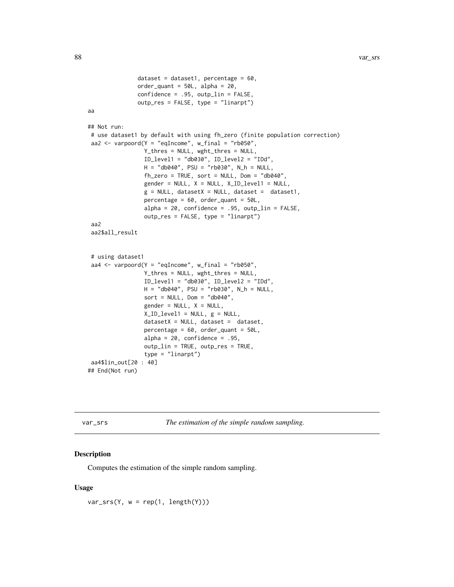```
dataset = dataset1, percentage = 60,
               order_quant = 50L, alpha = 20,
               confidence = .95, outp_lin = FALSE,
               outp_res = FALSE, type = "linarpt")
aa
## Not run:
# use dataset1 by default with using fh_zero (finite population correction)
aa2 \le varpoord(Y = "eqIncome", w_final = "rb050",
                 Y_thres = NULL, wght_thres = NULL,
                 ID_level1 = "db030", ID_level2 = "IDd",
                 H = "db040", PSU = "rb030", N_h = NULL,fh_zero = TRUE, sort = NULL, Dom = "db040",
                 gender = NULL, X = NULL, X<u> ID-level1 = NULL,</u>
                 g = NULL, datasetX = NULL, dataset = dataset1,
                 percentage = 60, order_quant = 50L,
                 alpha = 20, confidence = .95, outp_lin = FALSE,
                 outp_res = FALSE, type = "linarpt")
 aa2
 aa2$all_result
 # using dataset1
 aa4 \le varpoord(Y = "eqIncome", w_final = "rb050",
                 Y_thres = NULL, wght_thres = NULL,
                 ID_level1 = "db030", ID_level2 = "IDd",
                 H = "db040", PSU = "rb030", N_h = NULL,sort = NULL, Dom = "db040",gender = NULL, X = NULL,X_ID_level1 = NULL, g = NULL,
                 datasetX = NULL, dataset = dataset,
                 percentage = 60, order_quant = 50L,
                 alpha = 20, confidence = .95,
                 outp_lin = TRUE, outp_res = TRUE,
                 type = "linarpt")
aa4$lin_out[20 : 40]
## End(Not run)
```
<span id="page-87-0"></span>var\_srs *The estimation of the simple random sampling.*

## Description

Computes the estimation of the simple random sampling.

#### Usage

 $var\_srs(Y, w = rep(1, length(Y)))$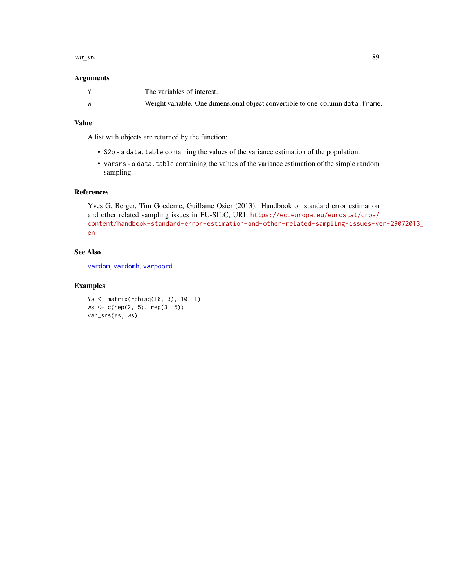#### <span id="page-88-0"></span>var\_srs 89

## Arguments

|   | The variables of interest.                                                     |
|---|--------------------------------------------------------------------------------|
| W | Weight variable. One dimensional object convertible to one-column data. frame. |

## Value

A list with objects are returned by the function:

- S2p a data.table containing the values of the variance estimation of the population.
- varsrs a data.table containing the values of the variance estimation of the simple random sampling.

## References

Yves G. Berger, Tim Goedeme, Guillame Osier (2013). Handbook on standard error estimation and other related sampling issues in EU-SILC, URL [https://ec.europa.eu/eurostat/cros/](https://ec.europa.eu/eurostat/cros/content/handbook-standard-error-estimation-and-other-related-sampling-issues-ver-29072013_en) [content/handbook-standard-error-estimation-and-other-related-sampling-issues-ve](https://ec.europa.eu/eurostat/cros/content/handbook-standard-error-estimation-and-other-related-sampling-issues-ver-29072013_en)r-29072013\_ [en](https://ec.europa.eu/eurostat/cros/content/handbook-standard-error-estimation-and-other-related-sampling-issues-ver-29072013_en)

## See Also

[vardom](#page-63-0), [vardomh](#page-67-0), [varpoord](#page-81-0)

## Examples

```
Ys <- matrix(rchisq(10, 3), 10, 1)
ws <- c(rep(2, 5), rep(3, 5))
var_srs(Ys, ws)
```